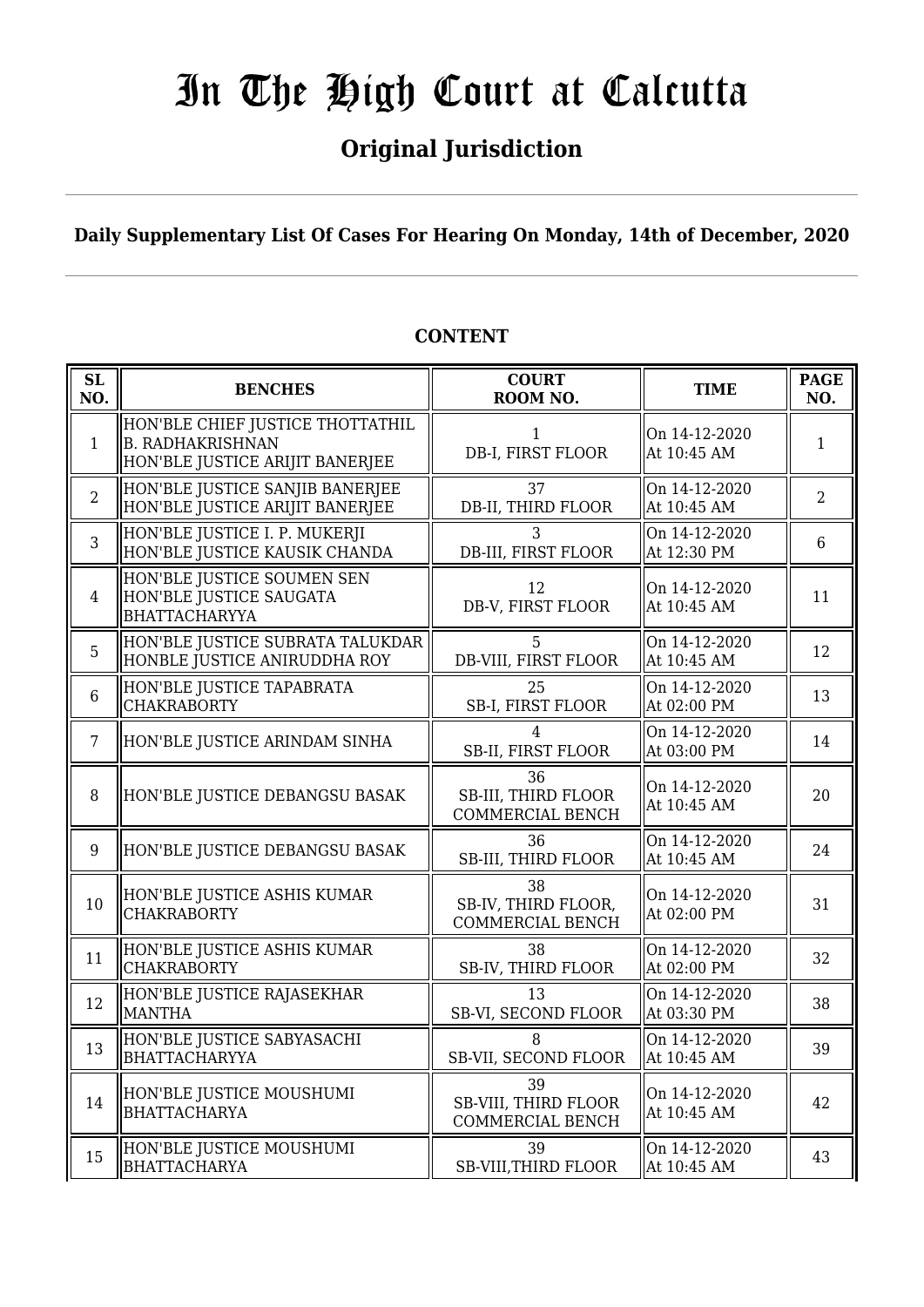# **Original Jurisdiction**

**Daily Supplementary List Of Cases For Hearing On Monday, 14th of December, 2020**

## **CONTENT**

| <b>SL</b><br>NO. | <b>BENCHES</b>                                                                                 | <b>COURT</b><br>ROOM NO.                                    | <b>TIME</b>                  | <b>PAGE</b><br>NO. |
|------------------|------------------------------------------------------------------------------------------------|-------------------------------------------------------------|------------------------------|--------------------|
| $\mathbf{1}$     | HON'BLE CHIEF JUSTICE THOTTATHIL<br><b>B. RADHAKRISHNAN</b><br>HON'BLE JUSTICE ARIJIT BANERJEE | 1<br>DB-I, FIRST FLOOR                                      | On 14-12-2020<br>At 10:45 AM | $\mathbf{1}$       |
| $\overline{2}$   | HON'BLE JUSTICE SANJIB BANERJEE<br>HON'BLE JUSTICE ARIJIT BANERJEE                             | 37<br>DB-II, THIRD FLOOR                                    | On 14-12-2020<br>At 10:45 AM | $\overline{2}$     |
| 3                | HON'BLE JUSTICE I. P. MUKERJI<br>HON'BLE JUSTICE KAUSIK CHANDA                                 | 3<br>DB-III, FIRST FLOOR                                    | On 14-12-2020<br>At 12:30 PM | 6                  |
| $\overline{4}$   | HON'BLE JUSTICE SOUMEN SEN<br>HON'BLE JUSTICE SAUGATA<br><b>BHATTACHARYYA</b>                  | 12<br>DB-V, FIRST FLOOR                                     | On 14-12-2020<br>At 10:45 AM | 11                 |
| 5                | HON'BLE JUSTICE SUBRATA TALUKDAR<br>HONBLE JUSTICE ANIRUDDHA ROY                               | 5<br>DB-VIII, FIRST FLOOR                                   | On 14-12-2020<br>At 10:45 AM | 12                 |
| 6                | HON'BLE JUSTICE TAPABRATA<br><b>CHAKRABORTY</b>                                                | 25<br>SB-I, FIRST FLOOR                                     | On 14-12-2020<br>At 02:00 PM | 13                 |
| 7                | HON'BLE JUSTICE ARINDAM SINHA                                                                  | $\overline{4}$<br>SB-II, FIRST FLOOR                        | On 14-12-2020<br>At 03:00 PM | 14                 |
| 8                | HON'BLE JUSTICE DEBANGSU BASAK                                                                 | 36<br><b>SB-III, THIRD FLOOR</b><br><b>COMMERCIAL BENCH</b> | On 14-12-2020<br>At 10:45 AM | 20                 |
| 9                | HON'BLE JUSTICE DEBANGSU BASAK                                                                 | 36<br>SB-III, THIRD FLOOR                                   | On 14-12-2020<br>At 10:45 AM | 24                 |
| 10               | HON'BLE JUSTICE ASHIS KUMAR<br><b>CHAKRABORTY</b>                                              | 38<br>SB-IV, THIRD FLOOR,<br>COMMERCIAL BENCH               | On 14-12-2020<br>At 02:00 PM | 31                 |
| 11               | HON'BLE JUSTICE ASHIS KUMAR<br><b>CHAKRABORTY</b>                                              | 38<br>SB-IV, THIRD FLOOR                                    | On 14-12-2020<br>At 02:00 PM | 32                 |
| 12               | HON'BLE JUSTICE RAJASEKHAR<br>MANTHA                                                           | 13<br>SB-VI, SECOND FLOOR                                   | On 14-12-2020<br>At 03:30 PM | 38                 |
| 13               | HON'BLE JUSTICE SABYASACHI<br>BHATTACHARYYA                                                    | 8<br>SB-VII, SECOND FLOOR                                   | On 14-12-2020<br>At 10:45 AM | 39                 |
| 14               | HON'BLE JUSTICE MOUSHUMI<br><b>BHATTACHARYA</b>                                                | 39<br>SB-VIII, THIRD FLOOR<br>COMMERCIAL BENCH              | On 14-12-2020<br>At 10:45 AM | 42                 |
| 15               | HON'BLE JUSTICE MOUSHUMI<br><b>BHATTACHARYA</b>                                                | 39<br><b>SB-VIII, THIRD FLOOR</b>                           | On 14-12-2020<br>At 10:45 AM | 43                 |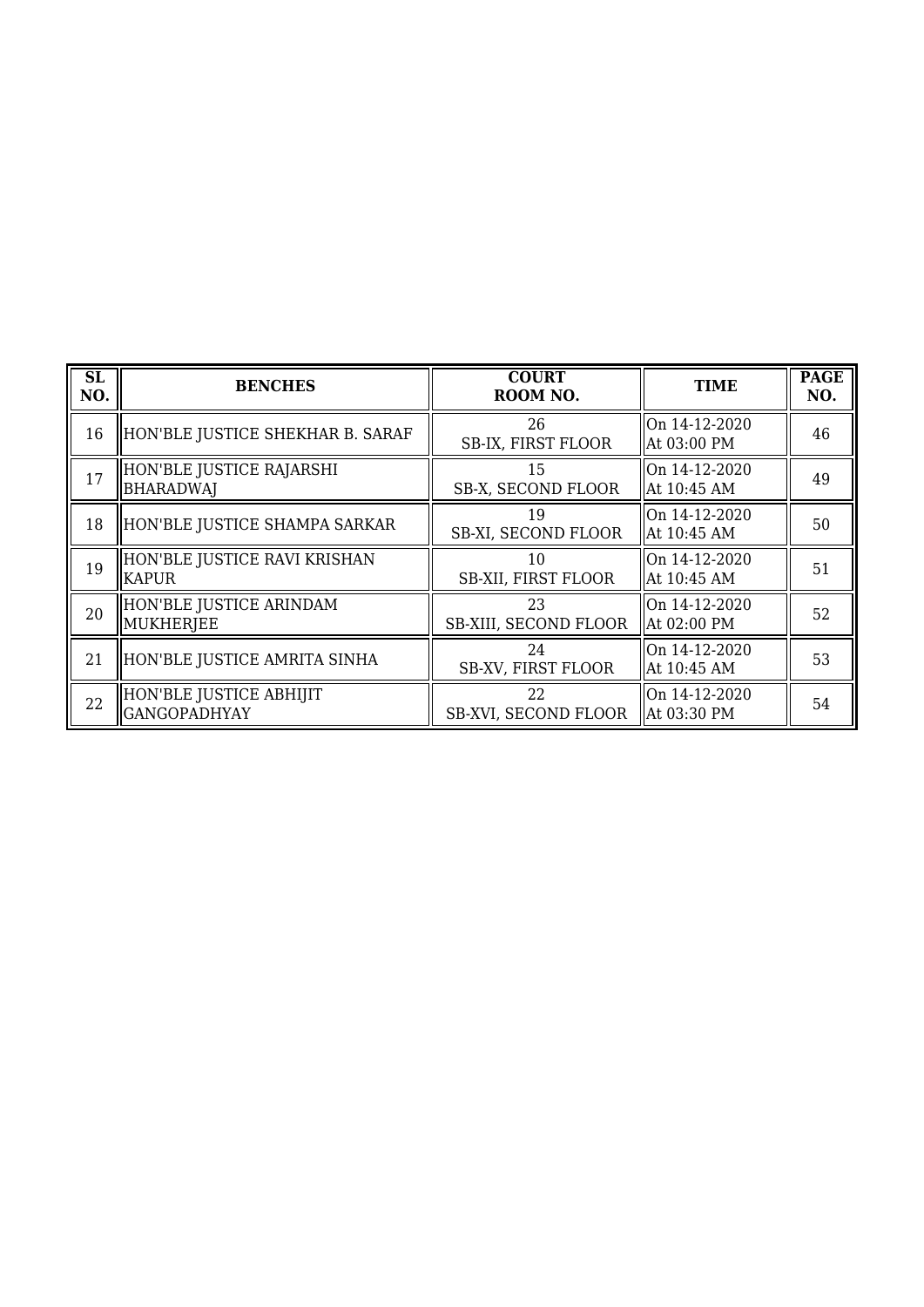| <b>SL</b><br>NO. | <b>BENCHES</b>                                 | <b>COURT</b><br>ROOM NO.          | <b>TIME</b>                  | <b>PAGE</b><br>NO. |
|------------------|------------------------------------------------|-----------------------------------|------------------------------|--------------------|
| 16               | HON'BLE JUSTICE SHEKHAR B. SARAF               | 26<br><b>SB-IX, FIRST FLOOR</b>   | On 14-12-2020<br>At 03:00 PM | 46                 |
| 17               | HON'BLE JUSTICE RAJARSHI<br><b>BHARADWAJ</b>   | 15<br>SB-X, SECOND FLOOR          | On 14-12-2020<br>At 10:45 AM | 49                 |
| 18               | HON'BLE JUSTICE SHAMPA SARKAR                  | 19<br>SB-XI, SECOND FLOOR         | On 14-12-2020<br>At 10:45 AM | 50                 |
| 19               | HON'BLE JUSTICE RAVI KRISHAN<br><b>KAPUR</b>   | 10<br><b>SB-XII, FIRST FLOOR</b>  | On 14-12-2020<br>At 10:45 AM | 51                 |
| 20               | HON'BLE JUSTICE ARINDAM<br>MUKHERJEE           | 23<br>SB-XIII, SECOND FLOOR       | On 14-12-2020<br>At 02:00 PM | 52                 |
| 21               | HON'BLE JUSTICE AMRITA SINHA                   | 24<br><b>SB-XV, FIRST FLOOR</b>   | On 14-12-2020<br>At 10:45 AM | 53                 |
| 22               | HON'BLE JUSTICE ABHIJIT<br><b>GANGOPADHYAY</b> | 22<br><b>SB-XVI, SECOND FLOOR</b> | On 14-12-2020<br>At 03:30 PM | 54                 |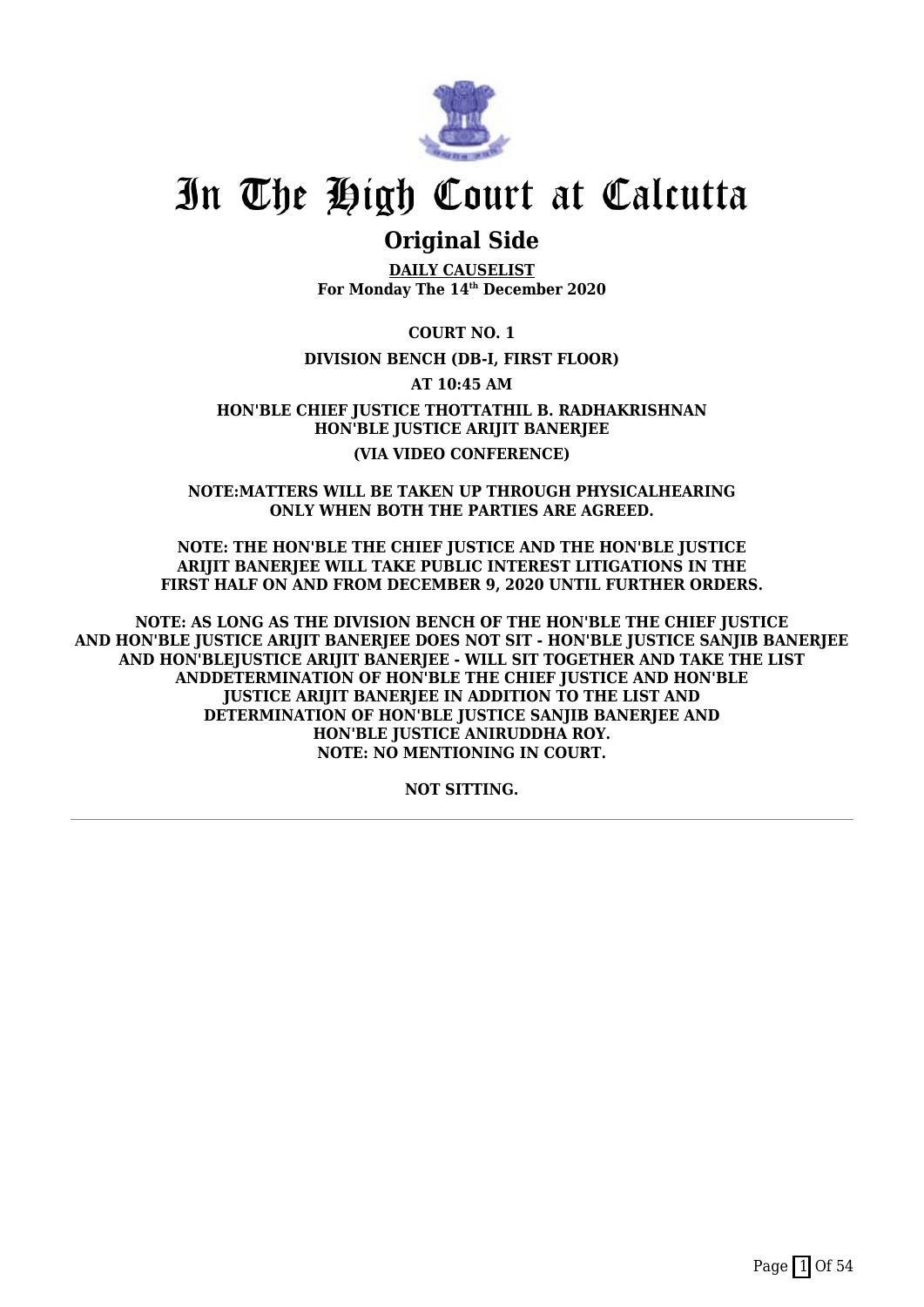

## **Original Side**

**DAILY CAUSELIST For Monday The 14th December 2020**

**COURT NO. 1**

**DIVISION BENCH (DB-I, FIRST FLOOR)**

**AT 10:45 AM**

**HON'BLE CHIEF JUSTICE THOTTATHIL B. RADHAKRISHNAN HON'BLE JUSTICE ARIJIT BANERJEE (VIA VIDEO CONFERENCE)**

**NOTE:MATTERS WILL BE TAKEN UP THROUGH PHYSICALHEARING ONLY WHEN BOTH THE PARTIES ARE AGREED.**

**NOTE: THE HON'BLE THE CHIEF JUSTICE AND THE HON'BLE JUSTICE ARIJIT BANERJEE WILL TAKE PUBLIC INTEREST LITIGATIONS IN THE FIRST HALF ON AND FROM DECEMBER 9, 2020 UNTIL FURTHER ORDERS.**

**NOTE: AS LONG AS THE DIVISION BENCH OF THE HON'BLE THE CHIEF JUSTICE AND HON'BLE JUSTICE ARIJIT BANERJEE DOES NOT SIT - HON'BLE JUSTICE SANJIB BANERJEE AND HON'BLEJUSTICE ARIJIT BANERJEE - WILL SIT TOGETHER AND TAKE THE LIST ANDDETERMINATION OF HON'BLE THE CHIEF JUSTICE AND HON'BLE JUSTICE ARIJIT BANERJEE IN ADDITION TO THE LIST AND DETERMINATION OF HON'BLE JUSTICE SANJIB BANERJEE AND HON'BLE JUSTICE ANIRUDDHA ROY. NOTE: NO MENTIONING IN COURT.**

**NOT SITTING.**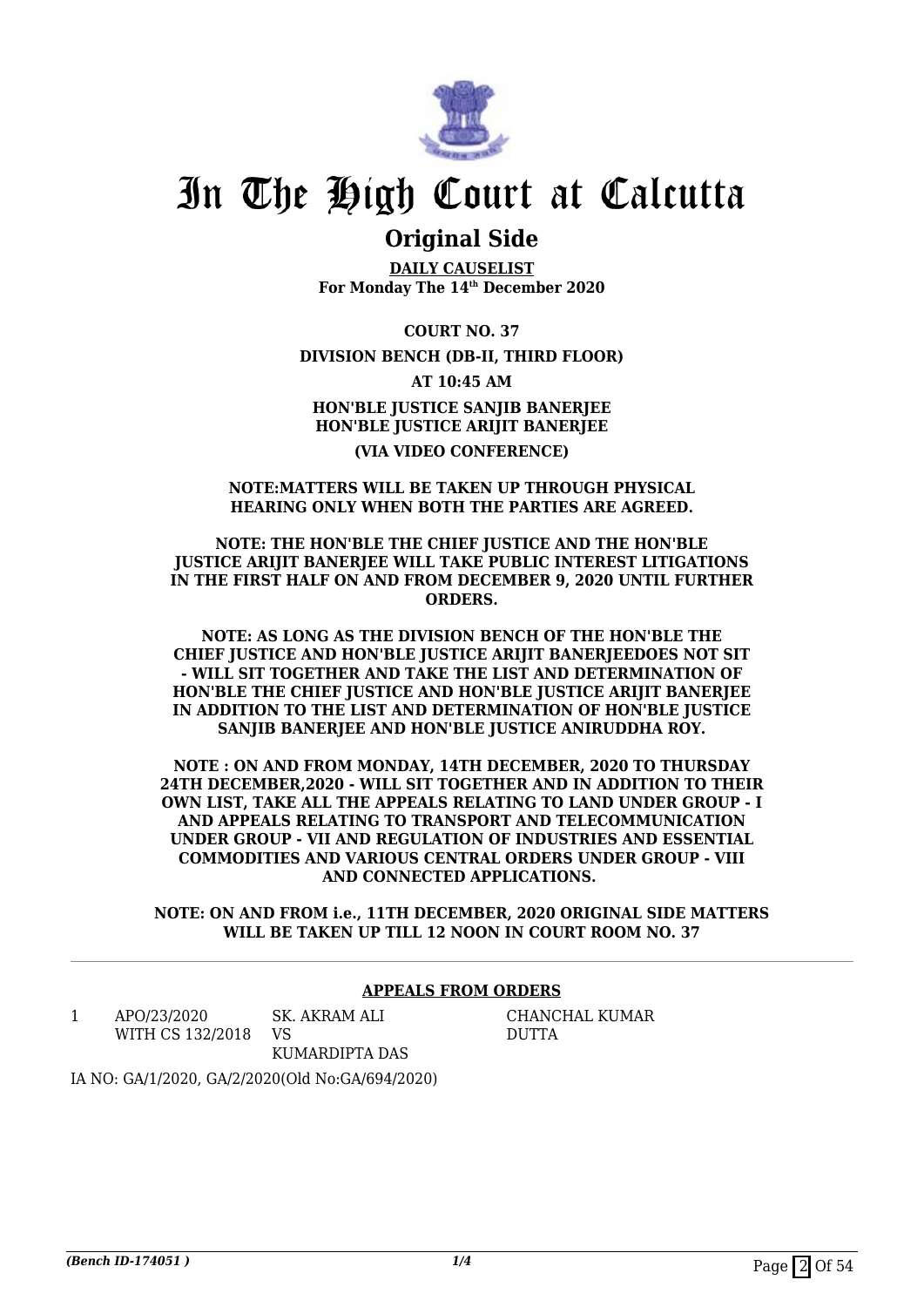

## **Original Side**

**DAILY CAUSELIST For Monday The 14th December 2020**

**COURT NO. 37**

### **DIVISION BENCH (DB-II, THIRD FLOOR)**

**AT 10:45 AM**

**HON'BLE JUSTICE SANJIB BANERJEE HON'BLE JUSTICE ARIJIT BANERJEE (VIA VIDEO CONFERENCE)**

#### **NOTE:MATTERS WILL BE TAKEN UP THROUGH PHYSICAL HEARING ONLY WHEN BOTH THE PARTIES ARE AGREED.**

### **NOTE: THE HON'BLE THE CHIEF JUSTICE AND THE HON'BLE JUSTICE ARIJIT BANERJEE WILL TAKE PUBLIC INTEREST LITIGATIONS IN THE FIRST HALF ON AND FROM DECEMBER 9, 2020 UNTIL FURTHER ORDERS.**

**NOTE: AS LONG AS THE DIVISION BENCH OF THE HON'BLE THE CHIEF JUSTICE AND HON'BLE JUSTICE ARIJIT BANERJEEDOES NOT SIT - WILL SIT TOGETHER AND TAKE THE LIST AND DETERMINATION OF HON'BLE THE CHIEF JUSTICE AND HON'BLE JUSTICE ARIJIT BANERJEE IN ADDITION TO THE LIST AND DETERMINATION OF HON'BLE JUSTICE SANJIB BANERJEE AND HON'BLE JUSTICE ANIRUDDHA ROY.**

**NOTE : ON AND FROM MONDAY, 14TH DECEMBER, 2020 TO THURSDAY 24TH DECEMBER,2020 - WILL SIT TOGETHER AND IN ADDITION TO THEIR OWN LIST, TAKE ALL THE APPEALS RELATING TO LAND UNDER GROUP - I AND APPEALS RELATING TO TRANSPORT AND TELECOMMUNICATION UNDER GROUP - VII AND REGULATION OF INDUSTRIES AND ESSENTIAL COMMODITIES AND VARIOUS CENTRAL ORDERS UNDER GROUP - VIII AND CONNECTED APPLICATIONS.** 

**NOTE: ON AND FROM i.e., 11TH DECEMBER, 2020 ORIGINAL SIDE MATTERS WILL BE TAKEN UP TILL 12 NOON IN COURT ROOM NO. 37**

## **APPEALS FROM ORDERS**

1 APO/23/2020 WITH CS 132/2018 VS SK. AKRAM ALI KUMARDIPTA DAS CHANCHAL KUMAR DUTTA

IA NO: GA/1/2020, GA/2/2020(Old No:GA/694/2020)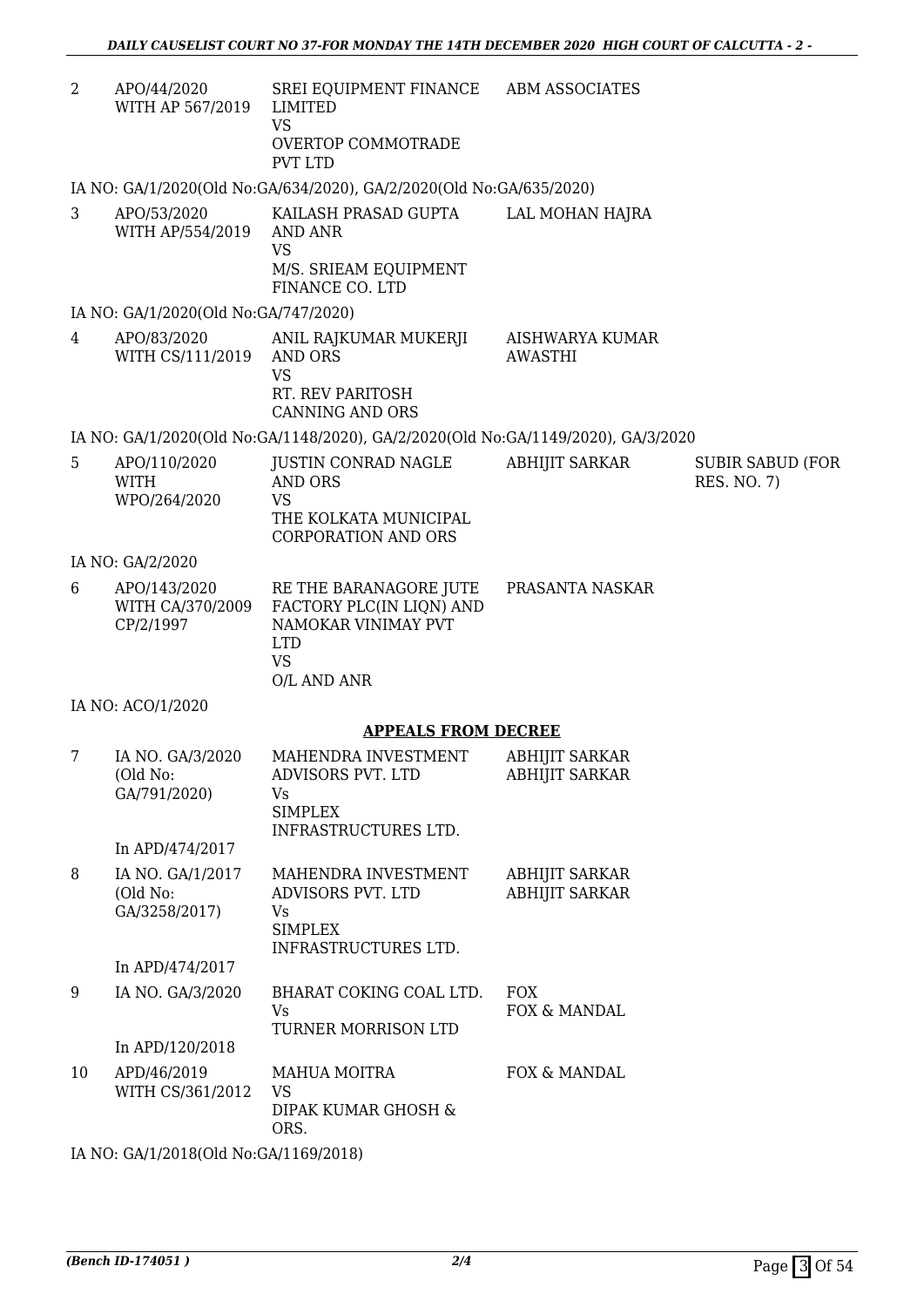2 APO/44/2020 WITH AP 567/2019 SREI EQUIPMENT FINANCE LIMITED VS OVERTOP COMMOTRADE PVT LTD ABM ASSOCIATES

IA NO: GA/1/2020(Old No:GA/634/2020), GA/2/2020(Old No:GA/635/2020)

3 APO/53/2020 WITH AP/554/2019 KAILASH PRASAD GUPTA AND ANR VS M/S. SRIEAM EQUIPMENT FINANCE CO. LTD LAL MOHAN HAJRA

IA NO: GA/1/2020(Old No:GA/747/2020)

4 APO/83/2020 WITH CS/111/2019 ANIL RAJKUMAR MUKERJI AND ORS VS RT. REV PARITOSH CANNING AND ORS AISHWARYA KUMAR AWASTHI

IA NO: GA/1/2020(Old No:GA/1148/2020), GA/2/2020(Old No:GA/1149/2020), GA/3/2020

5 APO/110/2020 WITH WPO/264/2020 JUSTIN CONRAD NAGLE AND ORS VS THE KOLKATA MUNICIPAL CORPORATION AND ORS ABHIJIT SARKAR SUBIR SABUD (FOR RES. NO. 7)

IA NO: GA/2/2020

| 6 | APO/143/2020     | RE THE BARANAGORE JUTE   | PRASANTA NASKAR |
|---|------------------|--------------------------|-----------------|
|   | WITH CA/370/2009 | FACTORY PLC(IN LION) AND |                 |
|   | CP/2/1997        | NAMOKAR VINIMAY PVT      |                 |
|   |                  | LTD                      |                 |
|   |                  | VS                       |                 |
|   |                  | O/L AND ANR              |                 |

IA NO: ACO/1/2020

### **APPEALS FROM DECREE**

| 7  | IA NO. GA/3/2020<br>(Old No:<br>GA/791/2020)  | MAHENDRA INVESTMENT<br>ADVISORS PVT. LTD<br>Vs.<br><b>SIMPLEX</b><br>INFRASTRUCTURES LTD. | ABHIJIT SARKAR<br><b>ABHIJIT SARKAR</b> |
|----|-----------------------------------------------|-------------------------------------------------------------------------------------------|-----------------------------------------|
|    | In APD/474/2017                               |                                                                                           |                                         |
| 8  | IA NO. GA/1/2017<br>(Old No:<br>GA/3258/2017) | MAHENDRA INVESTMENT<br>ADVISORS PVT. LTD<br>Vs<br>SIMPLEX<br>INFRASTRUCTURES LTD.         | ABHIJIT SARKAR<br><b>ABHIJIT SARKAR</b> |
|    | In APD/474/2017                               |                                                                                           |                                         |
| 9  | IA NO. GA/3/2020                              | BHARAT COKING COAL LTD.<br>Vs.<br>TURNER MORRISON LTD                                     | <b>FOX</b><br>FOX & MANDAL              |
|    | In APD/120/2018                               |                                                                                           |                                         |
| 10 | APD/46/2019<br>WITH CS/361/2012               | MAHUA MOITRA<br>VS<br>DIPAK KUMAR GHOSH &<br>ORS.                                         | FOX & MANDAL                            |

IA NO: GA/1/2018(Old No:GA/1169/2018)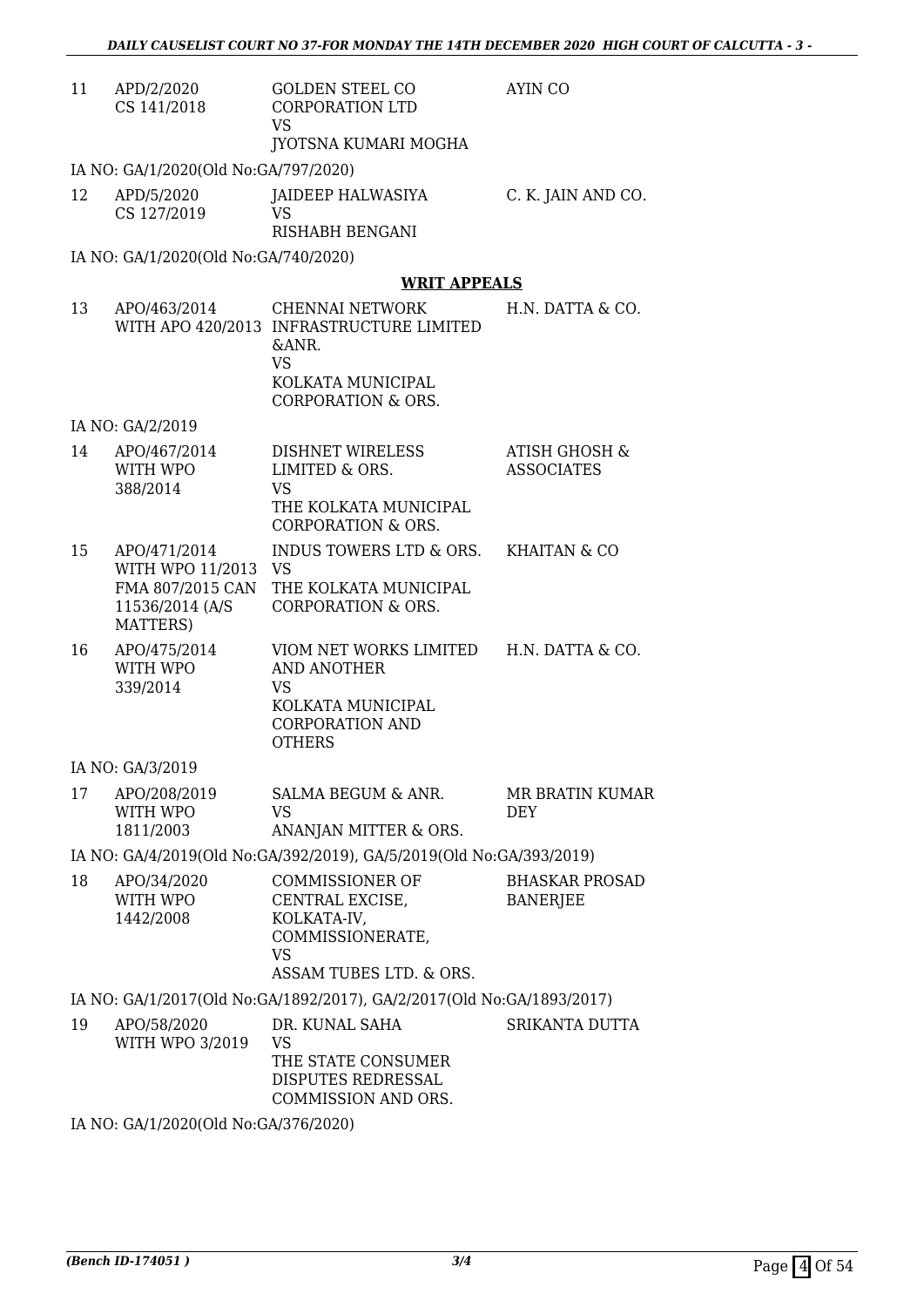| 11 | APD/2/2020<br>CS 141/2018                                                              | <b>GOLDEN STEEL CO</b><br><b>CORPORATION LTD</b><br><b>VS</b>                                                                              | AYIN CO                                  |
|----|----------------------------------------------------------------------------------------|--------------------------------------------------------------------------------------------------------------------------------------------|------------------------------------------|
|    |                                                                                        | JYOTSNA KUMARI MOGHA                                                                                                                       |                                          |
|    | IA NO: GA/1/2020(Old No:GA/797/2020)                                                   |                                                                                                                                            |                                          |
| 12 | APD/5/2020<br>CS 127/2019                                                              | JAIDEEP HALWASIYA<br><b>VS</b><br>RISHABH BENGANI                                                                                          | C. K. JAIN AND CO.                       |
|    | IA NO: GA/1/2020(Old No:GA/740/2020)                                                   |                                                                                                                                            |                                          |
|    |                                                                                        | <b>WRIT APPEALS</b>                                                                                                                        |                                          |
| 13 | APO/463/2014                                                                           | CHENNAI NETWORK<br>WITH APO 420/2013 INFRASTRUCTURE LIMITED<br>&ANR.<br>VS<br>KOLKATA MUNICIPAL<br><b>CORPORATION &amp; ORS.</b>           | H.N. DATTA & CO.                         |
|    | IA NO: GA/2/2019                                                                       |                                                                                                                                            |                                          |
| 14 | APO/467/2014<br>WITH WPO<br>388/2014                                                   | DISHNET WIRELESS<br>LIMITED & ORS.<br><b>VS</b><br>THE KOLKATA MUNICIPAL<br><b>CORPORATION &amp; ORS.</b>                                  | ATISH GHOSH &<br><b>ASSOCIATES</b>       |
| 15 | APO/471/2014<br>WITH WPO 11/2013 VS<br>FMA 807/2015 CAN<br>11536/2014 (A/S<br>MATTERS) | INDUS TOWERS LTD & ORS.<br>THE KOLKATA MUNICIPAL<br><b>CORPORATION &amp; ORS.</b>                                                          | KHAITAN & CO                             |
| 16 | APO/475/2014<br>WITH WPO<br>339/2014                                                   | VIOM NET WORKS LIMITED H.N. DATTA & CO.<br><b>AND ANOTHER</b><br><b>VS</b><br>KOLKATA MUNICIPAL<br><b>CORPORATION AND</b><br><b>OTHERS</b> |                                          |
|    | IA NO: GA/3/2019                                                                       |                                                                                                                                            |                                          |
| 17 | APO/208/2019<br>WITH WPO<br>1811/2003                                                  | SALMA BEGUM & ANR.<br><b>VS</b><br>ANANJAN MITTER & ORS.                                                                                   | MR BRATIN KUMAR<br>DEY                   |
|    |                                                                                        | IA NO: GA/4/2019(Old No:GA/392/2019), GA/5/2019(Old No:GA/393/2019)                                                                        |                                          |
| 18 | APO/34/2020<br>WITH WPO<br>1442/2008                                                   | <b>COMMISSIONER OF</b><br>CENTRAL EXCISE,<br>KOLKATA-IV,<br>COMMISSIONERATE,<br><b>VS</b><br>ASSAM TUBES LTD. & ORS.                       | <b>BHASKAR PROSAD</b><br><b>BANERJEE</b> |
|    |                                                                                        | IA NO: GA/1/2017(Old No:GA/1892/2017), GA/2/2017(Old No:GA/1893/2017)                                                                      |                                          |
| 19 | APO/58/2020<br>WITH WPO 3/2019                                                         | DR. KUNAL SAHA<br>VS<br>THE STATE CONSUMER<br>DISPUTES REDRESSAL<br>COMMISSION AND ORS.                                                    | SRIKANTA DUTTA                           |
|    | IA NO CALLO000(OLL No CALPECIDO ON                                                     |                                                                                                                                            |                                          |

IA NO: GA/1/2020(Old No:GA/376/2020)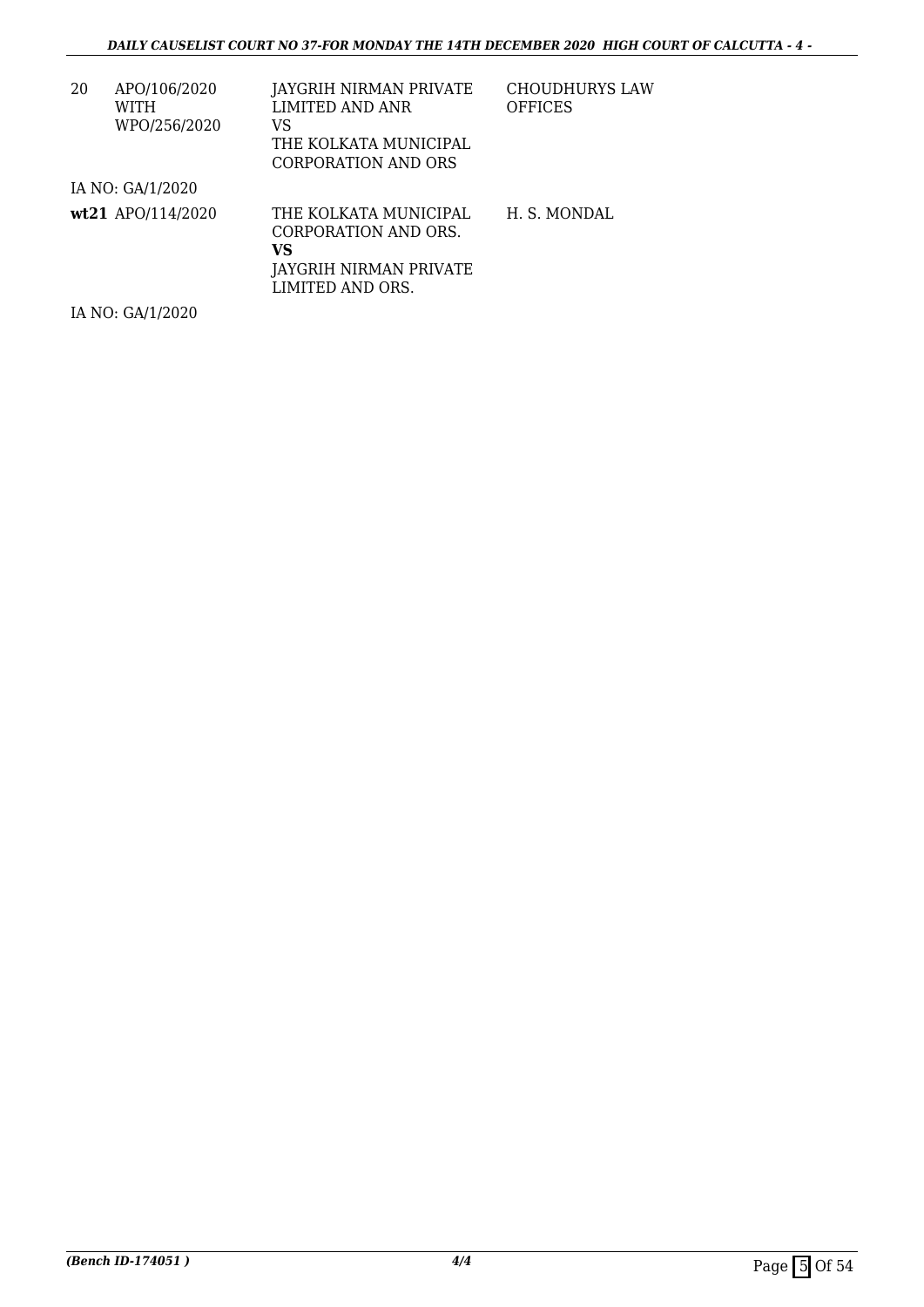| 20 | APO/106/2020<br>WITH<br>WPO/256/2020 | JAYGRIH NIRMAN PRIVATE<br>LIMITED AND ANR<br>VS<br>THE KOLKATA MUNICIPAL<br>CORPORATION AND ORS   | CHOUDHURYS LAW<br><b>OFFICES</b> |
|----|--------------------------------------|---------------------------------------------------------------------------------------------------|----------------------------------|
|    | IA NO: GA/1/2020                     |                                                                                                   |                                  |
|    | wt21 APO/114/2020                    | THE KOLKATA MUNICIPAL<br>CORPORATION AND ORS.<br>VS<br>JAYGRIH NIRMAN PRIVATE<br>LIMITED AND ORS. | H. S. MONDAL                     |

IA NO: GA/1/2020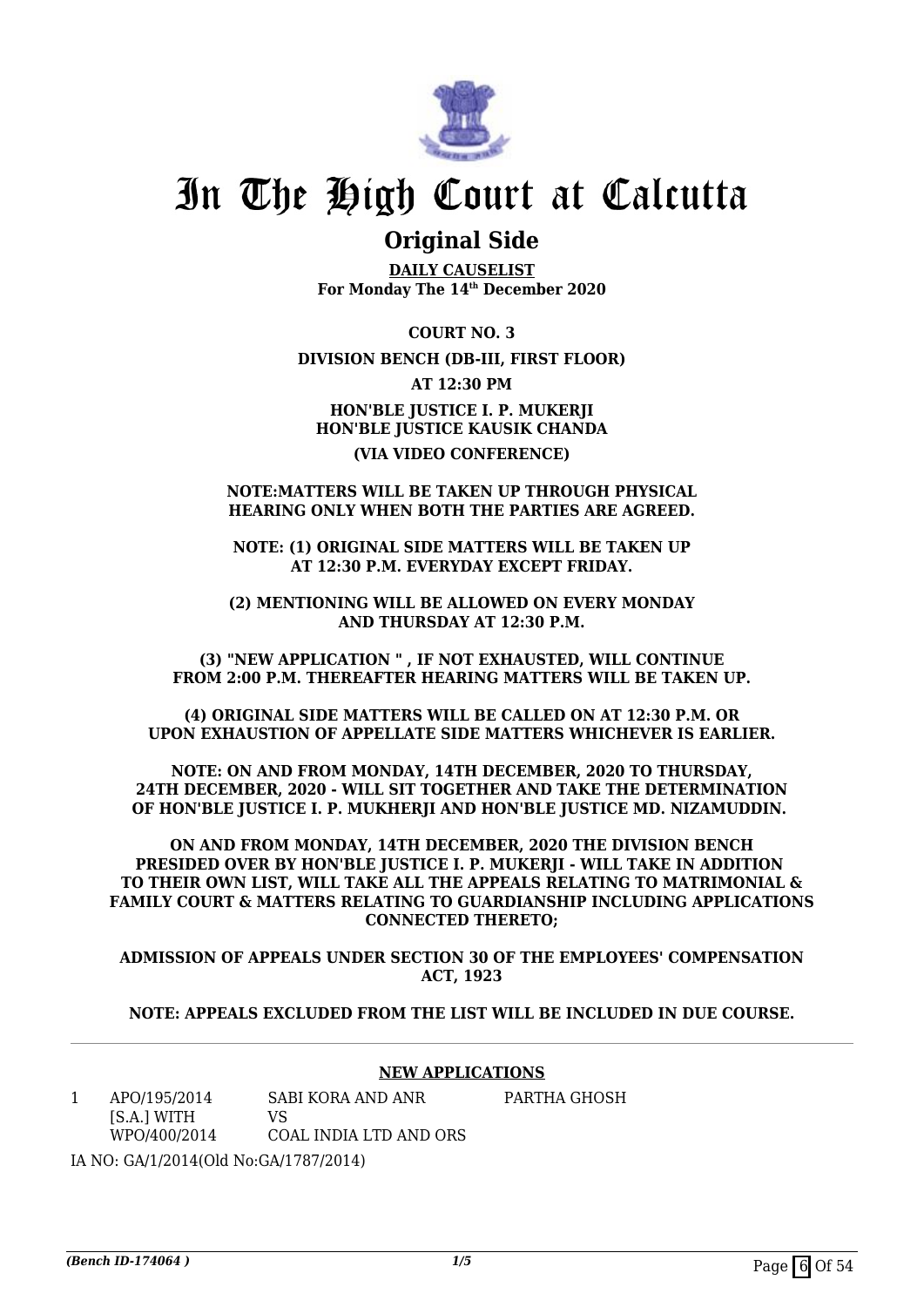

## **Original Side**

**DAILY CAUSELIST For Monday The 14th December 2020**

**COURT NO. 3 DIVISION BENCH (DB-III, FIRST FLOOR) AT 12:30 PM HON'BLE JUSTICE I. P. MUKERJI HON'BLE JUSTICE KAUSIK CHANDA (VIA VIDEO CONFERENCE)**

#### **NOTE:MATTERS WILL BE TAKEN UP THROUGH PHYSICAL HEARING ONLY WHEN BOTH THE PARTIES ARE AGREED.**

**NOTE: (1) ORIGINAL SIDE MATTERS WILL BE TAKEN UP AT 12:30 P.M. EVERYDAY EXCEPT FRIDAY.**

**(2) MENTIONING WILL BE ALLOWED ON EVERY MONDAY AND THURSDAY AT 12:30 P.M.**

**(3) "NEW APPLICATION " , IF NOT EXHAUSTED, WILL CONTINUE FROM 2:00 P.M. THEREAFTER HEARING MATTERS WILL BE TAKEN UP.**

**(4) ORIGINAL SIDE MATTERS WILL BE CALLED ON AT 12:30 P.M. OR UPON EXHAUSTION OF APPELLATE SIDE MATTERS WHICHEVER IS EARLIER.**

**NOTE: ON AND FROM MONDAY, 14TH DECEMBER, 2020 TO THURSDAY, 24TH DECEMBER, 2020 - WILL SIT TOGETHER AND TAKE THE DETERMINATION OF HON'BLE JUSTICE I. P. MUKHERJI AND HON'BLE JUSTICE MD. NIZAMUDDIN.** 

**ON AND FROM MONDAY, 14TH DECEMBER, 2020 THE DIVISION BENCH** PRESIDED OVER BY HON'BLE **IUSTICE I. P. MUKERII - WILL TAKE IN ADDITION TO THEIR OWN LIST, WILL TAKE ALL THE APPEALS RELATING TO MATRIMONIAL & FAMILY COURT & MATTERS RELATING TO GUARDIANSHIP INCLUDING APPLICATIONS CONNECTED THERETO;**

**ADMISSION OF APPEALS UNDER SECTION 30 OF THE EMPLOYEES' COMPENSATION ACT, 1923**

**NOTE: APPEALS EXCLUDED FROM THE LIST WILL BE INCLUDED IN DUE COURSE.**

## **NEW APPLICATIONS**

1 APO/195/2014 [S.A.] WITH WPO/400/2014 SABI KORA AND ANR  $V<sup>Q</sup>$ COAL INDIA LTD AND ORS PARTHA GHOSH

IA NO: GA/1/2014(Old No:GA/1787/2014)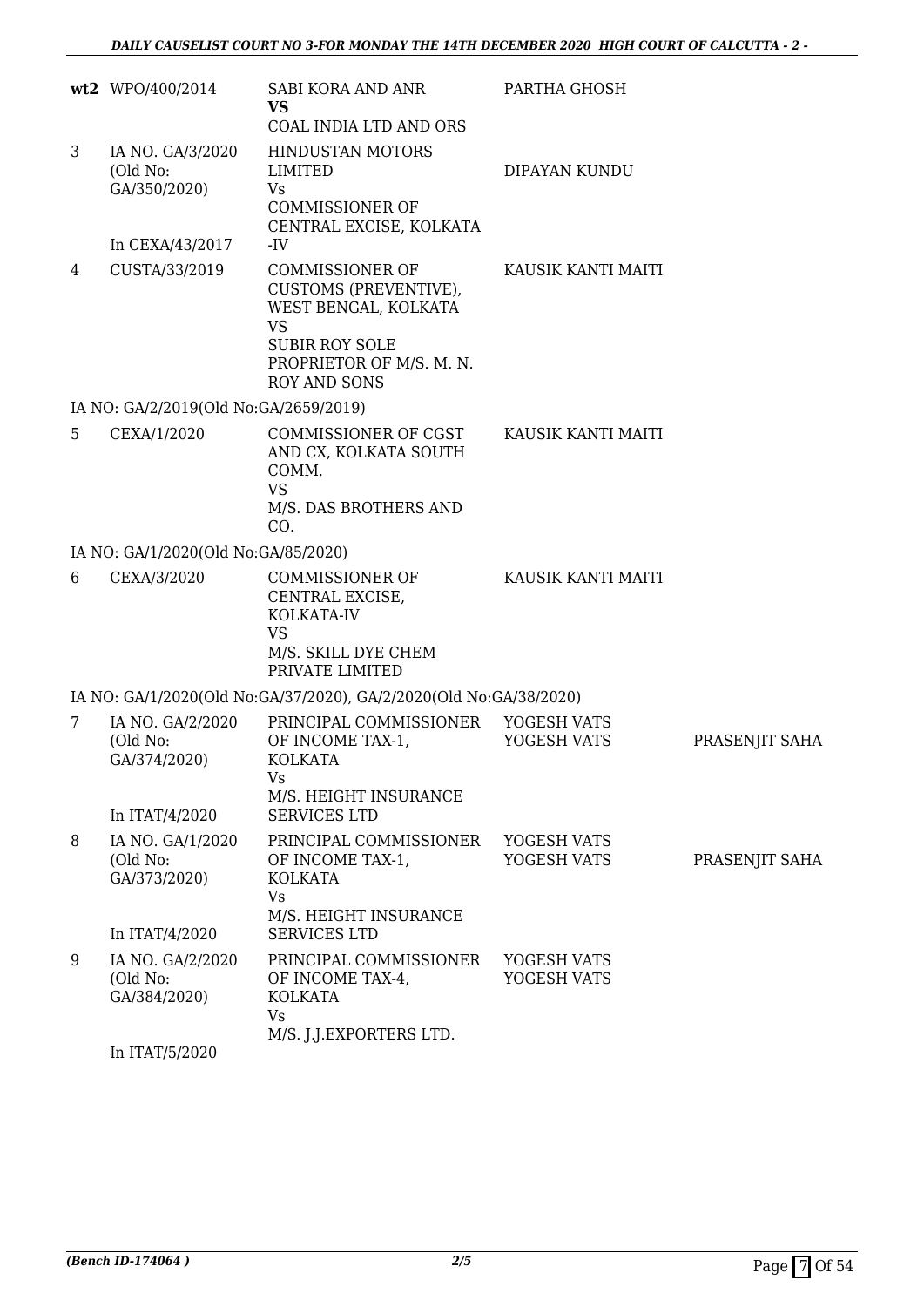|   | wt2 WPO/400/2014                                                                 | SABI KORA AND ANR<br><b>VS</b><br>COAL INDIA LTD AND ORS                                                                                                         | PARTHA GHOSH               |                |
|---|----------------------------------------------------------------------------------|------------------------------------------------------------------------------------------------------------------------------------------------------------------|----------------------------|----------------|
| 3 | IA NO. GA/3/2020<br>(Old No:<br>GA/350/2020)<br>In CEXA/43/2017                  | HINDUSTAN MOTORS<br>LIMITED<br>Vs<br><b>COMMISSIONER OF</b><br>CENTRAL EXCISE, KOLKATA<br>-IV                                                                    | DIPAYAN KUNDU              |                |
| 4 | CUSTA/33/2019                                                                    | <b>COMMISSIONER OF</b><br>CUSTOMS (PREVENTIVE),<br>WEST BENGAL, KOLKATA<br><b>VS</b><br><b>SUBIR ROY SOLE</b><br>PROPRIETOR OF M/S. M. N.<br><b>ROY AND SONS</b> | KAUSIK KANTI MAITI         |                |
|   | IA NO: GA/2/2019(Old No:GA/2659/2019)                                            |                                                                                                                                                                  |                            |                |
| 5 | CEXA/1/2020                                                                      | COMMISSIONER OF CGST<br>AND CX, KOLKATA SOUTH<br>COMM.<br><b>VS</b><br>M/S. DAS BROTHERS AND<br>CO.                                                              | KAUSIK KANTI MAITI         |                |
|   | IA NO: GA/1/2020(Old No:GA/85/2020)                                              |                                                                                                                                                                  |                            |                |
| 6 | CEXA/3/2020                                                                      | COMMISSIONER OF<br>CENTRAL EXCISE,<br>KOLKATA-IV<br><b>VS</b><br>M/S. SKILL DYE CHEM<br>PRIVATE LIMITED                                                          | KAUSIK KANTI MAITI         |                |
|   |                                                                                  | IA NO: GA/1/2020(Old No:GA/37/2020), GA/2/2020(Old No:GA/38/2020)                                                                                                |                            |                |
| 7 | IA NO. GA/2/2020<br>(Old No:<br>GA/374/2020)<br>In ITAT/4/2020                   | PRINCIPAL COMMISSIONER YOGESH VATS<br>OF INCOME TAX-1,<br><b>KOLKATA</b><br>Vs<br>M/S. HEIGHT INSURANCE<br><b>SERVICES LTD</b>                                   | YOGESH VATS                | PRASENJIT SAHA |
| 8 | IA NO. GA/1/2020<br>(Old No:<br>GA/373/2020)                                     | PRINCIPAL COMMISSIONER<br>OF INCOME TAX-1,<br>KOLKATA<br>Vs<br>M/S. HEIGHT INSURANCE                                                                             | YOGESH VATS<br>YOGESH VATS | PRASENJIT SAHA |
| 9 | In ITAT/4/2020<br>IA NO. GA/2/2020<br>(Old No:<br>GA/384/2020)<br>In ITAT/5/2020 | <b>SERVICES LTD</b><br>PRINCIPAL COMMISSIONER<br>OF INCOME TAX-4,<br><b>KOLKATA</b><br>Vs<br>M/S. J.J. EXPORTERS LTD.                                            | YOGESH VATS<br>YOGESH VATS |                |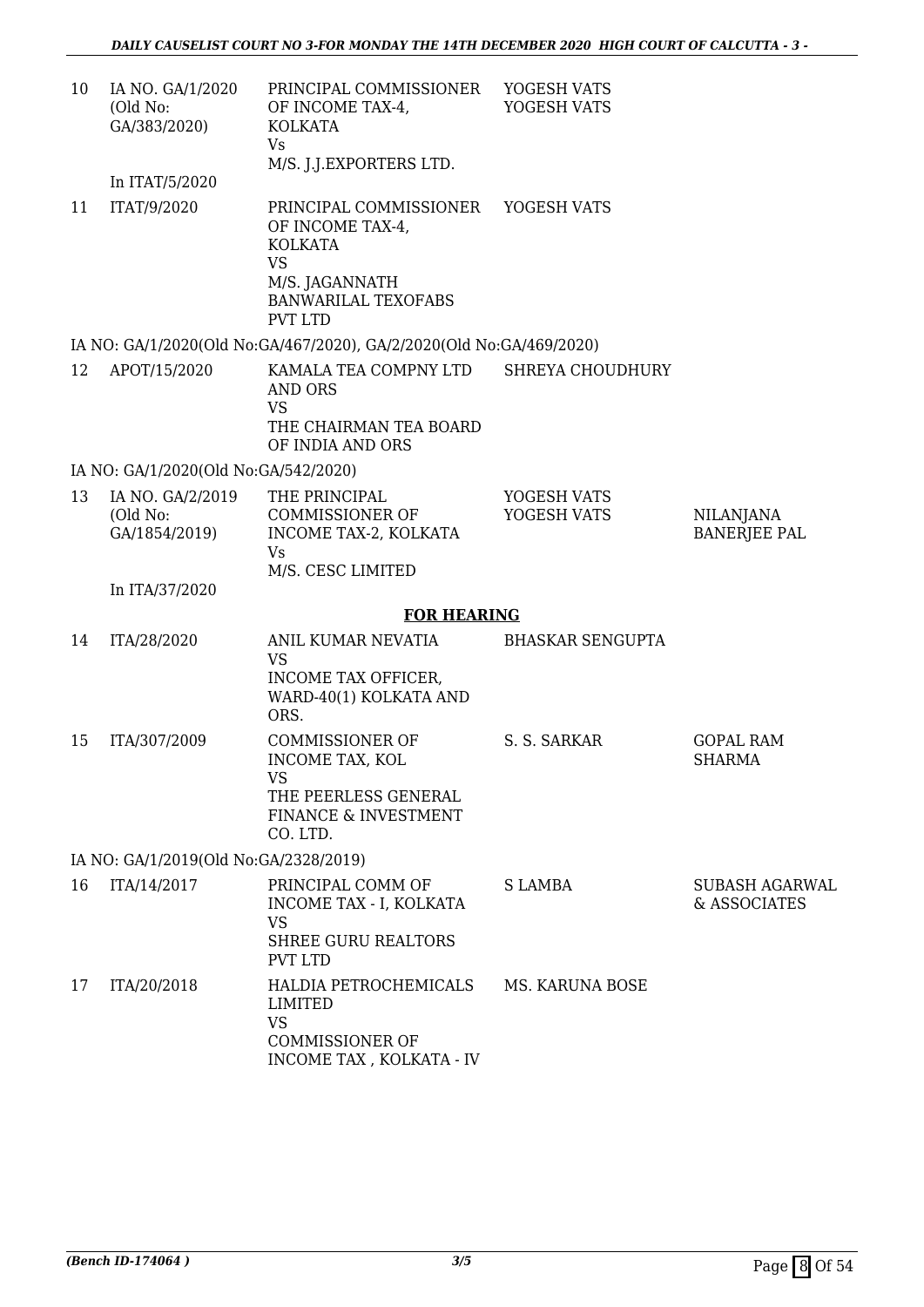| 10 | IA NO. GA/1/2020<br>(Old No:<br>GA/383/2020)  | PRINCIPAL COMMISSIONER<br>OF INCOME TAX-4,<br><b>KOLKATA</b><br>Vs                                                                          | YOGESH VATS<br>YOGESH VATS |                                         |
|----|-----------------------------------------------|---------------------------------------------------------------------------------------------------------------------------------------------|----------------------------|-----------------------------------------|
|    | In ITAT/5/2020                                | M/S. J.J. EXPORTERS LTD.                                                                                                                    |                            |                                         |
| 11 | ITAT/9/2020                                   | PRINCIPAL COMMISSIONER<br>OF INCOME TAX-4,<br><b>KOLKATA</b><br><b>VS</b><br>M/S. JAGANNATH<br><b>BANWARILAL TEXOFABS</b><br><b>PVT LTD</b> | YOGESH VATS                |                                         |
|    |                                               | IA NO: GA/1/2020(Old No:GA/467/2020), GA/2/2020(Old No:GA/469/2020)                                                                         |                            |                                         |
| 12 | APOT/15/2020                                  | KAMALA TEA COMPNY LTD<br>AND ORS<br><b>VS</b><br>THE CHAIRMAN TEA BOARD<br>OF INDIA AND ORS                                                 | <b>SHREYA CHOUDHURY</b>    |                                         |
|    | IA NO: GA/1/2020(Old No:GA/542/2020)          |                                                                                                                                             |                            |                                         |
| 13 | IA NO. GA/2/2019<br>(Old No:<br>GA/1854/2019) | THE PRINCIPAL<br><b>COMMISSIONER OF</b><br>INCOME TAX-2, KOLKATA<br>Vs<br>M/S. CESC LIMITED                                                 | YOGESH VATS<br>YOGESH VATS | <b>NILANJANA</b><br><b>BANERJEE PAL</b> |
|    | In ITA/37/2020                                |                                                                                                                                             |                            |                                         |
|    |                                               | <b>FOR HEARING</b>                                                                                                                          |                            |                                         |
| 14 | ITA/28/2020                                   | ANIL KUMAR NEVATIA<br><b>VS</b><br>INCOME TAX OFFICER,<br>WARD-40(1) KOLKATA AND<br>ORS.                                                    | <b>BHASKAR SENGUPTA</b>    |                                         |
| 15 | ITA/307/2009                                  | <b>COMMISSIONER OF</b><br>INCOME TAX, KOL<br><b>VS</b><br>THE PEERLESS GENERAL<br>FINANCE & INVESTMENT<br>CO. LTD.                          | S. S. SARKAR               | <b>GOPAL RAM</b><br><b>SHARMA</b>       |
|    | IA NO: GA/1/2019(Old No:GA/2328/2019)         |                                                                                                                                             |                            |                                         |
| 16 | ITA/14/2017                                   | PRINCIPAL COMM OF<br>INCOME TAX - I, KOLKATA<br><b>VS</b><br><b>SHREE GURU REALTORS</b><br><b>PVT LTD</b>                                   | <b>SLAMBA</b>              | <b>SUBASH AGARWAL</b><br>& ASSOCIATES   |
| 17 | ITA/20/2018                                   | HALDIA PETROCHEMICALS<br><b>LIMITED</b><br><b>VS</b><br><b>COMMISSIONER OF</b><br>INCOME TAX , KOLKATA - IV                                 | MS. KARUNA BOSE            |                                         |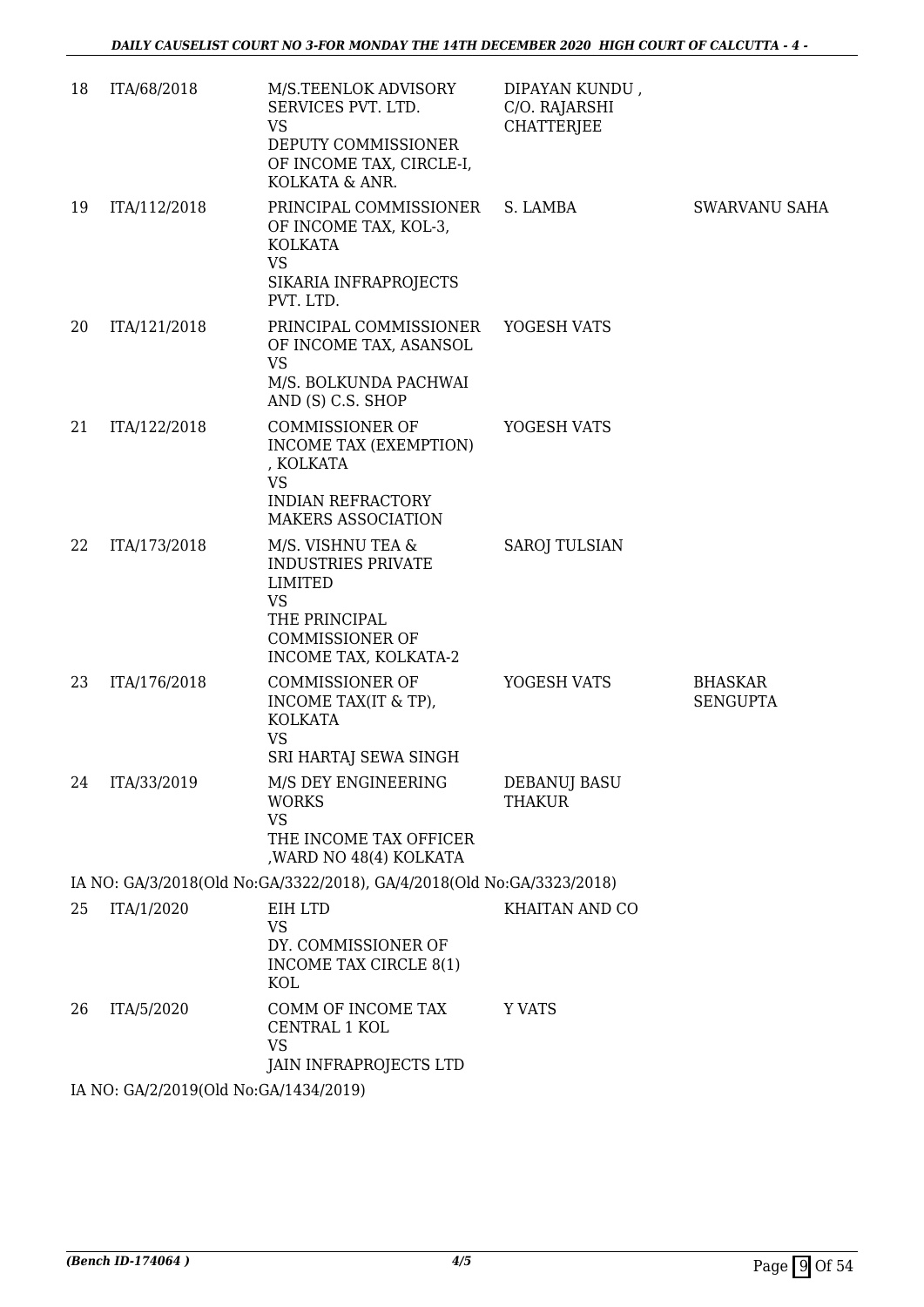| 18 | ITA/68/2018                           | M/S.TEENLOK ADVISORY<br>SERVICES PVT. LTD.<br>VS<br>DEPUTY COMMISSIONER<br>OF INCOME TAX, CIRCLE-I,<br>KOLKATA & ANR. | DIPAYAN KUNDU,<br>C/O. RAJARSHI<br><b>CHATTERJEE</b> |                                   |
|----|---------------------------------------|-----------------------------------------------------------------------------------------------------------------------|------------------------------------------------------|-----------------------------------|
| 19 | ITA/112/2018                          | PRINCIPAL COMMISSIONER<br>OF INCOME TAX, KOL-3,<br><b>KOLKATA</b><br><b>VS</b>                                        | S. LAMBA                                             | <b>SWARVANU SAHA</b>              |
|    |                                       | SIKARIA INFRAPROJECTS<br>PVT. LTD.                                                                                    |                                                      |                                   |
| 20 | ITA/121/2018                          | PRINCIPAL COMMISSIONER<br>OF INCOME TAX, ASANSOL<br><b>VS</b><br>M/S. BOLKUNDA PACHWAI<br>AND (S) C.S. SHOP           | YOGESH VATS                                          |                                   |
| 21 | ITA/122/2018                          | <b>COMMISSIONER OF</b><br>INCOME TAX (EXEMPTION)<br>, KOLKATA<br><b>VS</b>                                            | YOGESH VATS                                          |                                   |
|    |                                       | <b>INDIAN REFRACTORY</b><br>MAKERS ASSOCIATION                                                                        |                                                      |                                   |
| 22 | ITA/173/2018                          | M/S. VISHNU TEA &<br><b>INDUSTRIES PRIVATE</b><br>LIMITED<br>VS<br>THE PRINCIPAL                                      | <b>SAROJ TULSIAN</b>                                 |                                   |
|    |                                       | <b>COMMISSIONER OF</b><br>INCOME TAX, KOLKATA-2                                                                       |                                                      |                                   |
| 23 | ITA/176/2018                          | <b>COMMISSIONER OF</b><br>INCOME TAX(IT & TP),<br><b>KOLKATA</b><br><b>VS</b>                                         | YOGESH VATS                                          | <b>BHASKAR</b><br><b>SENGUPTA</b> |
|    |                                       | SRI HARTAJ SEWA SINGH                                                                                                 |                                                      |                                   |
| 24 | ITA/33/2019                           | M/S DEY ENGINEERING<br><b>WORKS</b><br><b>VS</b>                                                                      | DEBANUJ BASU<br><b>THAKUR</b>                        |                                   |
|    |                                       | THE INCOME TAX OFFICER<br>, WARD NO 48(4) KOLKATA                                                                     |                                                      |                                   |
|    |                                       | IA NO: GA/3/2018(Old No:GA/3322/2018), GA/4/2018(Old No:GA/3323/2018)                                                 |                                                      |                                   |
| 25 | ITA/1/2020                            | EIH LTD<br>VS<br>DY. COMMISSIONER OF<br>INCOME TAX CIRCLE 8(1)<br><b>KOL</b>                                          | KHAITAN AND CO                                       |                                   |
| 26 | ITA/5/2020                            | COMM OF INCOME TAX<br>CENTRAL 1 KOL<br><b>VS</b><br>JAIN INFRAPROJECTS LTD                                            | <b>Y VATS</b>                                        |                                   |
|    | IA NO: GA/2/2019(Old No:GA/1434/2019) |                                                                                                                       |                                                      |                                   |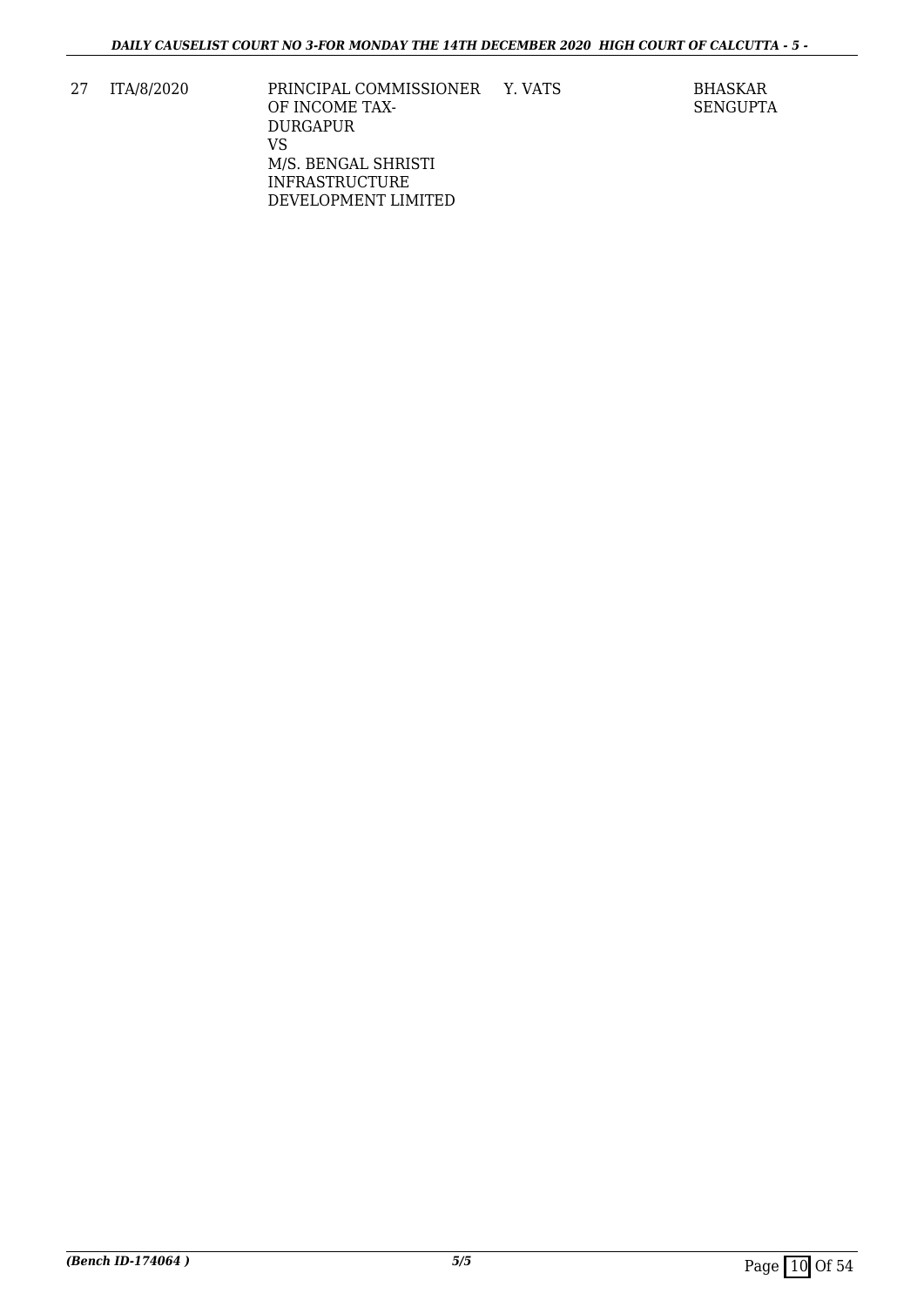27 ITA/8/2020 PRINCIPAL COMMISSIONER OF INCOME TAX-DURGAPUR VS M/S. BENGAL SHRISTI INFRASTRUCTURE DEVELOPMENT LIMITED

Y. VATS BHASKAR SENGUPTA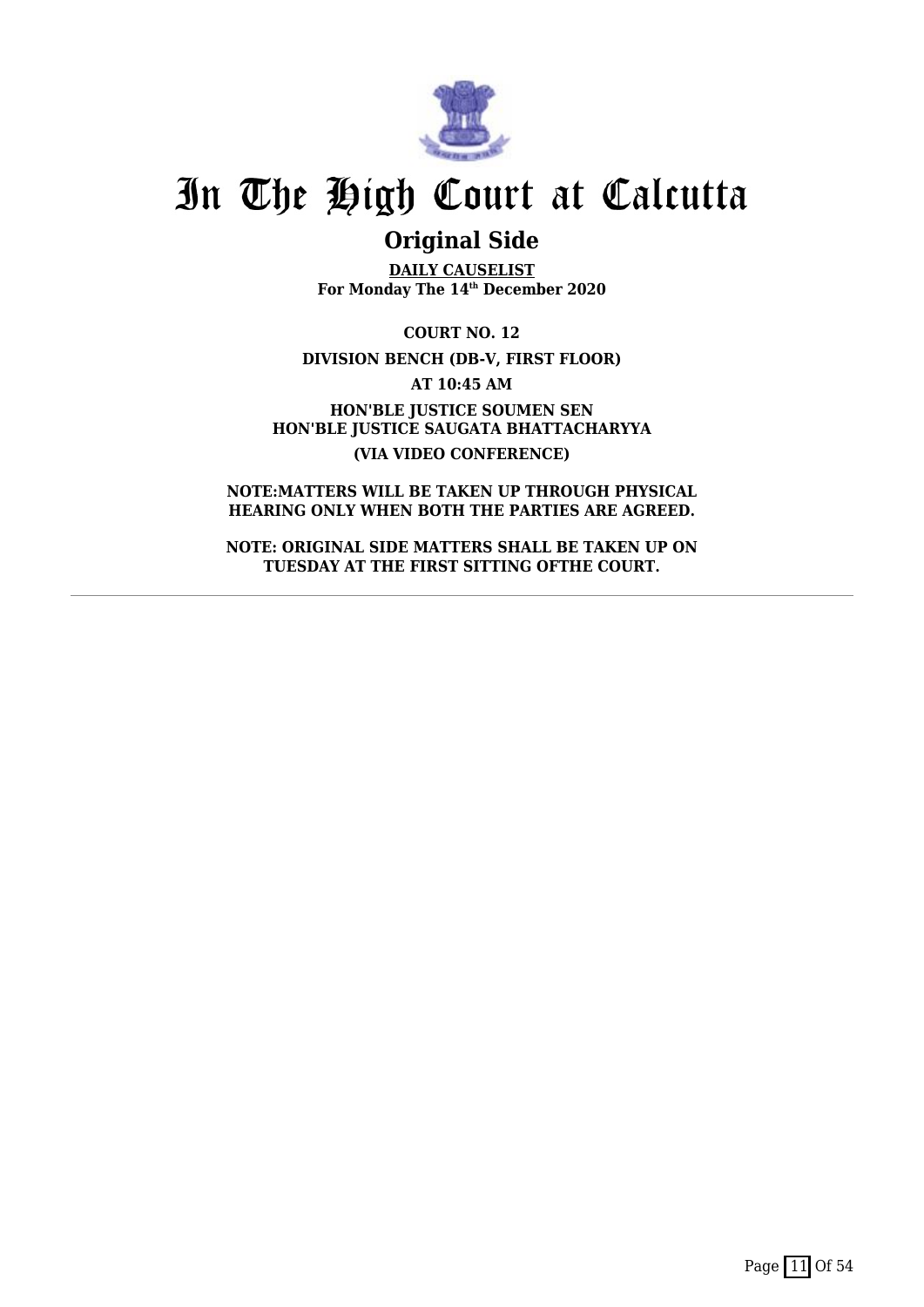

# **Original Side**

**DAILY CAUSELIST For Monday The 14th December 2020**

**COURT NO. 12 DIVISION BENCH (DB-V, FIRST FLOOR) AT 10:45 AM HON'BLE JUSTICE SOUMEN SEN HON'BLE JUSTICE SAUGATA BHATTACHARYYA (VIA VIDEO CONFERENCE)**

**NOTE:MATTERS WILL BE TAKEN UP THROUGH PHYSICAL HEARING ONLY WHEN BOTH THE PARTIES ARE AGREED.**

**NOTE: ORIGINAL SIDE MATTERS SHALL BE TAKEN UP ON TUESDAY AT THE FIRST SITTING OFTHE COURT.**

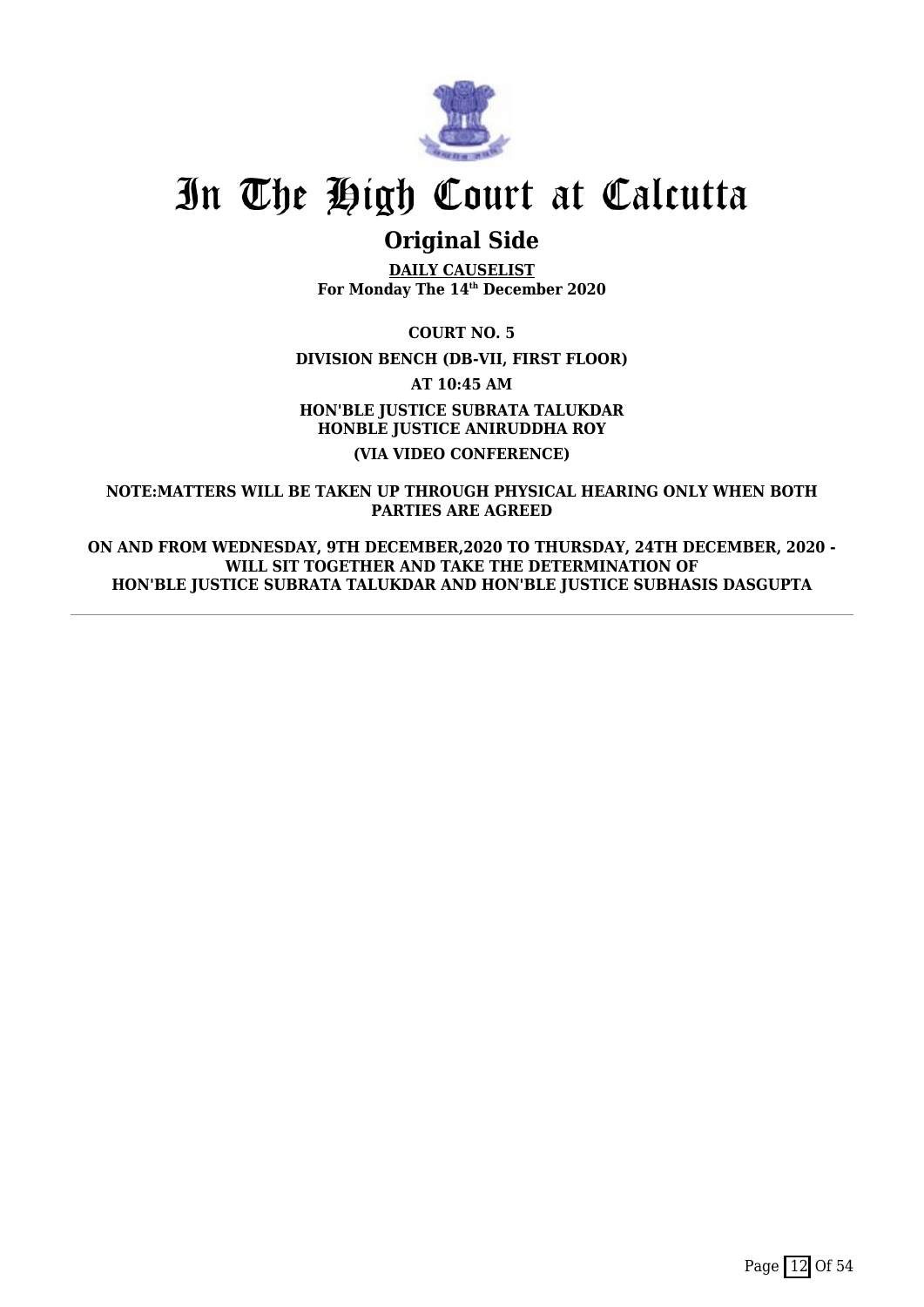

# **Original Side**

**DAILY CAUSELIST For Monday The 14th December 2020**

**COURT NO. 5**

**DIVISION BENCH (DB-VII, FIRST FLOOR)**

**AT 10:45 AM**

**HON'BLE JUSTICE SUBRATA TALUKDAR HONBLE JUSTICE ANIRUDDHA ROY (VIA VIDEO CONFERENCE)**

**NOTE:MATTERS WILL BE TAKEN UP THROUGH PHYSICAL HEARING ONLY WHEN BOTH PARTIES ARE AGREED**

**ON AND FROM WEDNESDAY, 9TH DECEMBER,2020 TO THURSDAY, 24TH DECEMBER, 2020 - WILL SIT TOGETHER AND TAKE THE DETERMINATION OF HON'BLE JUSTICE SUBRATA TALUKDAR AND HON'BLE JUSTICE SUBHASIS DASGUPTA**

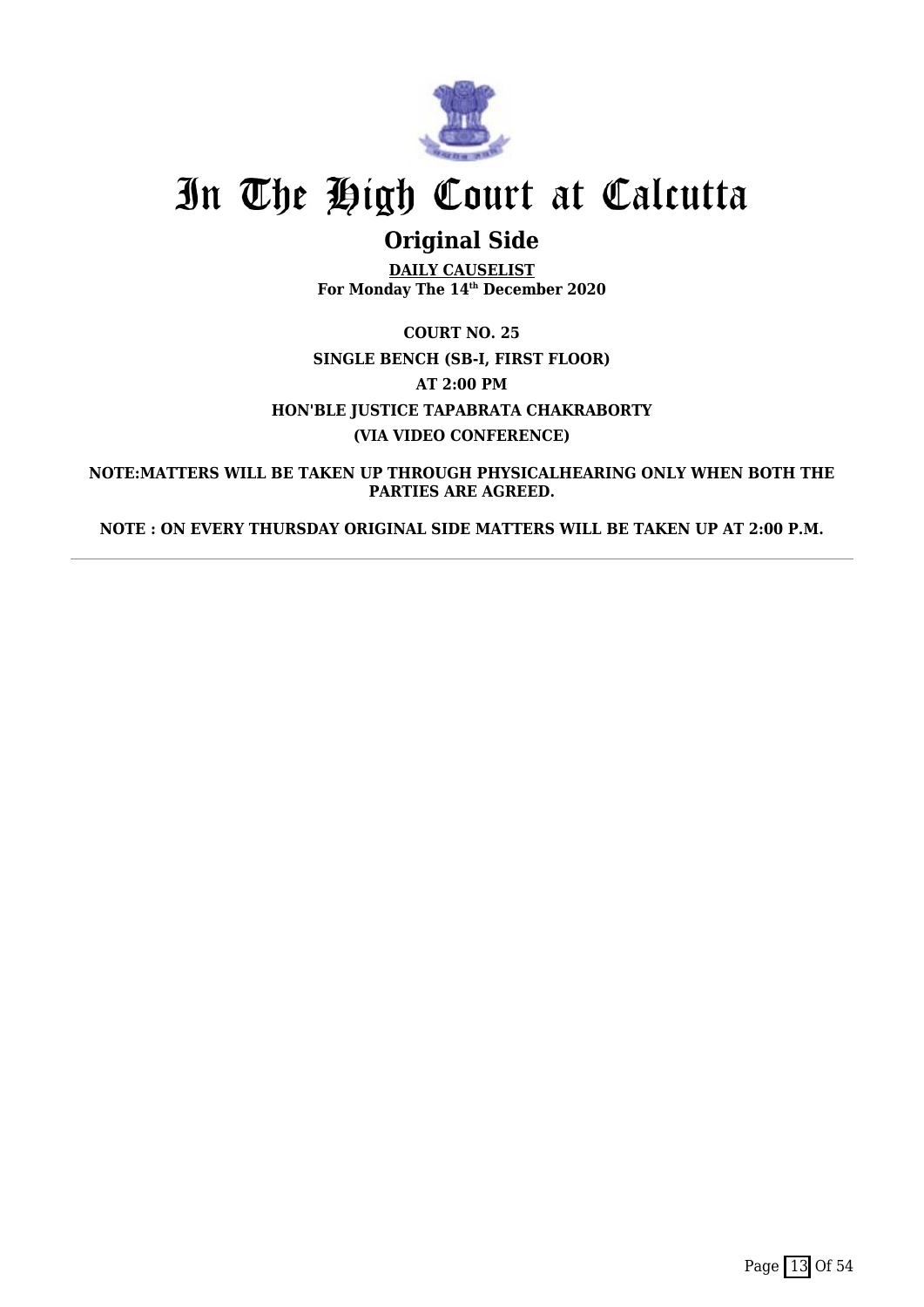

# **Original Side**

**DAILY CAUSELIST For Monday The 14th December 2020**

**COURT NO. 25 SINGLE BENCH (SB-I, FIRST FLOOR) AT 2:00 PM HON'BLE JUSTICE TAPABRATA CHAKRABORTY (VIA VIDEO CONFERENCE)**

**NOTE:MATTERS WILL BE TAKEN UP THROUGH PHYSICALHEARING ONLY WHEN BOTH THE PARTIES ARE AGREED.**

**NOTE : ON EVERY THURSDAY ORIGINAL SIDE MATTERS WILL BE TAKEN UP AT 2:00 P.M.**

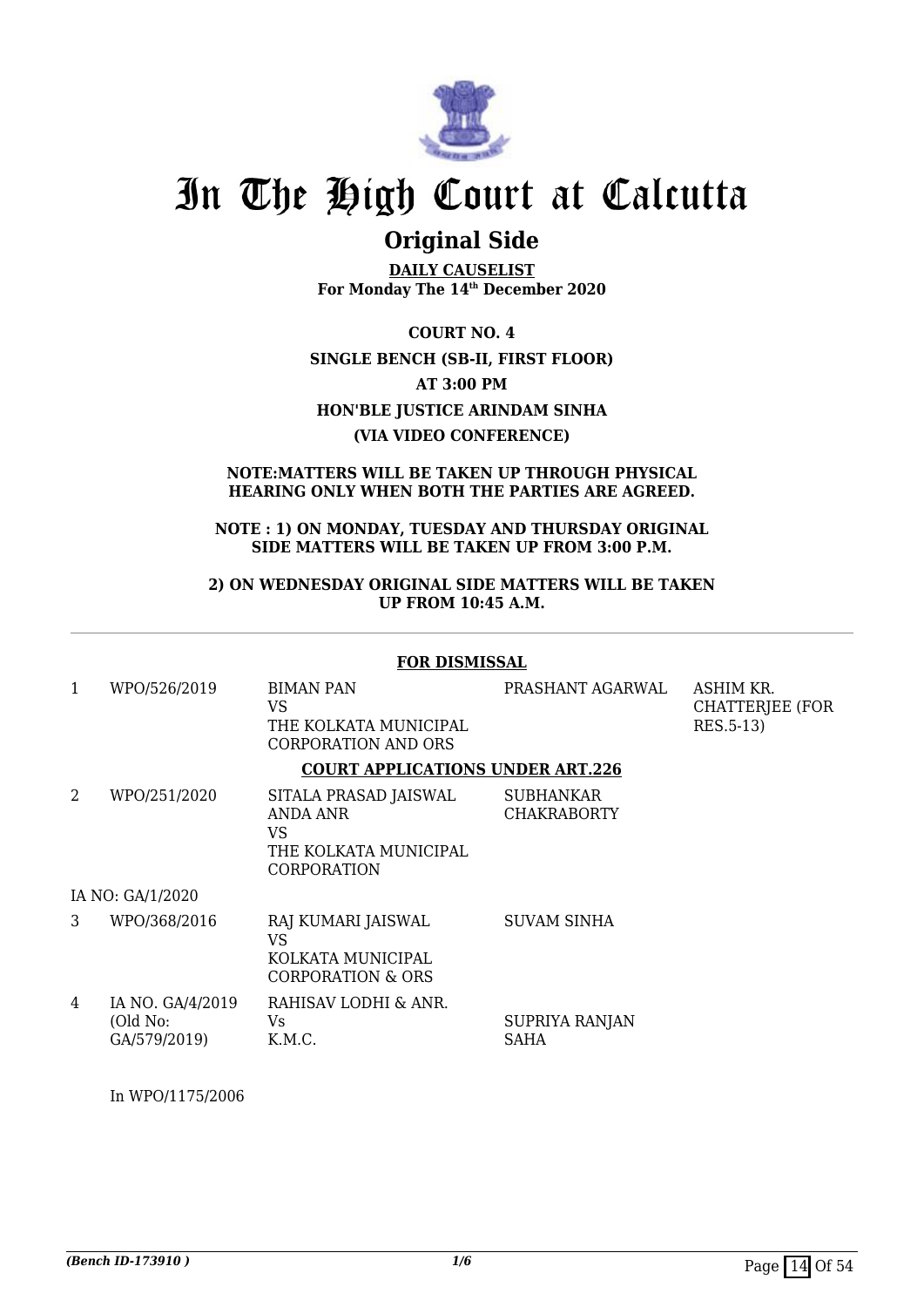

# **Original Side**

**DAILY CAUSELIST For Monday The 14th December 2020**

**COURT NO. 4 SINGLE BENCH (SB-II, FIRST FLOOR) AT 3:00 PM HON'BLE JUSTICE ARINDAM SINHA (VIA VIDEO CONFERENCE)**

### **NOTE:MATTERS WILL BE TAKEN UP THROUGH PHYSICAL HEARING ONLY WHEN BOTH THE PARTIES ARE AGREED.**

### **NOTE : 1) ON MONDAY, TUESDAY AND THURSDAY ORIGINAL SIDE MATTERS WILL BE TAKEN UP FROM 3:00 P.M.**

**2) ON WEDNESDAY ORIGINAL SIDE MATTERS WILL BE TAKEN UP FROM 10:45 A.M.**

| <b>FOR DISMISSAL</b> |  |  |  |
|----------------------|--|--|--|
|                      |  |  |  |

| 1 | WPO/526/2019                                 | <b>BIMAN PAN</b><br>VS.<br>THE KOLKATA MUNICIPAL<br><b>CORPORATION AND ORS</b>         | PRASHANT AGARWAL                | ASHIM KR.<br><b>CHATTERJEE (FOR</b><br>RES.5-13) |
|---|----------------------------------------------|----------------------------------------------------------------------------------------|---------------------------------|--------------------------------------------------|
|   |                                              | <b>COURT APPLICATIONS UNDER ART.226</b>                                                |                                 |                                                  |
| 2 | WPO/251/2020                                 | SITALA PRASAD JAISWAL<br>ANDA ANR<br>VS<br>THE KOLKATA MUNICIPAL<br><b>CORPORATION</b> | SUBHANKAR<br><b>CHAKRABORTY</b> |                                                  |
|   | IA NO: GA/1/2020                             |                                                                                        |                                 |                                                  |
| 3 | WPO/368/2016                                 | RAJ KUMARI JAISWAL<br>VS<br>KOLKATA MUNICIPAL<br><b>CORPORATION &amp; ORS</b>          | <b>SUVAM SINHA</b>              |                                                  |
| 4 | IA NO. GA/4/2019<br>(Old No:<br>GA/579/2019) | RAHISAV LODHI & ANR.<br>Vs.<br>K.M.C.                                                  | SUPRIYA RANJAN<br>SAHA          |                                                  |

### In WPO/1175/2006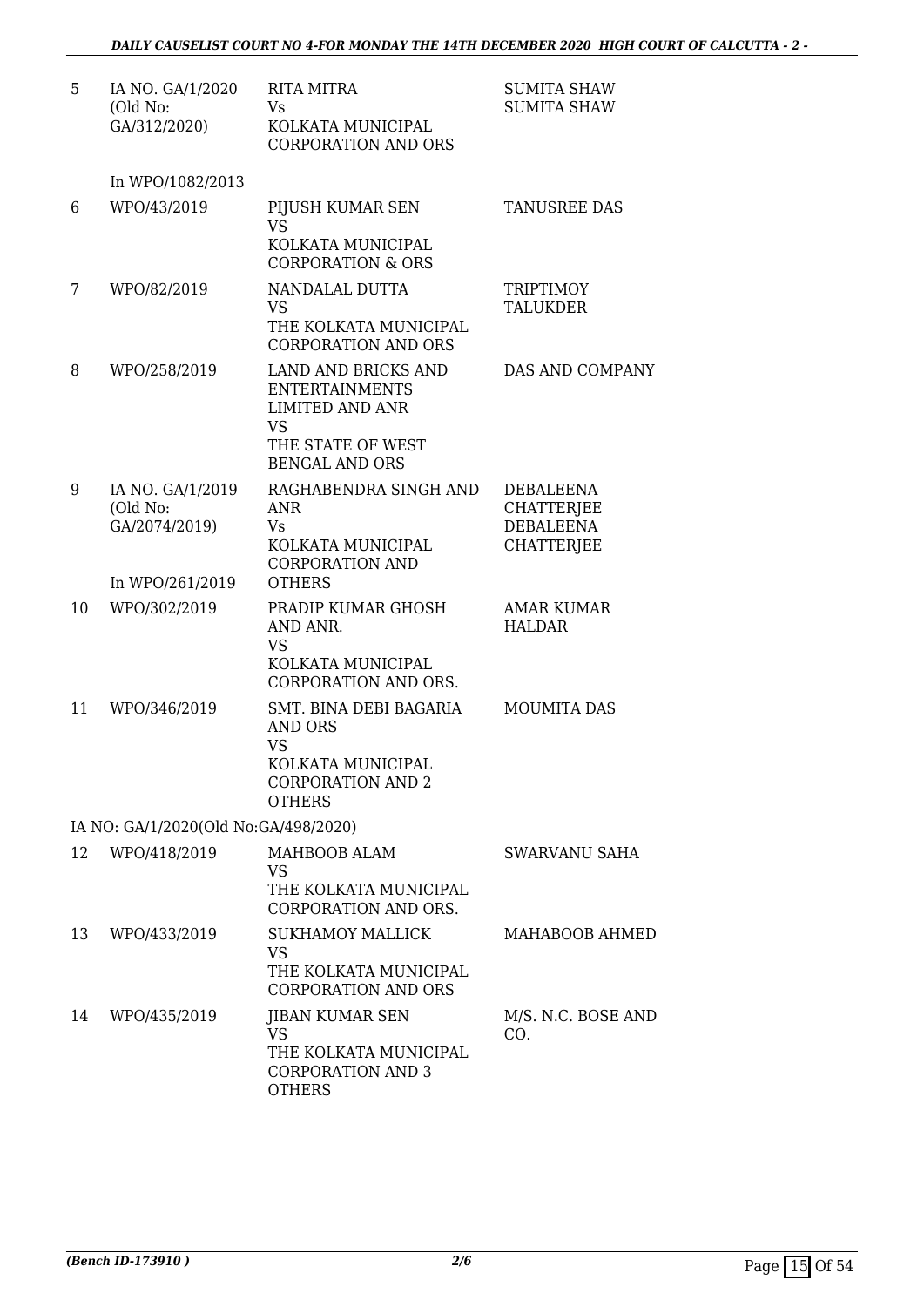| 5  | IA NO. GA/1/2020<br>(Old No:<br>GA/312/2020)  | <b>RITA MITRA</b><br>Vs.<br>KOLKATA MUNICIPAL<br><b>CORPORATION AND ORS</b>                                                       | <b>SUMITA SHAW</b><br><b>SUMITA SHAW</b>                         |
|----|-----------------------------------------------|-----------------------------------------------------------------------------------------------------------------------------------|------------------------------------------------------------------|
|    | In WPO/1082/2013                              |                                                                                                                                   |                                                                  |
| 6  | WPO/43/2019                                   | PIJUSH KUMAR SEN<br><b>VS</b><br>KOLKATA MUNICIPAL<br><b>CORPORATION &amp; ORS</b>                                                | TANUSREE DAS                                                     |
| 7  | WPO/82/2019                                   | NANDALAL DUTTA<br><b>VS</b><br>THE KOLKATA MUNICIPAL<br><b>CORPORATION AND ORS</b>                                                | <b>TRIPTIMOY</b><br><b>TALUKDER</b>                              |
| 8  | WPO/258/2019                                  | LAND AND BRICKS AND<br><b>ENTERTAINMENTS</b><br><b>LIMITED AND ANR</b><br><b>VS</b><br>THE STATE OF WEST<br><b>BENGAL AND ORS</b> | <b>DAS AND COMPANY</b>                                           |
| 9  | IA NO. GA/1/2019<br>(Old No:<br>GA/2074/2019) | RAGHABENDRA SINGH AND<br><b>ANR</b><br>Vs.<br>KOLKATA MUNICIPAL<br><b>CORPORATION AND</b>                                         | DEBALEENA<br>CHATTERJEE<br><b>DEBALEENA</b><br><b>CHATTERJEE</b> |
|    | In WPO/261/2019                               | <b>OTHERS</b>                                                                                                                     |                                                                  |
| 10 | WPO/302/2019                                  | PRADIP KUMAR GHOSH<br>AND ANR.<br>VS<br>KOLKATA MUNICIPAL<br>CORPORATION AND ORS.                                                 | <b>AMAR KUMAR</b><br><b>HALDAR</b>                               |
| 11 | WPO/346/2019                                  | SMT. BINA DEBI BAGARIA<br><b>AND ORS</b><br><b>VS</b><br>KOLKATA MUNICIPAL<br><b>CORPORATION AND 2</b><br><b>OTHERS</b>           | <b>MOUMITA DAS</b>                                               |
|    | IA NO: GA/1/2020(Old No:GA/498/2020)          |                                                                                                                                   |                                                                  |
| 12 | WPO/418/2019                                  | MAHBOOB ALAM<br><b>VS</b><br>THE KOLKATA MUNICIPAL<br><b>CORPORATION AND ORS.</b>                                                 | <b>SWARVANU SAHA</b>                                             |
| 13 | WPO/433/2019                                  | SUKHAMOY MALLICK<br><b>VS</b><br>THE KOLKATA MUNICIPAL<br><b>CORPORATION AND ORS</b>                                              | MAHABOOB AHMED                                                   |
| 14 | WPO/435/2019                                  | <b>JIBAN KUMAR SEN</b><br><b>VS</b><br>THE KOLKATA MUNICIPAL<br><b>CORPORATION AND 3</b><br><b>OTHERS</b>                         | M/S. N.C. BOSE AND<br>CO.                                        |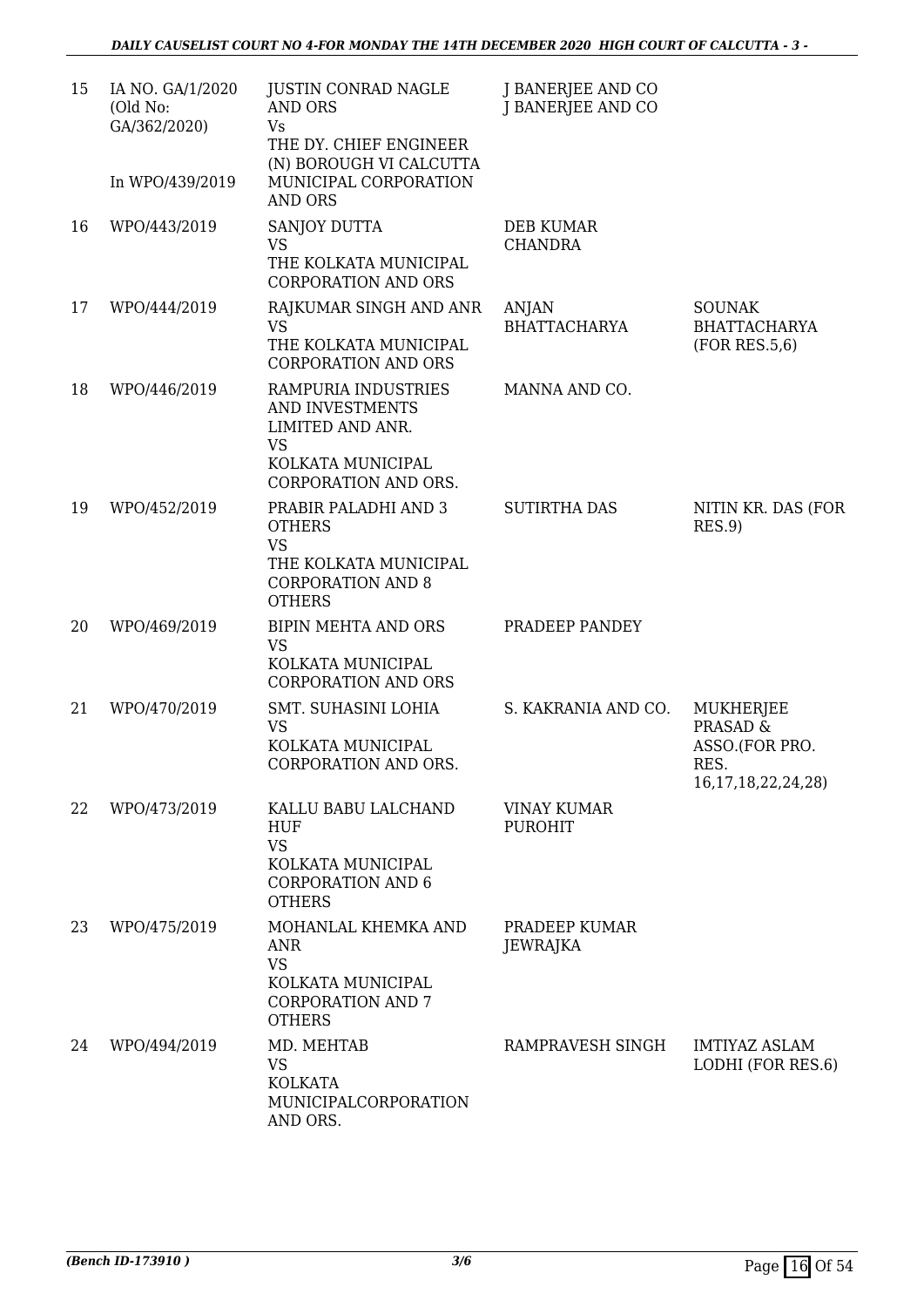| 15 | IA NO. GA/1/2020<br>(Old No:<br>GA/362/2020) | <b>JUSTIN CONRAD NAGLE</b><br>AND ORS<br><b>Vs</b><br>THE DY. CHIEF ENGINEER                                             | J BANERJEE AND CO<br>J BANERJEE AND CO |                                                                                              |
|----|----------------------------------------------|--------------------------------------------------------------------------------------------------------------------------|----------------------------------------|----------------------------------------------------------------------------------------------|
|    | In WPO/439/2019                              | (N) BOROUGH VI CALCUTTA<br>MUNICIPAL CORPORATION<br><b>AND ORS</b>                                                       |                                        |                                                                                              |
| 16 | WPO/443/2019                                 | SANJOY DUTTA<br><b>VS</b><br>THE KOLKATA MUNICIPAL<br><b>CORPORATION AND ORS</b>                                         | <b>DEB KUMAR</b><br><b>CHANDRA</b>     |                                                                                              |
| 17 | WPO/444/2019                                 | RAJKUMAR SINGH AND ANR<br><b>VS</b><br>THE KOLKATA MUNICIPAL<br><b>CORPORATION AND ORS</b>                               | <b>ANJAN</b><br><b>BHATTACHARYA</b>    | <b>SOUNAK</b><br><b>BHATTACHARYA</b><br>(FOR RES.5, 6)                                       |
| 18 | WPO/446/2019                                 | RAMPURIA INDUSTRIES<br>AND INVESTMENTS<br>LIMITED AND ANR.<br><b>VS</b>                                                  | MANNA AND CO.                          |                                                                                              |
|    |                                              | KOLKATA MUNICIPAL<br>CORPORATION AND ORS.                                                                                |                                        |                                                                                              |
| 19 | WPO/452/2019                                 | PRABIR PALADHI AND 3<br><b>OTHERS</b><br><b>VS</b><br>THE KOLKATA MUNICIPAL<br><b>CORPORATION AND 8</b><br><b>OTHERS</b> | <b>SUTIRTHA DAS</b>                    | NITIN KR. DAS (FOR<br><b>RES.9)</b>                                                          |
| 20 | WPO/469/2019                                 | <b>BIPIN MEHTA AND ORS</b><br><b>VS</b><br>KOLKATA MUNICIPAL<br><b>CORPORATION AND ORS</b>                               | PRADEEP PANDEY                         |                                                                                              |
| 21 | WPO/470/2019                                 | SMT. SUHASINI LOHIA<br><b>VS</b><br>KOLKATA MUNICIPAL<br><b>CORPORATION AND ORS</b>                                      | S. KAKRANIA AND CO.                    | <b>MUKHERJEE</b><br><b>PRASAD &amp;</b><br>ASSO.(FOR PRO.<br>RES.<br>16, 17, 18, 22, 24, 28) |
| 22 | WPO/473/2019                                 | KALLU BABU LALCHAND<br><b>HUF</b><br><b>VS</b><br>KOLKATA MUNICIPAL<br><b>CORPORATION AND 6</b><br><b>OTHERS</b>         | <b>VINAY KUMAR</b><br><b>PUROHIT</b>   |                                                                                              |
| 23 | WPO/475/2019                                 | MOHANLAL KHEMKA AND<br><b>ANR</b><br><b>VS</b><br>KOLKATA MUNICIPAL<br><b>CORPORATION AND 7</b><br><b>OTHERS</b>         | PRADEEP KUMAR<br>JEWRAJKA              |                                                                                              |
| 24 | WPO/494/2019                                 | MD. MEHTAB<br><b>VS</b><br><b>KOLKATA</b><br>MUNICIPALCORPORATION<br>AND ORS.                                            | RAMPRAVESH SINGH                       | <b>IMTIYAZ ASLAM</b><br>LODHI (FOR RES.6)                                                    |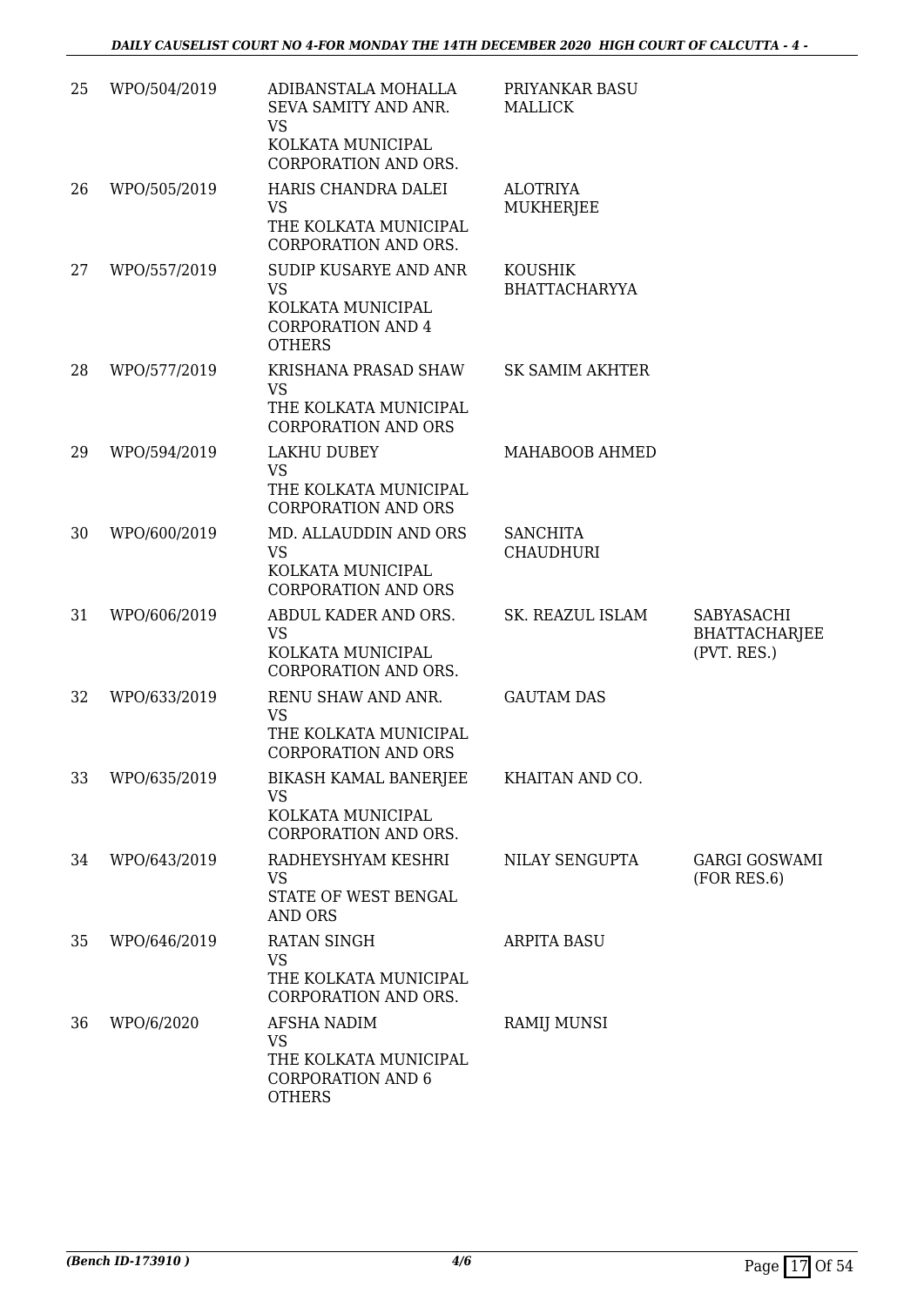| 25 | WPO/504/2019 | ADIBANSTALA MOHALLA<br>SEVA SAMITY AND ANR.<br><b>VS</b><br>KOLKATA MUNICIPAL<br>CORPORATION AND ORS.       | PRIYANKAR BASU<br><b>MALLICK</b>       |                                                   |
|----|--------------|-------------------------------------------------------------------------------------------------------------|----------------------------------------|---------------------------------------------------|
| 26 | WPO/505/2019 | HARIS CHANDRA DALEI<br><b>VS</b><br>THE KOLKATA MUNICIPAL<br>CORPORATION AND ORS.                           | <b>ALOTRIYA</b><br>MUKHERJEE           |                                                   |
| 27 | WPO/557/2019 | <b>SUDIP KUSARYE AND ANR</b><br><b>VS</b><br>KOLKATA MUNICIPAL<br><b>CORPORATION AND 4</b><br><b>OTHERS</b> | <b>KOUSHIK</b><br><b>BHATTACHARYYA</b> |                                                   |
| 28 | WPO/577/2019 | KRISHANA PRASAD SHAW<br><b>VS</b><br>THE KOLKATA MUNICIPAL<br><b>CORPORATION AND ORS</b>                    | <b>SK SAMIM AKHTER</b>                 |                                                   |
| 29 | WPO/594/2019 | <b>LAKHU DUBEY</b><br><b>VS</b><br>THE KOLKATA MUNICIPAL<br><b>CORPORATION AND ORS</b>                      | MAHABOOB AHMED                         |                                                   |
| 30 | WPO/600/2019 | MD. ALLAUDDIN AND ORS<br><b>VS</b><br>KOLKATA MUNICIPAL<br><b>CORPORATION AND ORS</b>                       | <b>SANCHITA</b><br><b>CHAUDHURI</b>    |                                                   |
| 31 | WPO/606/2019 | ABDUL KADER AND ORS.<br><b>VS</b><br>KOLKATA MUNICIPAL<br>CORPORATION AND ORS.                              | SK. REAZUL ISLAM                       | SABYASACHI<br><b>BHATTACHARJEE</b><br>(PVT. RES.) |
| 32 | WPO/633/2019 | RENU SHAW AND ANR.<br><b>VS</b><br>THE KOLKATA MUNICIPAL<br><b>CORPORATION AND ORS</b>                      | <b>GAUTAM DAS</b>                      |                                                   |
| 33 | WPO/635/2019 | <b>BIKASH KAMAL BANERJEE</b><br><b>VS</b><br>KOLKATA MUNICIPAL<br>CORPORATION AND ORS.                      | KHAITAN AND CO.                        |                                                   |
| 34 | WPO/643/2019 | RADHEYSHYAM KESHRI<br><b>VS</b><br>STATE OF WEST BENGAL<br>AND ORS                                          | NILAY SENGUPTA                         | <b>GARGI GOSWAMI</b><br>(FOR RES.6)               |
| 35 | WPO/646/2019 | RATAN SINGH<br><b>VS</b><br>THE KOLKATA MUNICIPAL<br>CORPORATION AND ORS.                                   | <b>ARPITA BASU</b>                     |                                                   |
| 36 | WPO/6/2020   | AFSHA NADIM<br><b>VS</b><br>THE KOLKATA MUNICIPAL<br><b>CORPORATION AND 6</b><br><b>OTHERS</b>              | <b>RAMIJ MUNSI</b>                     |                                                   |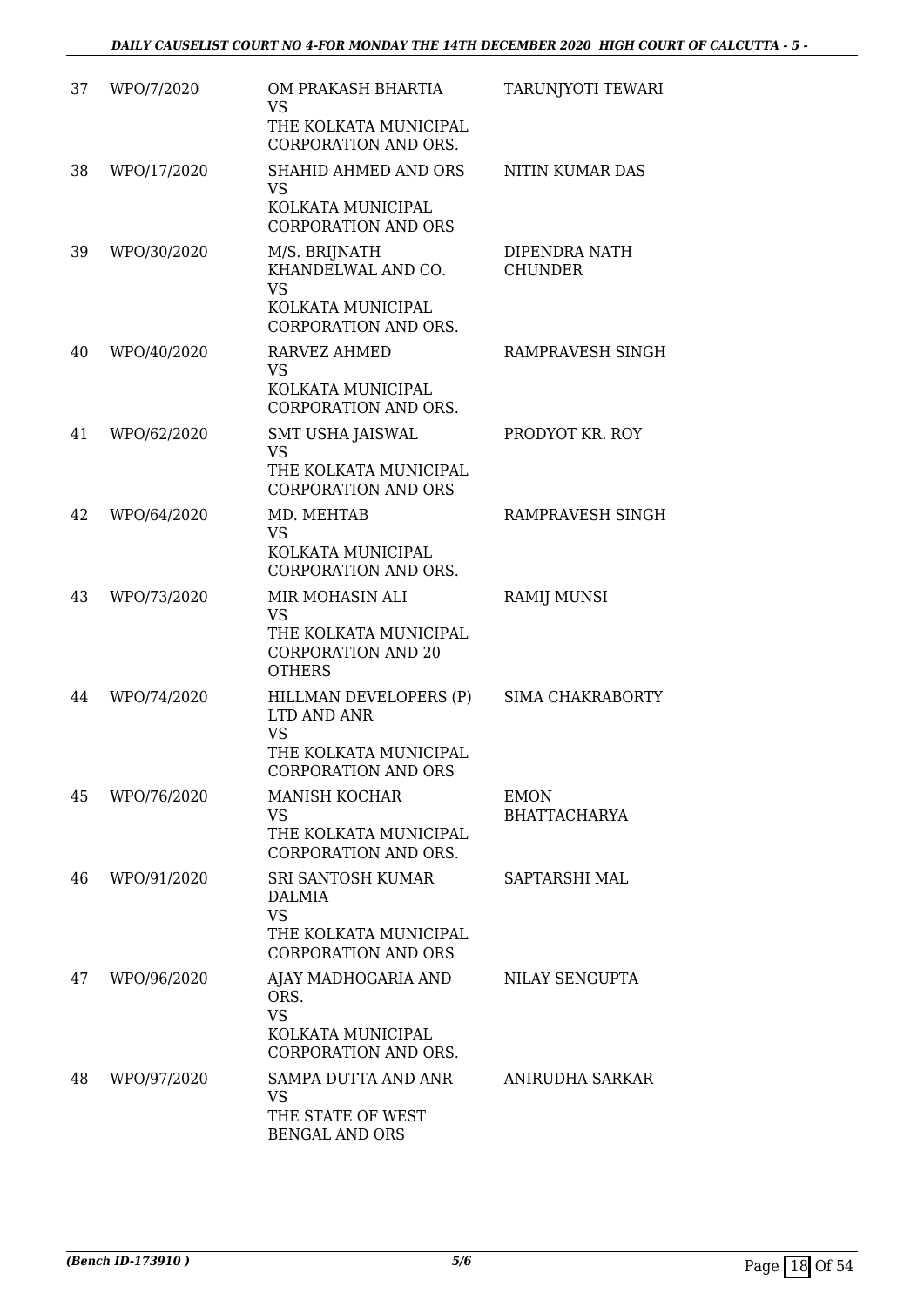| 37 | WPO/7/2020  | OM PRAKASH BHARTIA<br><b>VS</b><br>THE KOLKATA MUNICIPAL<br>CORPORATION AND ORS.                    | TARUNJYOTI TEWARI                  |
|----|-------------|-----------------------------------------------------------------------------------------------------|------------------------------------|
| 38 | WPO/17/2020 | SHAHID AHMED AND ORS<br><b>VS</b><br>KOLKATA MUNICIPAL<br><b>CORPORATION AND ORS</b>                | <b>NITIN KUMAR DAS</b>             |
| 39 | WPO/30/2020 | M/S. BRIJNATH<br>KHANDELWAL AND CO.<br><b>VS</b><br>KOLKATA MUNICIPAL<br>CORPORATION AND ORS.       | DIPENDRA NATH<br><b>CHUNDER</b>    |
| 40 | WPO/40/2020 | <b>RARVEZ AHMED</b><br><b>VS</b><br>KOLKATA MUNICIPAL<br>CORPORATION AND ORS.                       | RAMPRAVESH SINGH                   |
| 41 | WPO/62/2020 | <b>SMT USHA JAISWAL</b><br><b>VS</b><br>THE KOLKATA MUNICIPAL<br><b>CORPORATION AND ORS</b>         | PRODYOT KR. ROY                    |
| 42 | WPO/64/2020 | MD. MEHTAB<br><b>VS</b><br>KOLKATA MUNICIPAL<br>CORPORATION AND ORS.                                | RAMPRAVESH SINGH                   |
| 43 | WPO/73/2020 | MIR MOHASIN ALI<br><b>VS</b><br>THE KOLKATA MUNICIPAL<br><b>CORPORATION AND 20</b><br><b>OTHERS</b> | <b>RAMIJ MUNSI</b>                 |
| 44 | WPO/74/2020 | HILLMAN DEVELOPERS (P)<br>LTD AND ANR<br><b>VS</b><br>THE KOLKATA MUNICIPAL<br>CORPORATION AND ORS  | <b>SIMA CHAKRABORTY</b>            |
| 45 | WPO/76/2020 | <b>MANISH KOCHAR</b><br><b>VS</b><br>THE KOLKATA MUNICIPAL<br>CORPORATION AND ORS.                  | <b>EMON</b><br><b>BHATTACHARYA</b> |
| 46 | WPO/91/2020 | SRI SANTOSH KUMAR<br>DALMIA<br><b>VS</b><br>THE KOLKATA MUNICIPAL<br><b>CORPORATION AND ORS</b>     | SAPTARSHI MAL                      |
| 47 | WPO/96/2020 | AJAY MADHOGARIA AND<br>ORS.<br><b>VS</b><br>KOLKATA MUNICIPAL<br>CORPORATION AND ORS.               | NILAY SENGUPTA                     |
| 48 | WPO/97/2020 | SAMPA DUTTA AND ANR<br><b>VS</b><br>THE STATE OF WEST<br><b>BENGAL AND ORS</b>                      | ANIRUDHA SARKAR                    |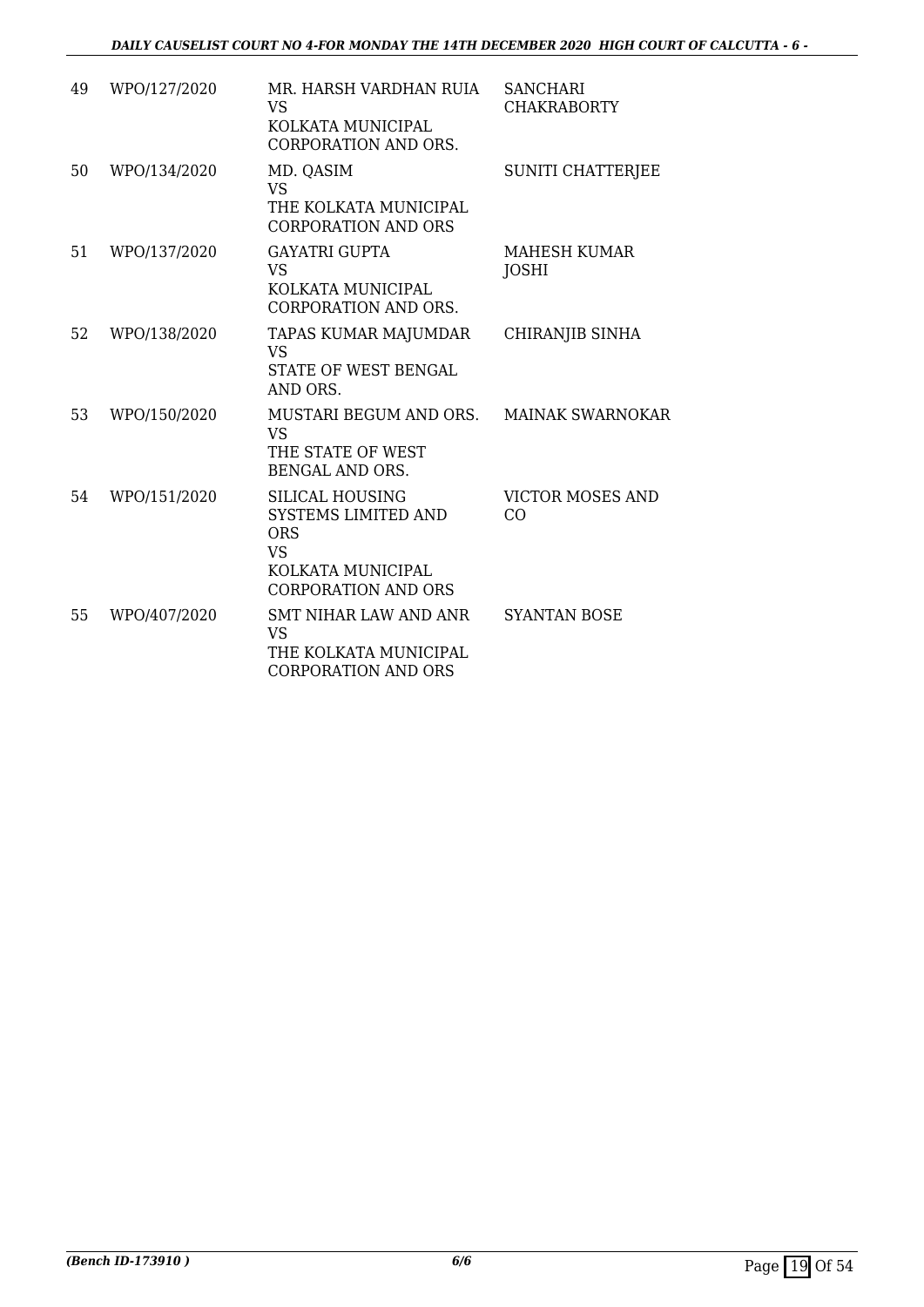| 49 | WPO/127/2020 | MR. HARSH VARDHAN RUIA<br><b>VS</b><br>KOLKATA MUNICIPAL<br><b>CORPORATION AND ORS.</b>                              | <b>SANCHARI</b><br><b>CHAKRABORTY</b> |
|----|--------------|----------------------------------------------------------------------------------------------------------------------|---------------------------------------|
| 50 | WPO/134/2020 | MD. QASIM<br><b>VS</b><br>THE KOLKATA MUNICIPAL<br><b>CORPORATION AND ORS</b>                                        | <b>SUNITI CHATTERJEE</b>              |
| 51 | WPO/137/2020 | <b>GAYATRI GUPTA</b><br><b>VS</b><br>KOLKATA MUNICIPAL<br><b>CORPORATION AND ORS.</b>                                | <b>MAHESH KUMAR</b><br>JOSHI          |
| 52 | WPO/138/2020 | TAPAS KUMAR MAJUMDAR<br><b>VS</b><br><b>STATE OF WEST BENGAL</b><br>AND ORS.                                         | CHIRANJIB SINHA                       |
| 53 | WPO/150/2020 | MUSTARI BEGUM AND ORS.<br>VS <sub>1</sub><br>THE STATE OF WEST<br><b>BENGAL AND ORS.</b>                             | <b>MAINAK SWARNOKAR</b>               |
| 54 | WPO/151/2020 | SILICAL HOUSING<br>SYSTEMS LIMITED AND<br><b>ORS</b><br><b>VS</b><br>KOLKATA MUNICIPAL<br><b>CORPORATION AND ORS</b> | <b>VICTOR MOSES AND</b><br>CO         |
| 55 | WPO/407/2020 | SMT NIHAR LAW AND ANR<br><b>VS</b><br>THE KOLKATA MUNICIPAL<br><b>CORPORATION AND ORS</b>                            | <b>SYANTAN BOSE</b>                   |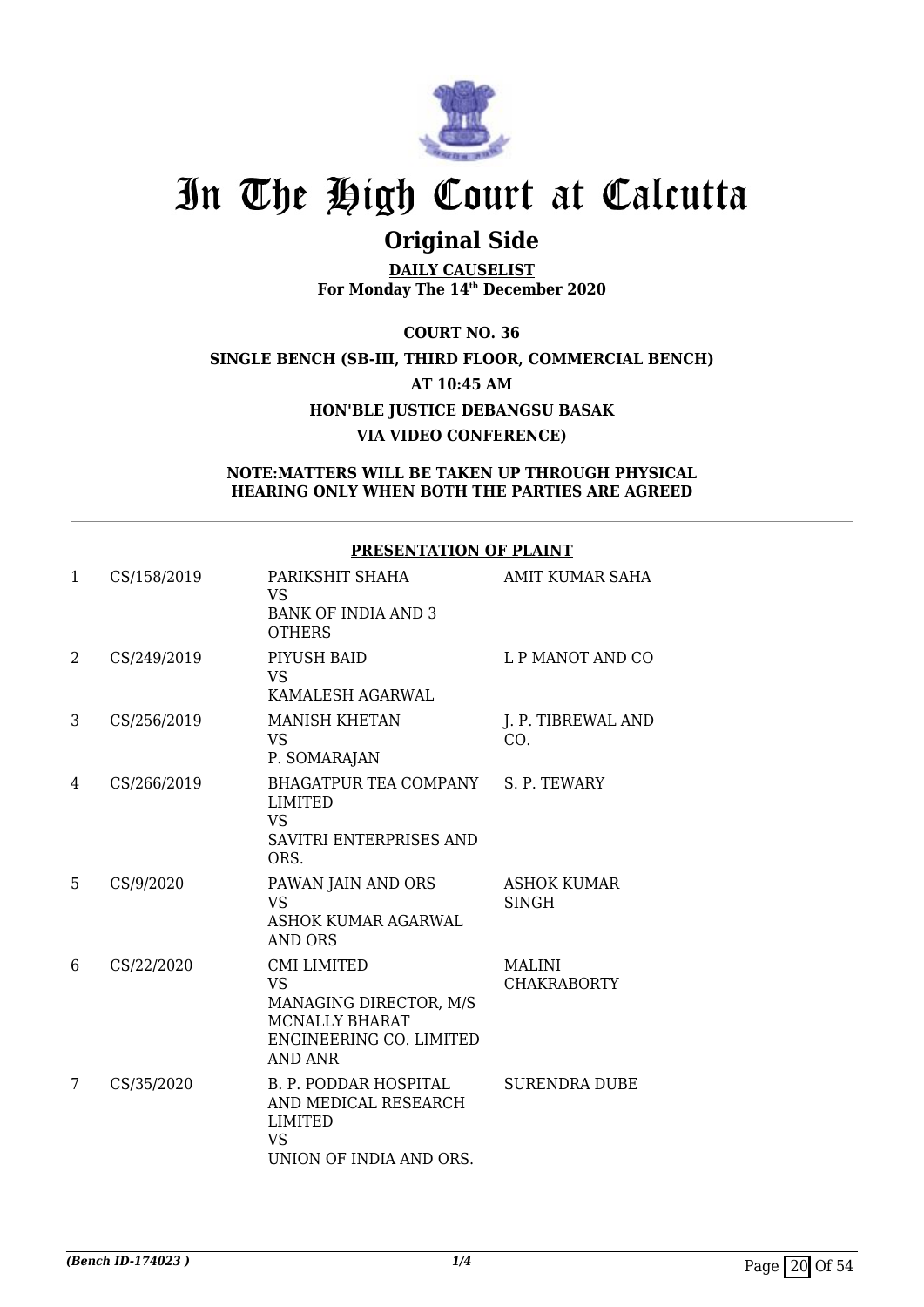

# **Original Side**

**DAILY CAUSELIST For Monday The 14th December 2020**

## **COURT NO. 36 SINGLE BENCH (SB-III, THIRD FLOOR, COMMERCIAL BENCH) AT 10:45 AM HON'BLE JUSTICE DEBANGSU BASAK VIA VIDEO CONFERENCE)**

### **NOTE:MATTERS WILL BE TAKEN UP THROUGH PHYSICAL HEARING ONLY WHEN BOTH THE PARTIES ARE AGREED**

### **PRESENTATION OF PLAINT**

| 1 | CS/158/2019 | PARIKSHIT SHAHA<br><b>VS</b><br><b>BANK OF INDIA AND 3</b><br><b>OTHERS</b>                                                     | AMIT KUMAR SAHA                    |
|---|-------------|---------------------------------------------------------------------------------------------------------------------------------|------------------------------------|
| 2 | CS/249/2019 | PIYUSH BAID<br><b>VS</b><br>KAMALESH AGARWAL                                                                                    | L P MANOT AND CO                   |
| 3 | CS/256/2019 | <b>MANISH KHETAN</b><br>VS.<br>P. SOMARAJAN                                                                                     | J. P. TIBREWAL AND<br>CO.          |
| 4 | CS/266/2019 | BHAGATPUR TEA COMPANY S. P. TEWARY<br><b>LIMITED</b><br><b>VS</b><br>SAVITRI ENTERPRISES AND<br>ORS.                            |                                    |
| 5 | CS/9/2020   | PAWAN JAIN AND ORS<br><b>VS</b><br>ASHOK KUMAR AGARWAL<br><b>AND ORS</b>                                                        | <b>ASHOK KUMAR</b><br><b>SINGH</b> |
| 6 | CS/22/2020  | <b>CMI LIMITED</b><br><b>VS</b><br>MANAGING DIRECTOR, M/S<br><b>MCNALLY BHARAT</b><br>ENGINEERING CO. LIMITED<br><b>AND ANR</b> | MALINI<br><b>CHAKRABORTY</b>       |
| 7 | CS/35/2020  | <b>B. P. PODDAR HOSPITAL</b><br>AND MEDICAL RESEARCH<br><b>LIMITED</b><br><b>VS</b><br>UNION OF INDIA AND ORS.                  | <b>SURENDRA DUBE</b>               |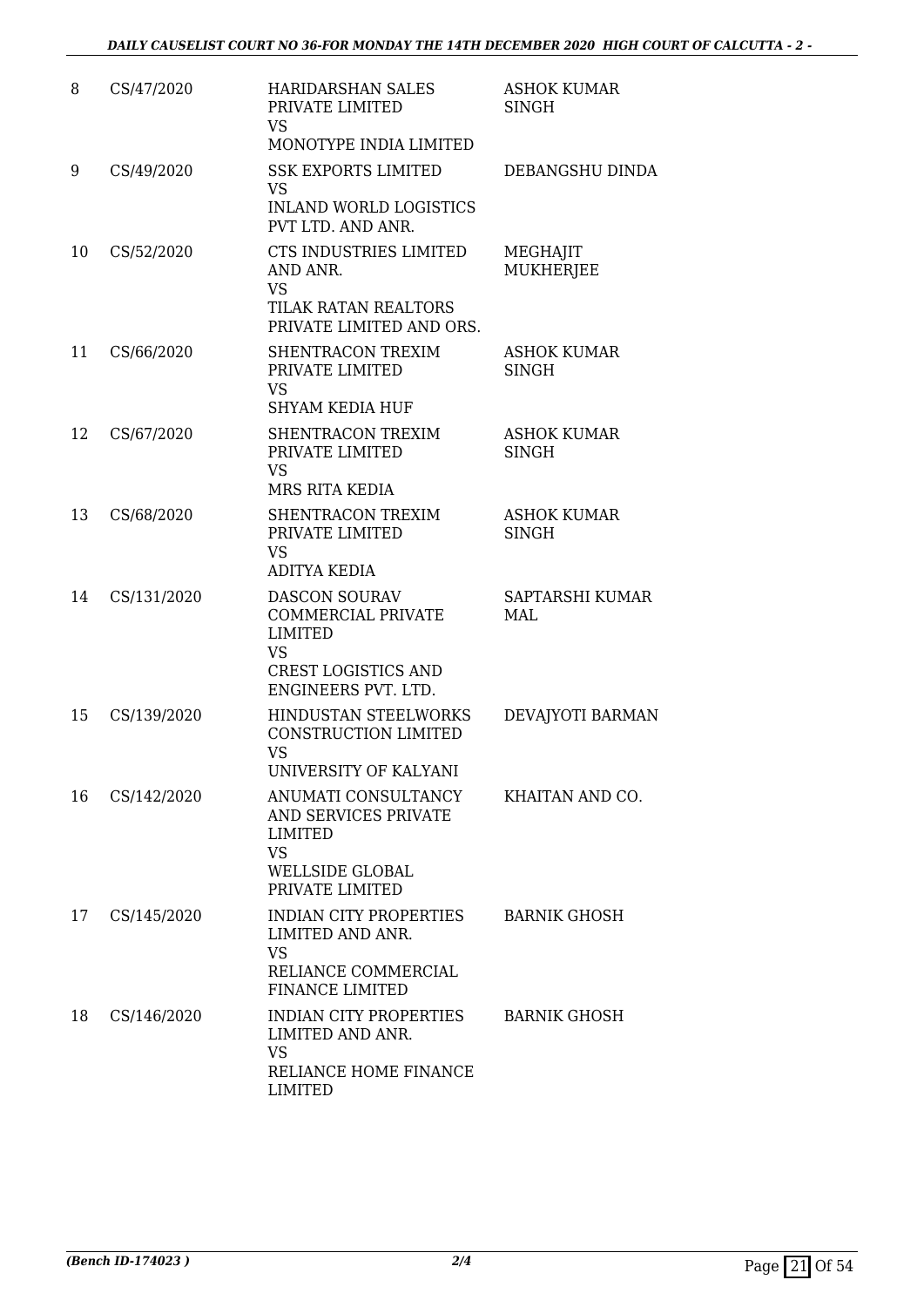| 8  | CS/47/2020  | <b>HARIDARSHAN SALES</b><br>PRIVATE LIMITED<br><b>VS</b><br>MONOTYPE INDIA LIMITED                                                    | <b>ASHOK KUMAR</b><br><b>SINGH</b> |
|----|-------------|---------------------------------------------------------------------------------------------------------------------------------------|------------------------------------|
| 9  | CS/49/2020  | <b>SSK EXPORTS LIMITED</b><br><b>VS</b><br><b>INLAND WORLD LOGISTICS</b><br>PVT LTD. AND ANR.                                         | DEBANGSHU DINDA                    |
| 10 | CS/52/2020  | <b>CTS INDUSTRIES LIMITED</b><br>AND ANR.<br><b>VS</b><br>TILAK RATAN REALTORS<br>PRIVATE LIMITED AND ORS.                            | MEGHAJIT<br><b>MUKHERJEE</b>       |
| 11 | CS/66/2020  | SHENTRACON TREXIM<br>PRIVATE LIMITED<br><b>VS</b><br><b>SHYAM KEDIA HUF</b>                                                           | <b>ASHOK KUMAR</b><br><b>SINGH</b> |
| 12 | CS/67/2020  | SHENTRACON TREXIM<br>PRIVATE LIMITED<br><b>VS</b><br>MRS RITA KEDIA                                                                   | <b>ASHOK KUMAR</b><br><b>SINGH</b> |
| 13 | CS/68/2020  | SHENTRACON TREXIM<br>PRIVATE LIMITED<br><b>VS</b><br><b>ADITYA KEDIA</b>                                                              | <b>ASHOK KUMAR</b><br><b>SINGH</b> |
| 14 | CS/131/2020 | <b>DASCON SOURAV</b><br><b>COMMERCIAL PRIVATE</b><br><b>LIMITED</b><br><b>VS</b><br><b>CREST LOGISTICS AND</b><br>ENGINEERS PVT. LTD. | SAPTARSHI KUMAR<br>MAL             |
| 15 | CS/139/2020 | HINDUSTAN STEELWORKS<br>CONSTRUCTION LIMITED<br>VS<br>UNIVERSITY OF KALYANI                                                           | DEVAJYOTI BARMAN                   |
| 16 | CS/142/2020 | ANUMATI CONSULTANCY<br>AND SERVICES PRIVATE<br><b>LIMITED</b><br><b>VS</b><br>WELLSIDE GLOBAL<br>PRIVATE LIMITED                      | KHAITAN AND CO.                    |
| 17 | CS/145/2020 | <b>INDIAN CITY PROPERTIES</b><br>LIMITED AND ANR.<br><b>VS</b><br>RELIANCE COMMERCIAL<br><b>FINANCE LIMITED</b>                       | <b>BARNIK GHOSH</b>                |
| 18 | CS/146/2020 | <b>INDIAN CITY PROPERTIES</b><br>LIMITED AND ANR.<br><b>VS</b><br>RELIANCE HOME FINANCE<br><b>LIMITED</b>                             | <b>BARNIK GHOSH</b>                |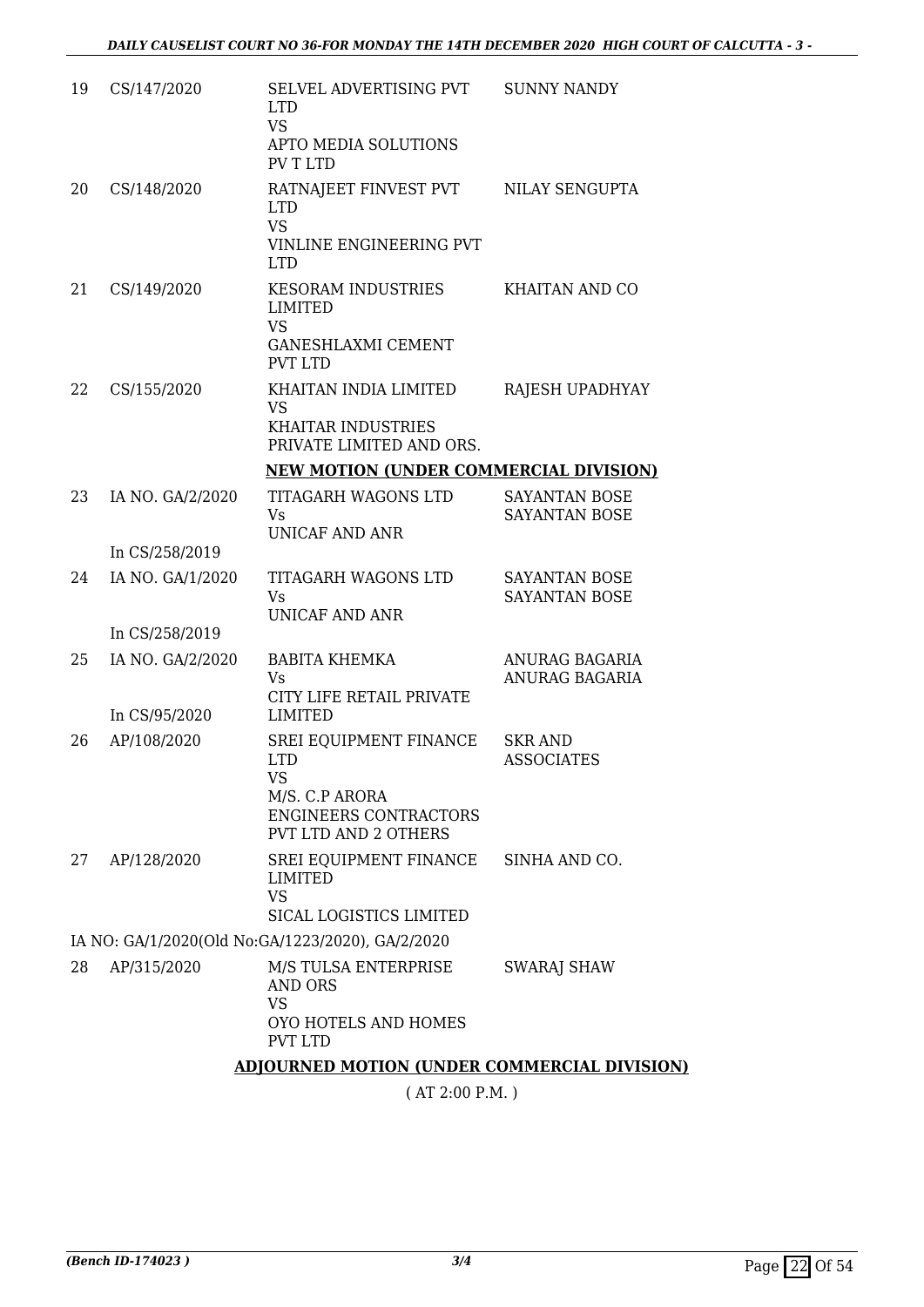| 19 | CS/147/2020                                         | SELVEL ADVERTISING PVT<br><b>LTD</b><br><b>VS</b><br>APTO MEDIA SOLUTIONS<br>PV T LTD                                       | <b>SUNNY NANDY</b>                           |  |  |
|----|-----------------------------------------------------|-----------------------------------------------------------------------------------------------------------------------------|----------------------------------------------|--|--|
| 20 | CS/148/2020                                         | RATNAJEET FINVEST PVT<br><b>LTD</b><br><b>VS</b><br><b>VINLINE ENGINEERING PVT</b><br><b>LTD</b>                            | <b>NILAY SENGUPTA</b>                        |  |  |
| 21 | CS/149/2020                                         | <b>KESORAM INDUSTRIES</b><br>LIMITED<br><b>VS</b><br><b>GANESHLAXMI CEMENT</b><br><b>PVT LTD</b>                            | KHAITAN AND CO                               |  |  |
| 22 | CS/155/2020                                         | KHAITAN INDIA LIMITED<br><b>VS</b><br><b>KHAITAR INDUSTRIES</b><br>PRIVATE LIMITED AND ORS.                                 | RAJESH UPADHYAY                              |  |  |
|    |                                                     | <b>NEW MOTION (UNDER COMMERCIAL DIVISION)</b>                                                                               |                                              |  |  |
| 23 | IA NO. GA/2/2020                                    | <b>TITAGARH WAGONS LTD</b><br>Vs<br><b>UNICAF AND ANR</b>                                                                   | <b>SAYANTAN BOSE</b><br><b>SAYANTAN BOSE</b> |  |  |
|    | In CS/258/2019                                      |                                                                                                                             |                                              |  |  |
| 24 | IA NO. GA/1/2020                                    | TITAGARH WAGONS LTD<br>Vs<br>UNICAF AND ANR                                                                                 | <b>SAYANTAN BOSE</b><br><b>SAYANTAN BOSE</b> |  |  |
|    | In CS/258/2019                                      |                                                                                                                             |                                              |  |  |
| 25 | IA NO. GA/2/2020                                    | <b>BABITA KHEMKA</b><br>Vs<br>CITY LIFE RETAIL PRIVATE                                                                      | ANURAG BAGARIA<br><b>ANURAG BAGARIA</b>      |  |  |
|    | In CS/95/2020                                       | <b>LIMITED</b>                                                                                                              |                                              |  |  |
| 26 | AP/108/2020                                         | SREI EQUIPMENT FINANCE<br><b>LTD</b><br>VS<br>M/S. C.P ARORA<br><b>ENGINEERS CONTRACTORS</b><br><b>PVT LTD AND 2 OTHERS</b> | <b>SKR AND</b><br><b>ASSOCIATES</b>          |  |  |
| 27 | AP/128/2020                                         | SREI EQUIPMENT FINANCE SINHA AND CO.<br>LIMITED<br><b>VS</b><br>SICAL LOGISTICS LIMITED                                     |                                              |  |  |
|    |                                                     | IA NO: GA/1/2020(Old No:GA/1223/2020), GA/2/2020                                                                            |                                              |  |  |
| 28 | AP/315/2020                                         | M/S TULSA ENTERPRISE<br><b>AND ORS</b><br><b>VS</b><br>OYO HOTELS AND HOMES<br><b>PVT LTD</b>                               | <b>SWARAJ SHAW</b>                           |  |  |
|    | <b>ADJOURNED MOTION (UNDER COMMERCIAL DIVISION)</b> |                                                                                                                             |                                              |  |  |

( AT 2:00 P.M. )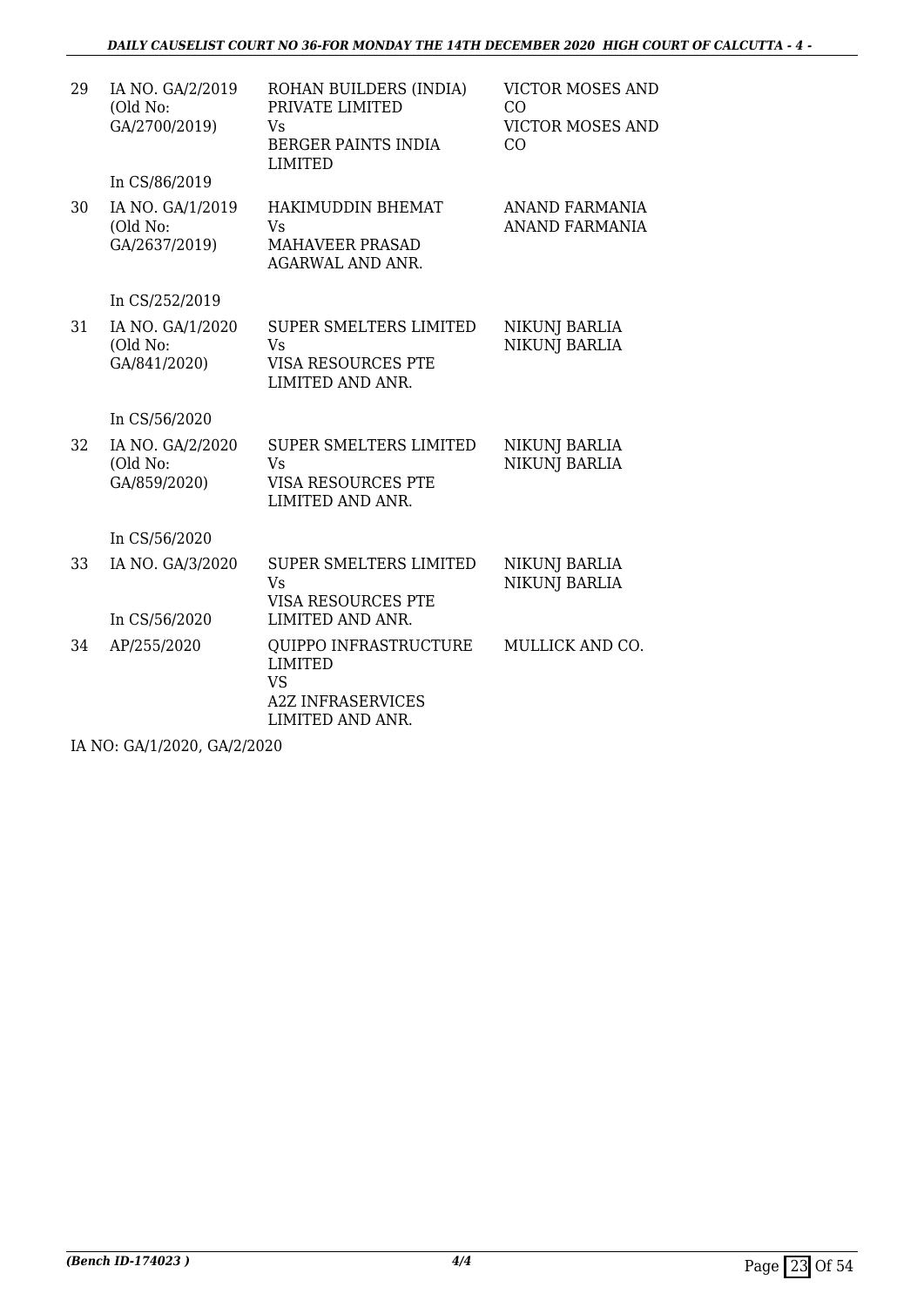| 29 | IA NO. GA/2/2019<br>(Old No:<br>GA/2700/2019)                  | ROHAN BUILDERS (INDIA)<br>PRIVATE LIMITED<br>Vs<br><b>BERGER PAINTS INDIA</b><br><b>LIMITED</b>      | <b>VICTOR MOSES AND</b><br>CO.<br><b>VICTOR MOSES AND</b><br>CO |
|----|----------------------------------------------------------------|------------------------------------------------------------------------------------------------------|-----------------------------------------------------------------|
| 30 | In CS/86/2019<br>IA NO. GA/1/2019<br>(Old No:<br>GA/2637/2019) | HAKIMUDDIN BHEMAT<br>Vs<br>MAHAVEER PRASAD<br>AGARWAL AND ANR.                                       | ANAND FARMANIA<br><b>ANAND FARMANIA</b>                         |
|    | In CS/252/2019                                                 |                                                                                                      |                                                                 |
| 31 | IA NO. GA/1/2020<br>(Old No:<br>GA/841/2020)                   | <b>SUPER SMELTERS LIMITED</b><br><b>V<sub>S</sub></b><br>VISA RESOURCES PTE<br>LIMITED AND ANR.      | NIKUNJ BARLIA<br><b>NIKUNJ BARLIA</b>                           |
|    | In CS/56/2020                                                  |                                                                                                      |                                                                 |
| 32 | IA NO. GA/2/2020<br>(Old No:<br>GA/859/2020)                   | <b>SUPER SMELTERS LIMITED</b><br>Vs<br>VISA RESOURCES PTE<br>LIMITED AND ANR.                        | NIKUNJ BARLIA<br><b>NIKUNJ BARLIA</b>                           |
|    | In CS/56/2020                                                  |                                                                                                      |                                                                 |
| 33 | IA NO. GA/3/2020                                               | <b>SUPER SMELTERS LIMITED</b><br>Vs<br>VISA RESOURCES PTE                                            | <b>NIKUNJ BARLIA</b><br><b>NIKUNJ BARLIA</b>                    |
|    | In CS/56/2020                                                  | LIMITED AND ANR.                                                                                     |                                                                 |
| 34 | AP/255/2020                                                    | QUIPPO INFRASTRUCTURE<br><b>LIMITED</b><br><b>VS</b><br><b>A2Z INFRASERVICES</b><br>LIMITED AND ANR. | <b>MULLICK AND CO.</b>                                          |

IA NO: GA/1/2020, GA/2/2020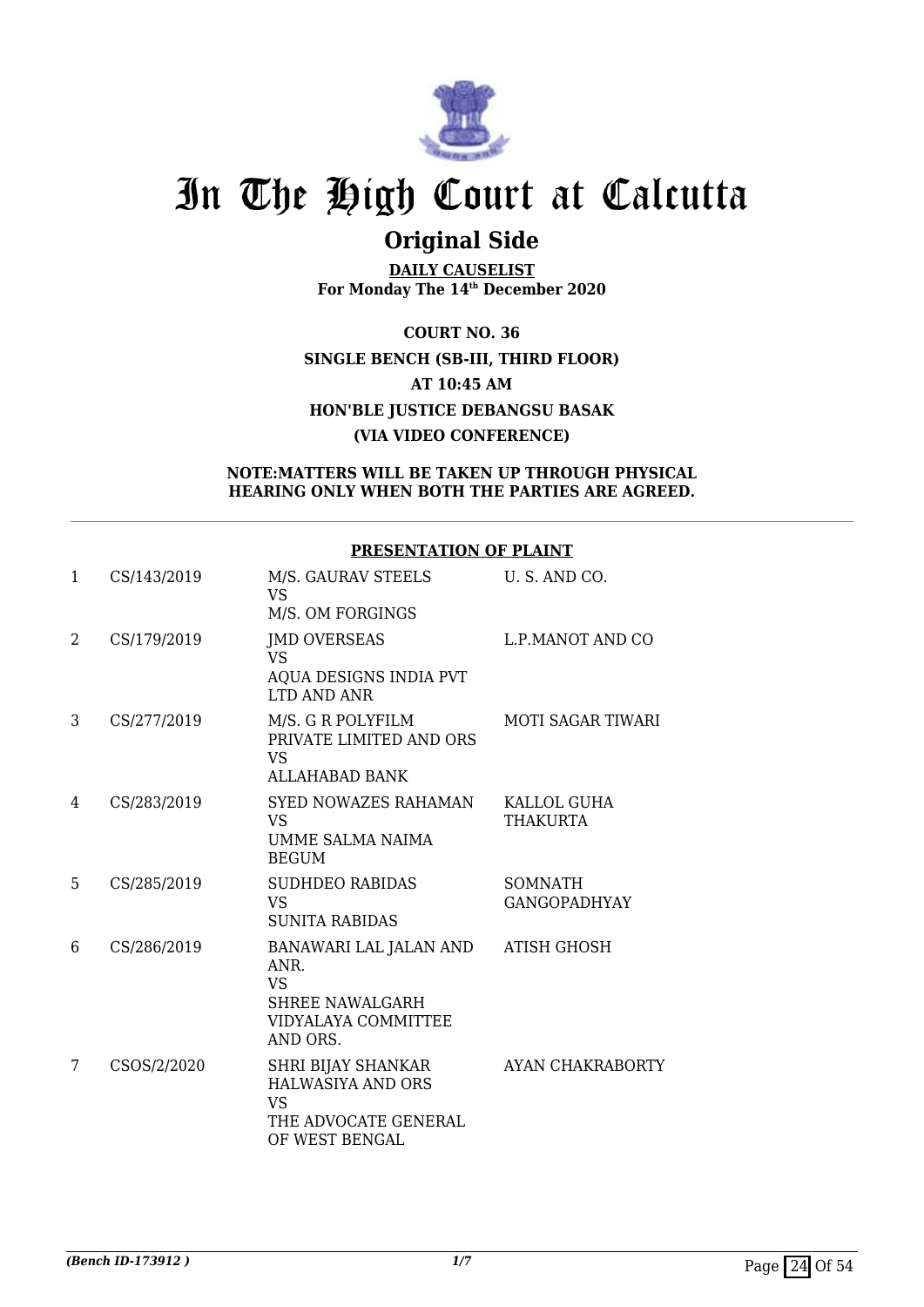

# **Original Side**

**DAILY CAUSELIST For Monday The 14th December 2020**

**COURT NO. 36 SINGLE BENCH (SB-III, THIRD FLOOR) AT 10:45 AM HON'BLE JUSTICE DEBANGSU BASAK (VIA VIDEO CONFERENCE)**

### **NOTE:MATTERS WILL BE TAKEN UP THROUGH PHYSICAL HEARING ONLY WHEN BOTH THE PARTIES ARE AGREED.**

### **PRESENTATION OF PLAINT**

| $\mathbf{1}$ | CS/143/2019 | M/S. GAURAV STEELS<br><b>VS</b><br>M/S. OM FORGINGS                                                      | U.S. AND CO.                          |
|--------------|-------------|----------------------------------------------------------------------------------------------------------|---------------------------------------|
| 2            | CS/179/2019 | <b>JMD OVERSEAS</b><br><b>VS</b><br>AQUA DESIGNS INDIA PVT<br><b>LTD AND ANR</b>                         | L.P.MANOT AND CO                      |
| 3            | CS/277/2019 | M/S. G R POLYFILM<br>PRIVATE LIMITED AND ORS<br>VS.<br>ALLAHABAD BANK                                    | <b>MOTI SAGAR TIWARI</b>              |
| 4            | CS/283/2019 | SYED NOWAZES RAHAMAN<br>VS.<br>UMME SALMA NAIMA<br><b>BEGUM</b>                                          | KALLOL GUHA<br><b>THAKURTA</b>        |
| 5            | CS/285/2019 | <b>SUDHDEO RABIDAS</b><br><b>VS</b><br><b>SUNITA RABIDAS</b>                                             | <b>SOMNATH</b><br><b>GANGOPADHYAY</b> |
| 6            | CS/286/2019 | BANAWARI LAL JALAN AND<br>ANR.<br><b>VS</b><br><b>SHREE NAWALGARH</b><br>VIDYALAYA COMMITTEE<br>AND ORS. | <b>ATISH GHOSH</b>                    |
| 7            | CSOS/2/2020 | SHRI BIJAY SHANKAR<br><b>HALWASIYA AND ORS</b><br><b>VS</b><br>THE ADVOCATE GENERAL<br>OF WEST BENGAL    | AYAN CHAKRABORTY                      |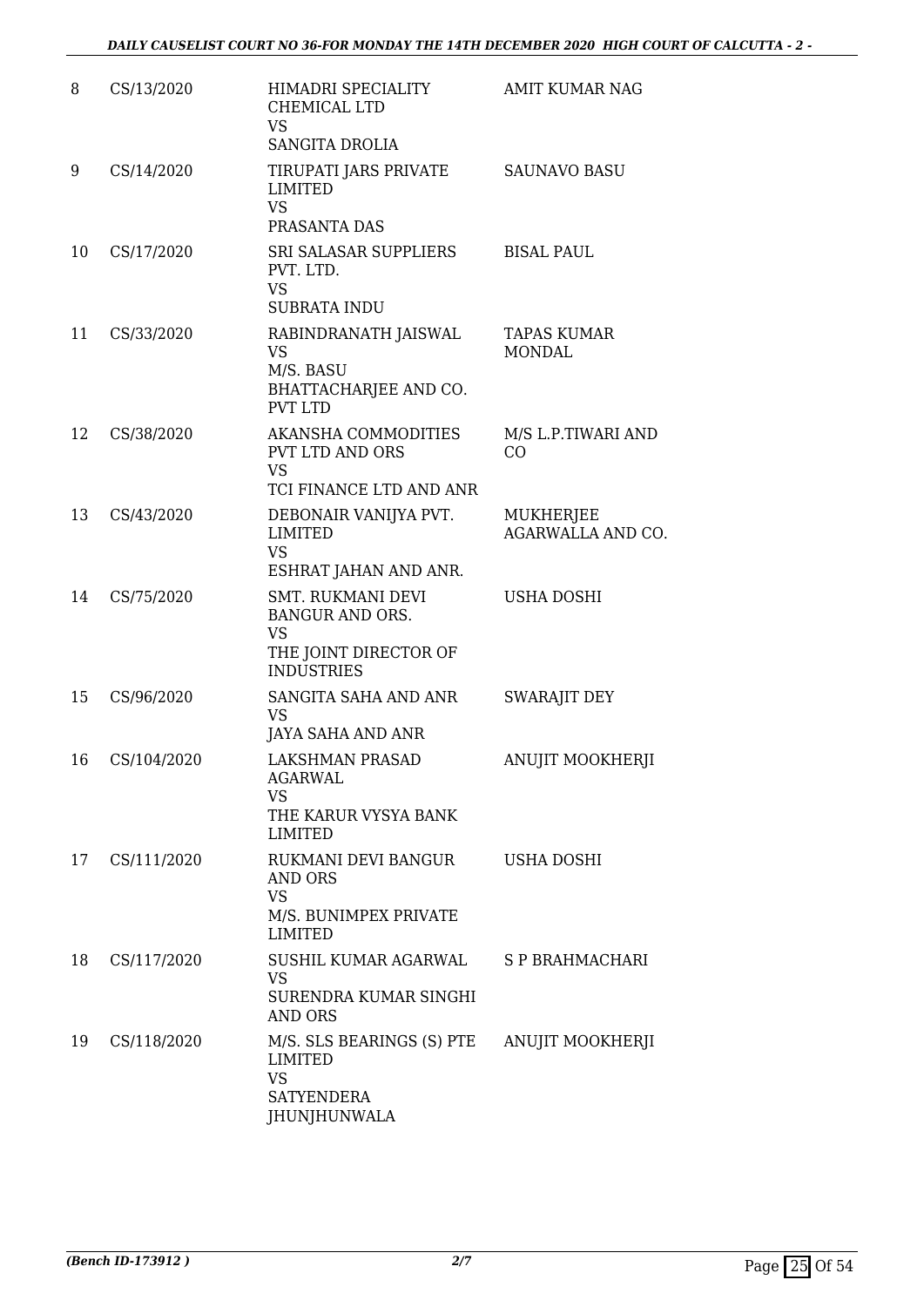| 8  | CS/13/2020  | HIMADRI SPECIALITY<br>CHEMICAL LTD<br><b>VS</b><br>SANGITA DROLIA                                             | <b>AMIT KUMAR NAG</b>                 |
|----|-------------|---------------------------------------------------------------------------------------------------------------|---------------------------------------|
| 9  | CS/14/2020  | TIRUPATI JARS PRIVATE<br><b>LIMITED</b><br><b>VS</b><br>PRASANTA DAS                                          | <b>SAUNAVO BASU</b>                   |
| 10 | CS/17/2020  | SRI SALASAR SUPPLIERS<br>PVT. LTD.<br><b>VS</b><br><b>SUBRATA INDU</b>                                        | <b>BISAL PAUL</b>                     |
| 11 | CS/33/2020  | RABINDRANATH JAISWAL<br>VS<br>M/S. BASU<br>BHATTACHARJEE AND CO.<br><b>PVT LTD</b>                            | <b>TAPAS KUMAR</b><br><b>MONDAL</b>   |
| 12 | CS/38/2020  | AKANSHA COMMODITIES<br><b>PVT LTD AND ORS</b><br><b>VS</b><br>TCI FINANCE LTD AND ANR                         | M/S L.P.TIWARI AND<br>CO              |
| 13 | CS/43/2020  | DEBONAIR VANIJYA PVT.<br>LIMITED<br><b>VS</b><br>ESHRAT JAHAN AND ANR.                                        | <b>MUKHERJEE</b><br>AGARWALLA AND CO. |
| 14 | CS/75/2020  | <b>SMT. RUKMANI DEVI</b><br><b>BANGUR AND ORS.</b><br><b>VS</b><br>THE JOINT DIRECTOR OF<br><b>INDUSTRIES</b> | <b>USHA DOSHI</b>                     |
| 15 | CS/96/2020  | SANGITA SAHA AND ANR<br><b>VS</b><br>JAYA SAHA AND ANR                                                        | <b>SWARAJIT DEY</b>                   |
| 16 | CS/104/2020 | <b>LAKSHMAN PRASAD</b><br><b>AGARWAL</b><br><b>VS</b><br>THE KARUR VYSYA BANK<br><b>LIMITED</b>               | <b>ANUJIT MOOKHERJI</b>               |
| 17 | CS/111/2020 | RUKMANI DEVI BANGUR<br>AND ORS<br><b>VS</b><br>M/S. BUNIMPEX PRIVATE<br><b>LIMITED</b>                        | USHA DOSHI                            |
| 18 | CS/117/2020 | SUSHIL KUMAR AGARWAL<br><b>VS</b><br>SURENDRA KUMAR SINGHI<br><b>AND ORS</b>                                  | S P BRAHMACHARI                       |
| 19 | CS/118/2020 | M/S. SLS BEARINGS (S) PTE<br><b>LIMITED</b><br><b>VS</b><br>SATYENDERA<br>JHUNJHUNWALA                        | ANUJIT MOOKHERJI                      |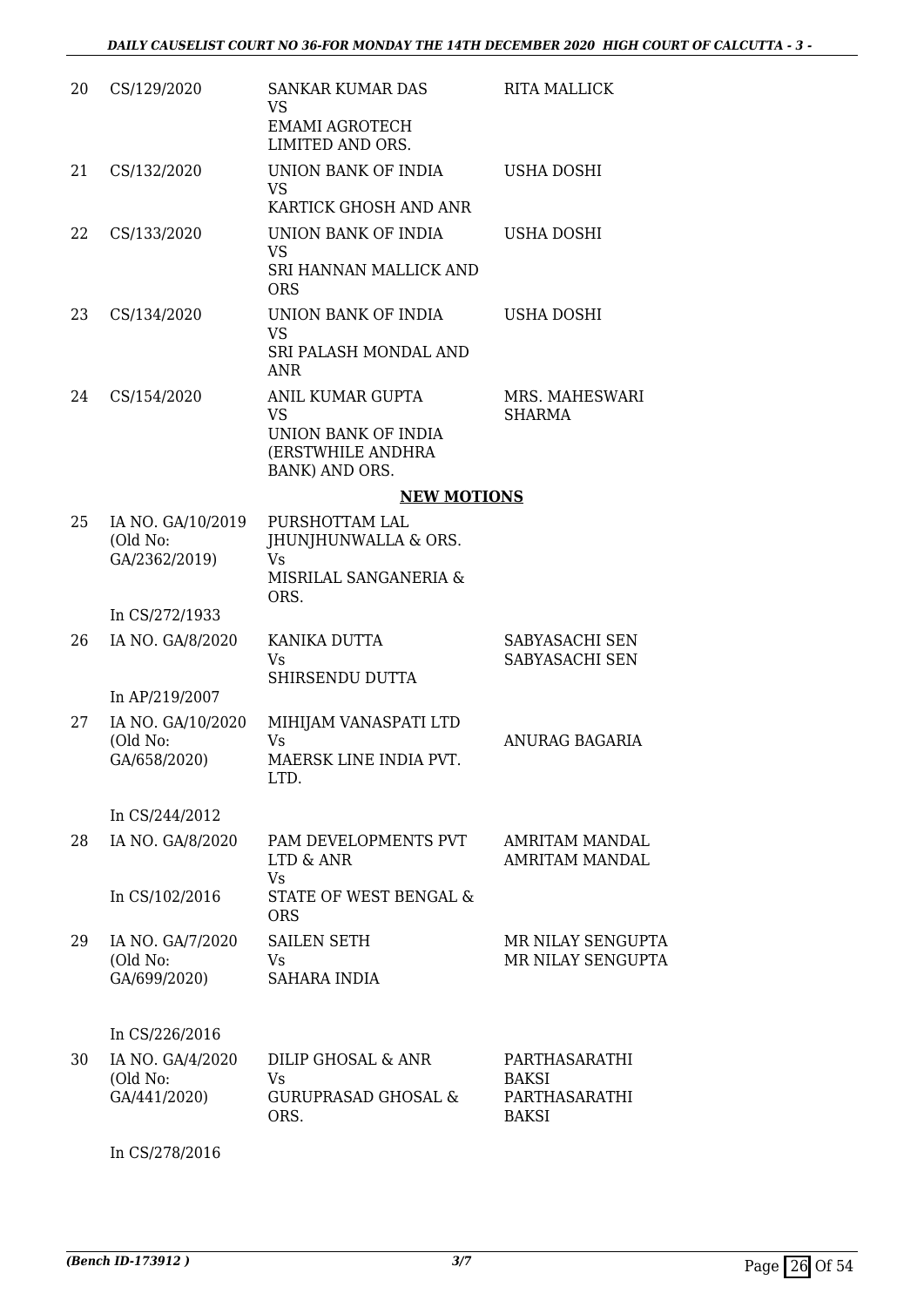| 20 | CS/129/2020                                    | <b>SANKAR KUMAR DAS</b><br><b>VS</b><br><b>EMAMI AGROTECH</b><br>LIMITED AND ORS.           | <b>RITA MALLICK</b>                                            |
|----|------------------------------------------------|---------------------------------------------------------------------------------------------|----------------------------------------------------------------|
| 21 | CS/132/2020                                    | UNION BANK OF INDIA<br><b>VS</b><br>KARTICK GHOSH AND ANR                                   | USHA DOSHI                                                     |
| 22 | CS/133/2020                                    | UNION BANK OF INDIA<br><b>VS</b><br>SRI HANNAN MALLICK AND<br><b>ORS</b>                    | USHA DOSHI                                                     |
| 23 | CS/134/2020                                    | UNION BANK OF INDIA<br><b>VS</b><br>SRI PALASH MONDAL AND<br><b>ANR</b>                     | <b>USHA DOSHI</b>                                              |
| 24 | CS/154/2020                                    | ANIL KUMAR GUPTA<br><b>VS</b><br>UNION BANK OF INDIA<br>(ERSTWHILE ANDHRA<br>BANK) AND ORS. | MRS. MAHESWARI<br><b>SHARMA</b>                                |
|    |                                                | <b>NEW MOTIONS</b>                                                                          |                                                                |
| 25 | IA NO. GA/10/2019<br>(Old No:<br>GA/2362/2019) | PURSHOTTAM LAL<br>JHUNJHUNWALLA & ORS.<br><b>Vs</b><br>MISRILAL SANGANERIA &<br>ORS.        |                                                                |
|    | In CS/272/1933                                 |                                                                                             |                                                                |
| 26 | IA NO. GA/8/2020<br>In AP/219/2007             | KANIKA DUTTA<br><b>Vs</b><br>SHIRSENDU DUTTA                                                | SABYASACHI SEN<br>SABYASACHI SEN                               |
| 27 | IA NO. GA/10/2020<br>(Old No:<br>GA/658/2020)  | MIHIJAM VANASPATI LTD<br><b>Vs</b><br>MAERSK LINE INDIA PVT.<br>LTD.                        | ANURAG BAGARIA                                                 |
|    | In CS/244/2012                                 |                                                                                             |                                                                |
| 28 | IA NO. GA/8/2020                               | PAM DEVELOPMENTS PVT<br>LTD & ANR<br>Vs                                                     | <b>AMRITAM MANDAL</b><br><b>AMRITAM MANDAL</b>                 |
|    | In CS/102/2016                                 | <b>STATE OF WEST BENGAL &amp;</b><br><b>ORS</b>                                             |                                                                |
| 29 | IA NO. GA/7/2020<br>(Old No:<br>GA/699/2020)   | <b>SAILEN SETH</b><br>Vs.<br><b>SAHARA INDIA</b>                                            | MR NILAY SENGUPTA<br>MR NILAY SENGUPTA                         |
|    | In CS/226/2016                                 |                                                                                             |                                                                |
| 30 | IA NO. GA/4/2020<br>(Old No:<br>GA/441/2020)   | DILIP GHOSAL & ANR<br>Vs<br><b>GURUPRASAD GHOSAL &amp;</b><br>ORS.                          | PARTHASARATHI<br><b>BAKSI</b><br>PARTHASARATHI<br><b>BAKSI</b> |

In CS/278/2016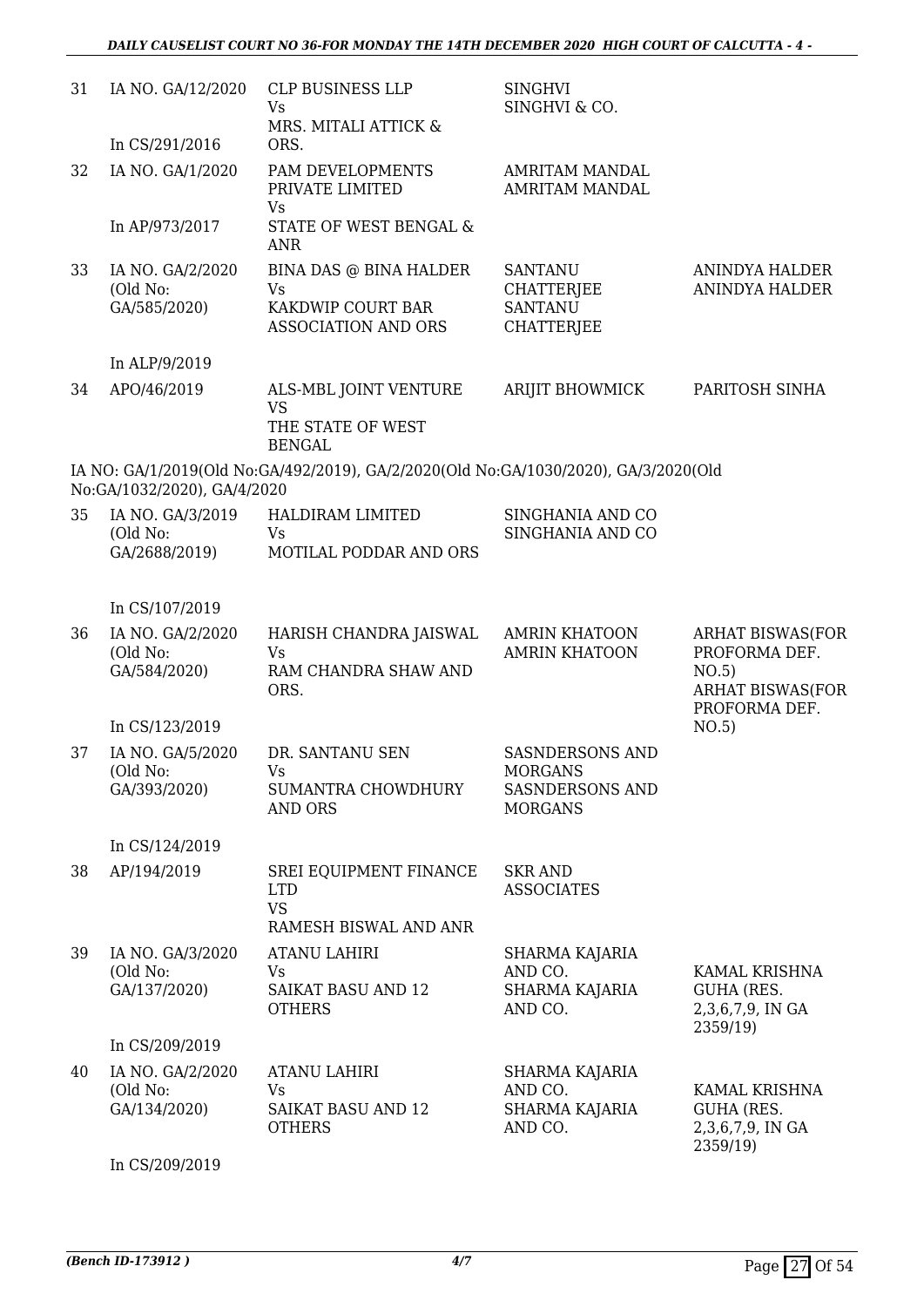| 31 | IA NO. GA/12/2020                             | <b>CLP BUSINESS LLP</b><br>Vs<br>MRS. MITALI ATTICK &                               | <b>SINGHVI</b><br>SINGHVI & CO.                                                      |                                                                              |
|----|-----------------------------------------------|-------------------------------------------------------------------------------------|--------------------------------------------------------------------------------------|------------------------------------------------------------------------------|
|    | In CS/291/2016                                | ORS.                                                                                |                                                                                      |                                                                              |
| 32 | IA NO. GA/1/2020                              | PAM DEVELOPMENTS<br>PRIVATE LIMITED                                                 | <b>AMRITAM MANDAL</b><br><b>AMRITAM MANDAL</b>                                       |                                                                              |
|    | In AP/973/2017                                | <b>Vs</b><br>STATE OF WEST BENGAL &<br><b>ANR</b>                                   |                                                                                      |                                                                              |
| 33 | IA NO. GA/2/2020<br>(Old No:<br>GA/585/2020)  | BINA DAS @ BINA HALDER<br>Vs<br>KAKDWIP COURT BAR<br>ASSOCIATION AND ORS            | <b>SANTANU</b><br><b>CHATTERJEE</b><br><b>SANTANU</b><br><b>CHATTERJEE</b>           | <b>ANINDYA HALDER</b><br><b>ANINDYA HALDER</b>                               |
|    | In ALP/9/2019                                 |                                                                                     |                                                                                      |                                                                              |
| 34 | APO/46/2019                                   | ALS-MBL JOINT VENTURE<br><b>VS</b><br>THE STATE OF WEST<br><b>BENGAL</b>            | <b>ARIJIT BHOWMICK</b>                                                               | PARITOSH SINHA                                                               |
|    | No:GA/1032/2020), GA/4/2020                   | IA NO: GA/1/2019(Old No:GA/492/2019), GA/2/2020(Old No:GA/1030/2020), GA/3/2020(Old |                                                                                      |                                                                              |
| 35 | IA NO. GA/3/2019<br>(Old No:<br>GA/2688/2019) | HALDIRAM LIMITED<br>Vs<br>MOTILAL PODDAR AND ORS                                    | SINGHANIA AND CO<br>SINGHANIA AND CO                                                 |                                                                              |
|    | In CS/107/2019                                |                                                                                     |                                                                                      |                                                                              |
| 36 | IA NO. GA/2/2020<br>(Old No:<br>GA/584/2020)  | HARISH CHANDRA JAISWAL<br><b>Vs</b><br>RAM CHANDRA SHAW AND<br>ORS.                 | <b>AMRIN KHATOON</b><br><b>AMRIN KHATOON</b>                                         | <b>ARHAT BISWAS(FOR</b><br>PROFORMA DEF.<br>NO.5)<br><b>ARHAT BISWAS(FOR</b> |
|    | In CS/123/2019                                |                                                                                     |                                                                                      | PROFORMA DEF.<br>NO.5)                                                       |
| 37 | IA NO. GA/5/2020<br>(Old No:<br>GA/393/2020)  | DR. SANTANU SEN<br>Vs<br>SUMANTRA CHOWDHURY<br><b>AND ORS</b>                       | <b>SASNDERSONS AND</b><br><b>MORGANS</b><br><b>SASNDERSONS AND</b><br><b>MORGANS</b> |                                                                              |
|    | In CS/124/2019                                |                                                                                     |                                                                                      |                                                                              |
| 38 | AP/194/2019                                   | SREI EQUIPMENT FINANCE<br><b>LTD</b><br><b>VS</b><br>RAMESH BISWAL AND ANR          | <b>SKR AND</b><br><b>ASSOCIATES</b>                                                  |                                                                              |
| 39 | IA NO. GA/3/2020<br>(Old No:<br>GA/137/2020)  | <b>ATANU LAHIRI</b><br>Vs<br><b>SAIKAT BASU AND 12</b><br><b>OTHERS</b>             | SHARMA KAJARIA<br>AND CO.<br>SHARMA KAJARIA<br>AND CO.                               | KAMAL KRISHNA<br>GUHA (RES.<br>2,3,6,7,9, IN GA<br>2359/19)                  |
|    | In CS/209/2019                                |                                                                                     |                                                                                      |                                                                              |
| 40 | IA NO. GA/2/2020<br>(Old No:<br>GA/134/2020)  | <b>ATANU LAHIRI</b><br>Vs<br><b>SAIKAT BASU AND 12</b><br><b>OTHERS</b>             | SHARMA KAJARIA<br>AND CO.<br>SHARMA KAJARIA<br>AND CO.                               | KAMAL KRISHNA<br>GUHA (RES.<br>2,3,6,7,9, IN GA                              |
|    | In CS/209/2019                                |                                                                                     |                                                                                      | 2359/19)                                                                     |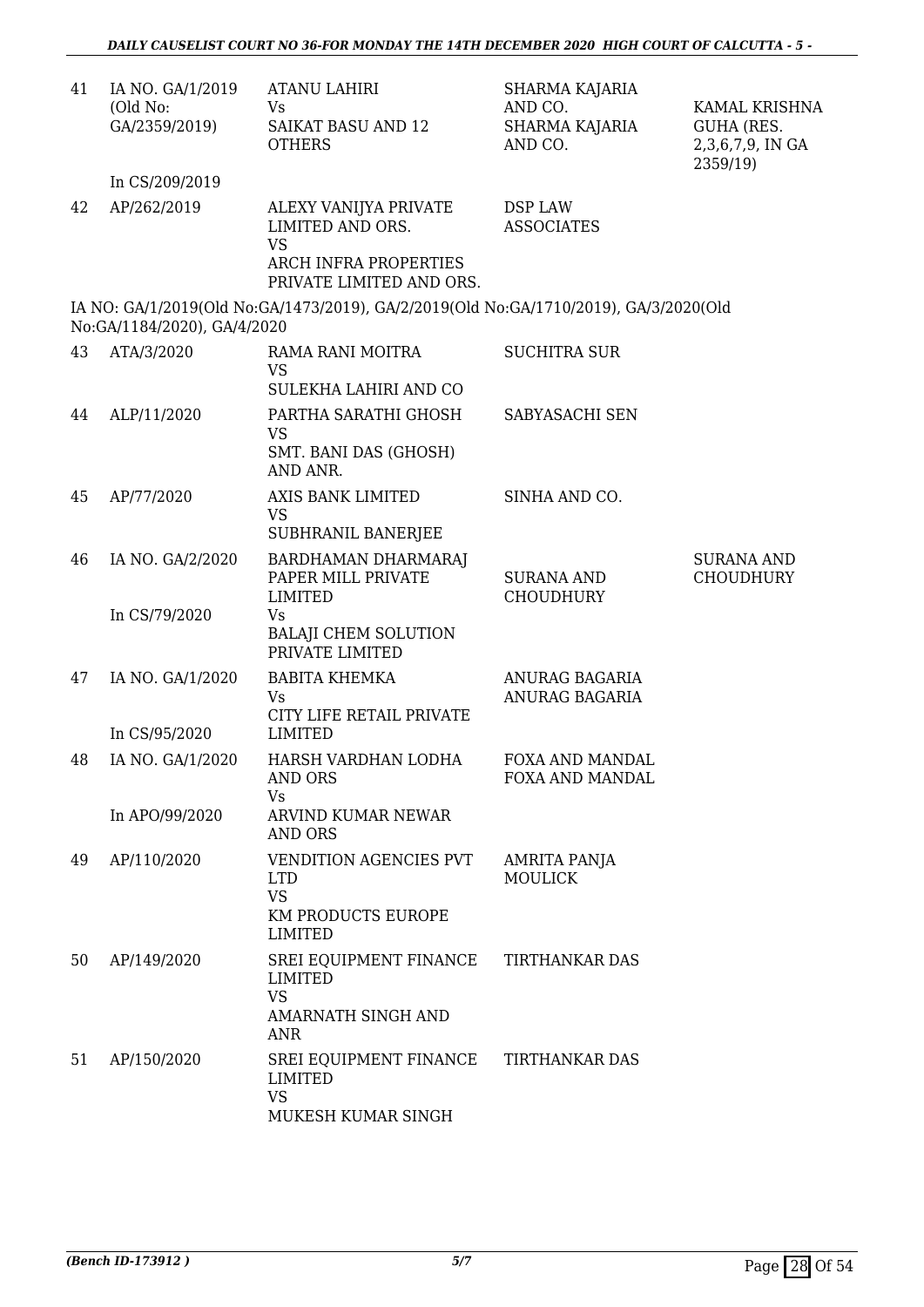| 41 | IA NO. GA/1/2019<br>(Old No:<br>GA/2359/2019) | <b>ATANU LAHIRI</b><br><b>Vs</b><br>SAIKAT BASU AND 12<br><b>OTHERS</b>                   | SHARMA KAJARIA<br>AND CO.<br>SHARMA KAJARIA<br>AND CO. | KAMAL KRISHNA<br><b>GUHA (RES.</b><br>2,3,6,7,9, IN GA<br>2359/19) |
|----|-----------------------------------------------|-------------------------------------------------------------------------------------------|--------------------------------------------------------|--------------------------------------------------------------------|
|    | In CS/209/2019                                |                                                                                           |                                                        |                                                                    |
| 42 | AP/262/2019                                   | ALEXY VANIJYA PRIVATE<br>LIMITED AND ORS.<br><b>VS</b>                                    | DSP LAW<br><b>ASSOCIATES</b>                           |                                                                    |
|    |                                               | ARCH INFRA PROPERTIES<br>PRIVATE LIMITED AND ORS.                                         |                                                        |                                                                    |
|    | No:GA/1184/2020), GA/4/2020                   | IA NO: GA/1/2019(Old No:GA/1473/2019), GA/2/2019(Old No:GA/1710/2019), GA/3/2020(Old      |                                                        |                                                                    |
| 43 | ATA/3/2020                                    | RAMA RANI MOITRA<br><b>VS</b><br>SULEKHA LAHIRI AND CO                                    | <b>SUCHITRA SUR</b>                                    |                                                                    |
| 44 | ALP/11/2020                                   | PARTHA SARATHI GHOSH<br><b>VS</b><br>SMT. BANI DAS (GHOSH)<br>AND ANR.                    | SABYASACHI SEN                                         |                                                                    |
| 45 | AP/77/2020                                    | AXIS BANK LIMITED<br><b>VS</b><br>SUBHRANIL BANERJEE                                      | SINHA AND CO.                                          |                                                                    |
| 46 | IA NO. GA/2/2020                              | BARDHAMAN DHARMARAJ<br>PAPER MILL PRIVATE<br><b>LIMITED</b>                               | SURANA AND<br><b>CHOUDHURY</b>                         | <b>SURANA AND</b><br><b>CHOUDHURY</b>                              |
|    | In CS/79/2020                                 | Vs<br><b>BALAJI CHEM SOLUTION</b><br>PRIVATE LIMITED                                      |                                                        |                                                                    |
| 47 | IA NO. GA/1/2020                              | <b>BABITA KHEMKA</b><br><b>Vs</b><br>CITY LIFE RETAIL PRIVATE                             | ANURAG BAGARIA<br>ANURAG BAGARIA                       |                                                                    |
|    | In CS/95/2020                                 | <b>LIMITED</b>                                                                            |                                                        |                                                                    |
| 48 | IA NO. GA/1/2020                              | HARSH VARDHAN LODHA<br><b>AND ORS</b><br>Vs                                               | FOXA AND MANDAL<br>FOXA AND MANDAL                     |                                                                    |
|    | In APO/99/2020                                | ARVIND KUMAR NEWAR<br><b>AND ORS</b>                                                      |                                                        |                                                                    |
| 49 | AP/110/2020                                   | VENDITION AGENCIES PVT<br><b>LTD</b><br><b>VS</b><br>KM PRODUCTS EUROPE<br><b>LIMITED</b> | AMRITA PANJA<br><b>MOULICK</b>                         |                                                                    |
| 50 | AP/149/2020                                   | SREI EQUIPMENT FINANCE<br>LIMITED<br><b>VS</b><br>AMARNATH SINGH AND<br><b>ANR</b>        | <b>TIRTHANKAR DAS</b>                                  |                                                                    |
| 51 | AP/150/2020                                   | SREI EQUIPMENT FINANCE<br><b>LIMITED</b><br><b>VS</b><br>MUKESH KUMAR SINGH               | TIRTHANKAR DAS                                         |                                                                    |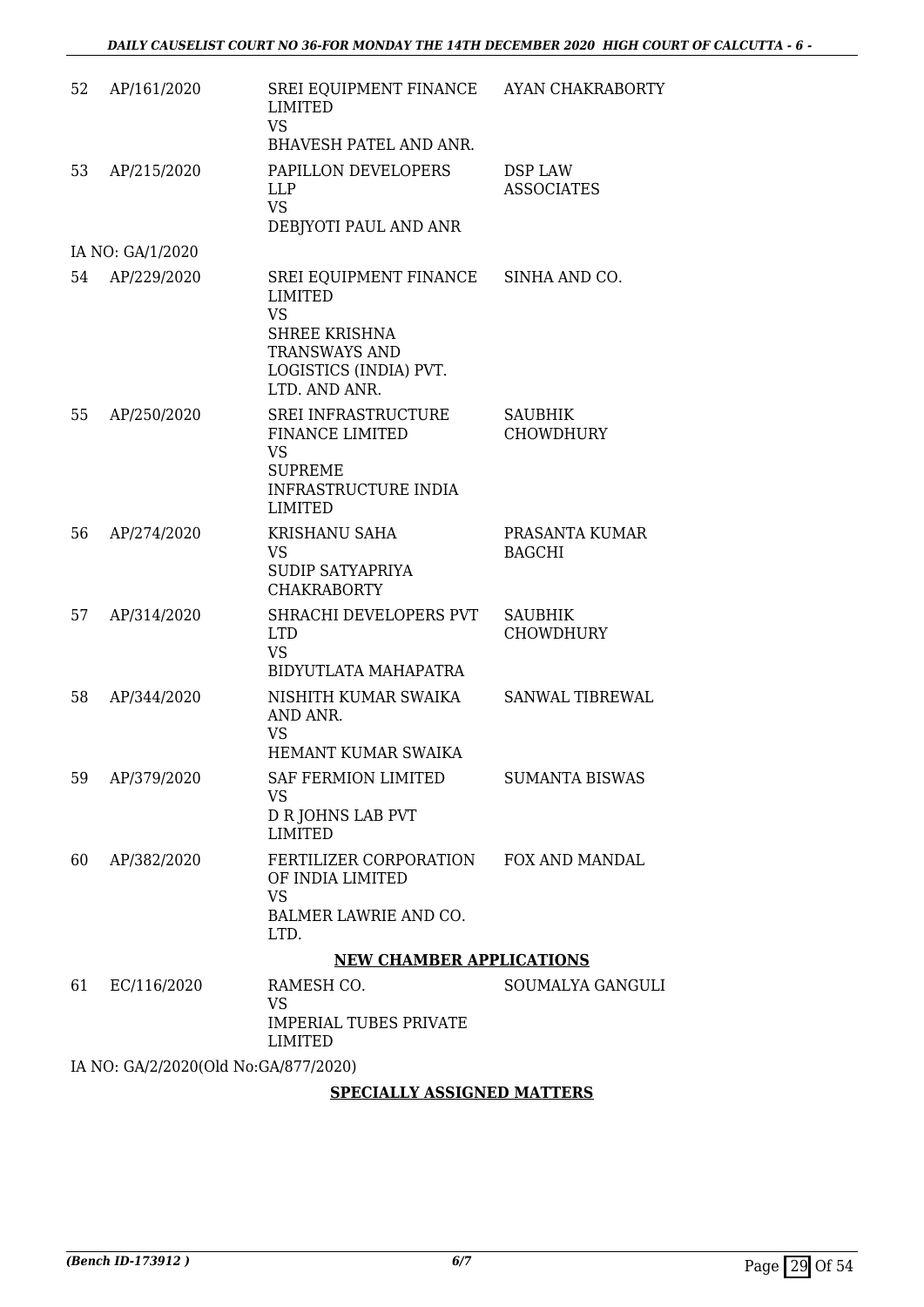| 52 | AP/161/2020      | SREI EQUIPMENT FINANCE<br><b>LIMITED</b><br><b>VS</b>                                                                         | AYAN CHAKRABORTY                   |
|----|------------------|-------------------------------------------------------------------------------------------------------------------------------|------------------------------------|
|    |                  | BHAVESH PATEL AND ANR.                                                                                                        |                                    |
| 53 | AP/215/2020      | PAPILLON DEVELOPERS<br><b>LLP</b><br><b>VS</b><br>DEBJYOTI PAUL AND ANR                                                       | DSP LAW<br><b>ASSOCIATES</b>       |
|    | IA NO: GA/1/2020 |                                                                                                                               |                                    |
| 54 | AP/229/2020      | SREI EQUIPMENT FINANCE<br><b>LIMITED</b><br><b>VS</b>                                                                         | SINHA AND CO.                      |
|    |                  | <b>SHREE KRISHNA</b><br><b>TRANSWAYS AND</b><br>LOGISTICS (INDIA) PVT.<br>LTD. AND ANR.                                       |                                    |
| 55 | AP/250/2020      | <b>SREI INFRASTRUCTURE</b><br><b>FINANCE LIMITED</b><br><b>VS</b><br><b>SUPREME</b><br>INFRASTRUCTURE INDIA<br><b>LIMITED</b> | <b>SAUBHIK</b><br><b>CHOWDHURY</b> |
| 56 | AP/274/2020      | <b>KRISHANU SAHA</b><br><b>VS</b><br><b>SUDIP SATYAPRIYA</b><br><b>CHAKRABORTY</b>                                            | PRASANTA KUMAR<br><b>BAGCHI</b>    |
| 57 | AP/314/2020      | SHRACHI DEVELOPERS PVT<br><b>LTD</b><br><b>VS</b><br>BIDYUTLATA MAHAPATRA                                                     | <b>SAUBHIK</b><br><b>CHOWDHURY</b> |
| 58 | AP/344/2020      | NISHITH KUMAR SWAIKA<br>AND ANR.<br><b>VS</b><br>HEMANT KUMAR SWAIKA                                                          | <b>SANWAL TIBREWAL</b>             |
| 59 | AP/379/2020      | SAF FERMION LIMITED<br><b>VS</b><br>D R JOHNS LAB PVT<br><b>LIMITED</b>                                                       | <b>SUMANTA BISWAS</b>              |
| 60 | AP/382/2020      | FERTILIZER CORPORATION FOX AND MANDAL<br>OF INDIA LIMITED<br><b>VS</b><br>BALMER LAWRIE AND CO.<br>LTD.                       |                                    |
|    |                  | <b>NEW CHAMBER APPLICATIONS</b>                                                                                               |                                    |
| 61 | EC/116/2020      | RAMESH CO.<br><b>VS</b><br><b>IMPERIAL TUBES PRIVATE</b><br><b>LIMITED</b>                                                    | SOUMALYA GANGULI                   |
|    |                  |                                                                                                                               |                                    |

IA NO: GA/2/2020(Old No:GA/877/2020)

## **SPECIALLY ASSIGNED MATTERS**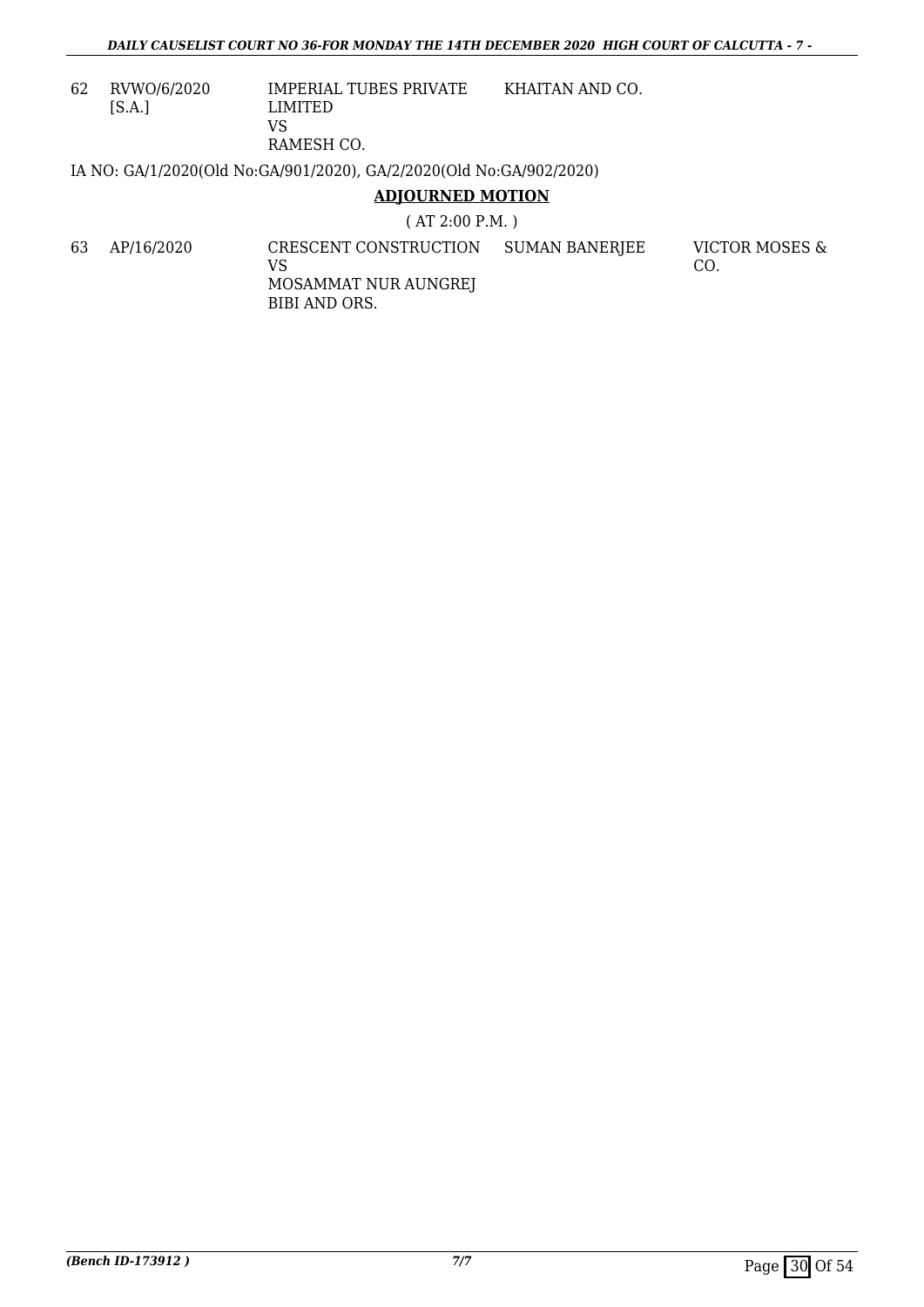62 RVWO/6/2020 [S.A.] IMPERIAL TUBES PRIVATE LIMITED VS KHAITAN AND CO.

RAMESH CO.

IA NO: GA/1/2020(Old No:GA/901/2020), GA/2/2020(Old No:GA/902/2020)

## **ADJOURNED MOTION**

( AT 2:00 P.M. )

63 AP/16/2020 CRESCENT CONSTRUCTION VS MOSAMMAT NUR AUNGREJ BIBI AND ORS. SUMAN BANERJEE VICTOR MOSES & CO.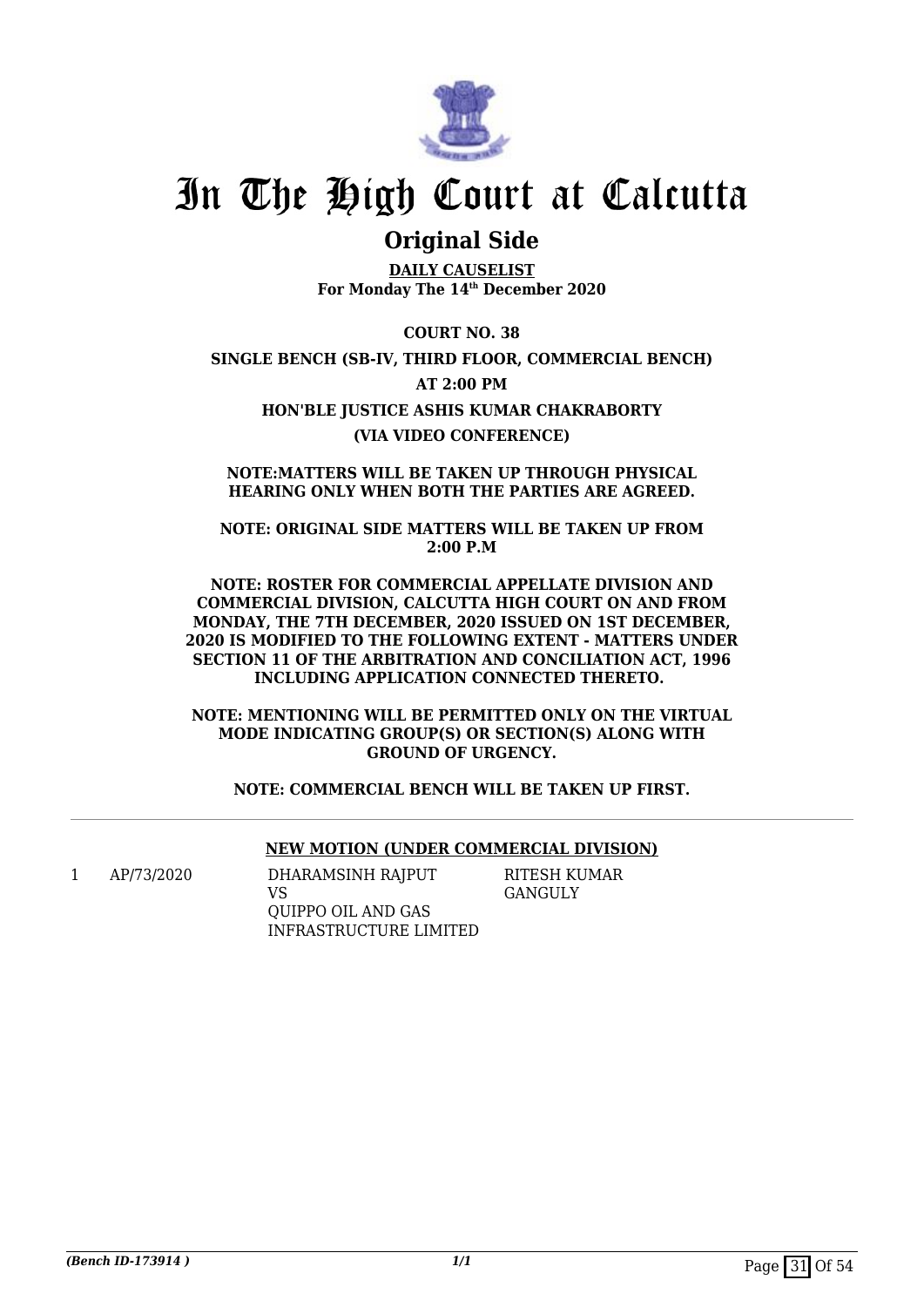

## **Original Side**

**DAILY CAUSELIST For Monday The 14th December 2020**

**COURT NO. 38 SINGLE BENCH (SB-IV, THIRD FLOOR, COMMERCIAL BENCH) AT 2:00 PM HON'BLE JUSTICE ASHIS KUMAR CHAKRABORTY (VIA VIDEO CONFERENCE)**

**NOTE:MATTERS WILL BE TAKEN UP THROUGH PHYSICAL HEARING ONLY WHEN BOTH THE PARTIES ARE AGREED.**

**NOTE: ORIGINAL SIDE MATTERS WILL BE TAKEN UP FROM 2:00 P.M**

**NOTE: ROSTER FOR COMMERCIAL APPELLATE DIVISION AND COMMERCIAL DIVISION, CALCUTTA HIGH COURT ON AND FROM MONDAY, THE 7TH DECEMBER, 2020 ISSUED ON 1ST DECEMBER, 2020 IS MODIFIED TO THE FOLLOWING EXTENT - MATTERS UNDER SECTION 11 OF THE ARBITRATION AND CONCILIATION ACT, 1996 INCLUDING APPLICATION CONNECTED THERETO.** 

**NOTE: MENTIONING WILL BE PERMITTED ONLY ON THE VIRTUAL MODE INDICATING GROUP(S) OR SECTION(S) ALONG WITH GROUND OF URGENCY.**

**NOTE: COMMERCIAL BENCH WILL BE TAKEN UP FIRST.**

**NEW MOTION (UNDER COMMERCIAL DIVISION)**

1 AP/73/2020 DHARAMSINH RAJPUT VS QUIPPO OIL AND GAS INFRASTRUCTURE LIMITED RITESH KUMAR GANGULY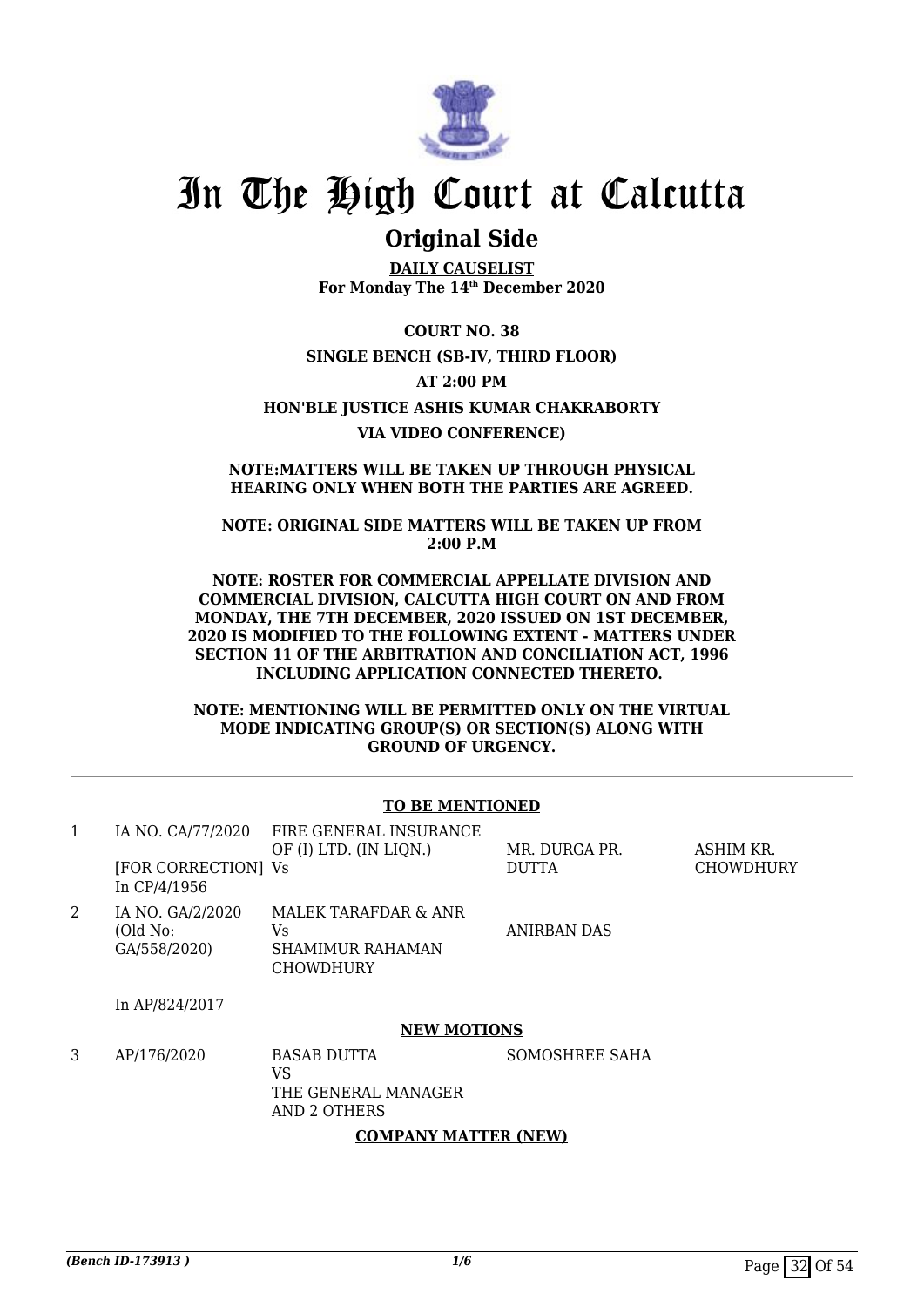

## **Original Side**

**DAILY CAUSELIST For Monday The 14th December 2020**

**COURT NO. 38 SINGLE BENCH (SB-IV, THIRD FLOOR) AT 2:00 PM HON'BLE JUSTICE ASHIS KUMAR CHAKRABORTY VIA VIDEO CONFERENCE)**

#### **NOTE:MATTERS WILL BE TAKEN UP THROUGH PHYSICAL HEARING ONLY WHEN BOTH THE PARTIES ARE AGREED.**

**NOTE: ORIGINAL SIDE MATTERS WILL BE TAKEN UP FROM 2:00 P.M**

**NOTE: ROSTER FOR COMMERCIAL APPELLATE DIVISION AND COMMERCIAL DIVISION, CALCUTTA HIGH COURT ON AND FROM MONDAY, THE 7TH DECEMBER, 2020 ISSUED ON 1ST DECEMBER, 2020 IS MODIFIED TO THE FOLLOWING EXTENT - MATTERS UNDER SECTION 11 OF THE ARBITRATION AND CONCILIATION ACT, 1996 INCLUDING APPLICATION CONNECTED THERETO.** 

**NOTE: MENTIONING WILL BE PERMITTED ONLY ON THE VIRTUAL MODE INDICATING GROUP(S) OR SECTION(S) ALONG WITH GROUND OF URGENCY.**

### **TO BE MENTIONED**

| 1 | IA NO. CA/77/2020                            | FIRE GENERAL INSURANCE<br>OF (I) LTD. (IN LIQN.)                                                | MR. DURGA PR.  | ASHIM KR.        |
|---|----------------------------------------------|-------------------------------------------------------------------------------------------------|----------------|------------------|
|   | [FOR CORRECTION] Vs<br>In $CP/4/1956$        |                                                                                                 | <b>DUTTA</b>   | <b>CHOWDHURY</b> |
| 2 | IA NO. GA/2/2020<br>(Old No:<br>GA/558/2020) | MALEK TARAFDAR & ANR<br>Vs.<br>SHAMIMUR RAHAMAN<br><b>CHOWDHURY</b>                             | ANIRBAN DAS    |                  |
|   | In AP/824/2017                               |                                                                                                 |                |                  |
|   |                                              | <b>NEW MOTIONS</b>                                                                              |                |                  |
| 3 | AP/176/2020                                  | <b>BASAB DUTTA</b><br>VS.<br>THE GENERAL MANAGER<br>AND 2 OTHERS<br><b>COMPANY MATTER (NEW)</b> | SOMOSHREE SAHA |                  |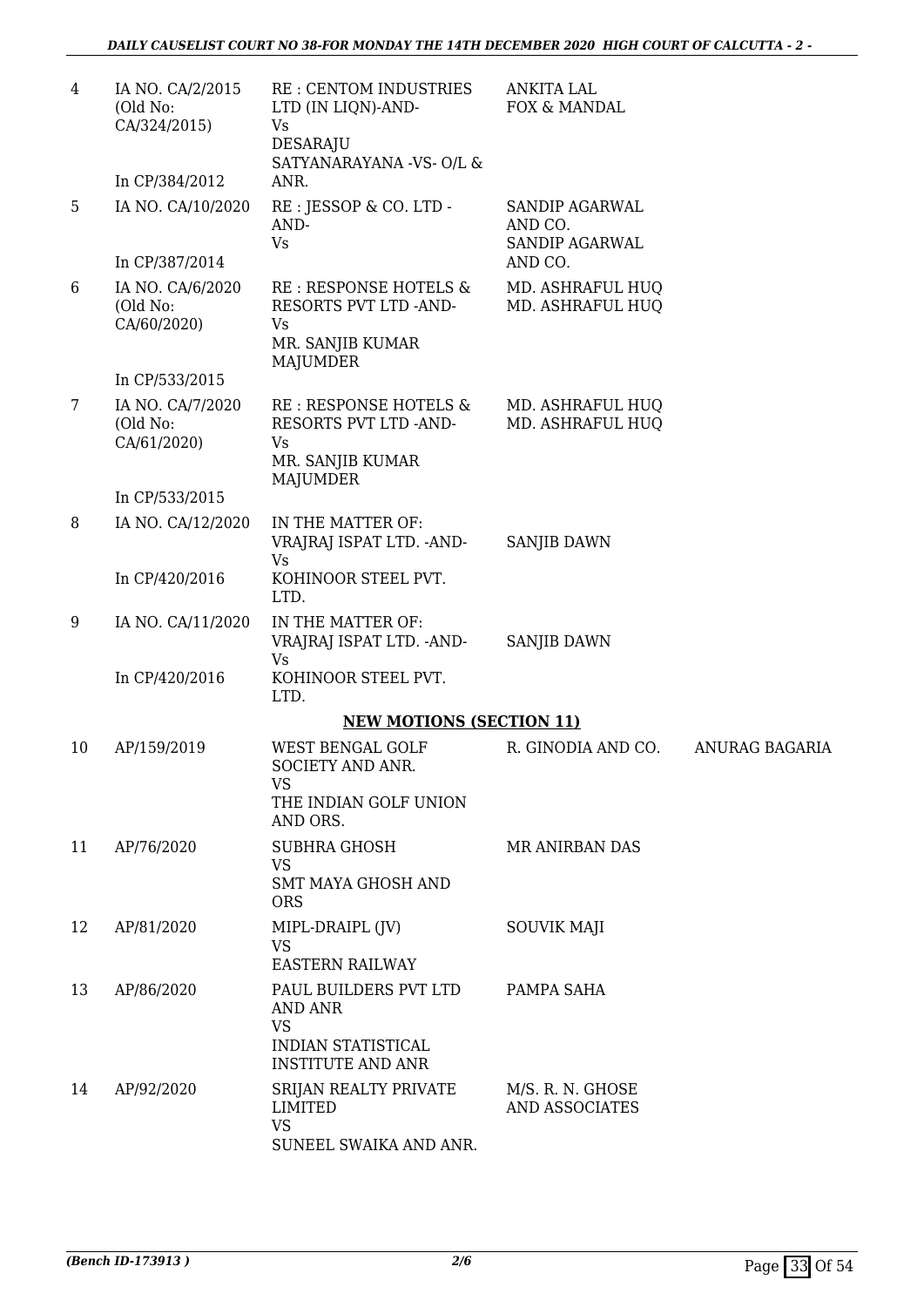| 4              | IA NO. CA/2/2015<br>(Old No:<br>CA/324/2015) | RE : CENTOM INDUSTRIES<br>LTD (IN LIQN)-AND-<br>Vs<br>DESARAJU<br>SATYANARAYANA -VS- O/L &             | <b>ANKITA LAL</b><br>FOX & MANDAL                  |                |
|----------------|----------------------------------------------|--------------------------------------------------------------------------------------------------------|----------------------------------------------------|----------------|
|                | In CP/384/2012                               | ANR.                                                                                                   |                                                    |                |
| 5              | IA NO. CA/10/2020                            | RE : JESSOP & CO. LTD -<br>AND-<br>Vs                                                                  | <b>SANDIP AGARWAL</b><br>AND CO.<br>SANDIP AGARWAL |                |
|                | In CP/387/2014                               |                                                                                                        | AND CO.                                            |                |
| 6              | IA NO. CA/6/2020<br>(Old No:<br>CA/60/2020)  | RE: RESPONSE HOTELS &<br>RESORTS PVT LTD -AND-<br>Vs<br>MR. SANJIB KUMAR<br><b>MAJUMDER</b>            | MD. ASHRAFUL HUQ<br>MD. ASHRAFUL HUQ               |                |
|                | In CP/533/2015                               |                                                                                                        |                                                    |                |
| $\overline{7}$ | IA NO. CA/7/2020<br>(Old No:<br>CA/61/2020)  | RE: RESPONSE HOTELS &<br>RESORTS PVT LTD -AND-<br>Vs<br>MR. SANJIB KUMAR<br><b>MAJUMDER</b>            | MD. ASHRAFUL HUQ<br>MD. ASHRAFUL HUQ               |                |
|                | In CP/533/2015                               |                                                                                                        |                                                    |                |
| 8              | IA NO. CA/12/2020                            | IN THE MATTER OF:<br>VRAJRAJ ISPAT LTD. - AND-<br>Vs                                                   | <b>SANJIB DAWN</b>                                 |                |
|                | In CP/420/2016                               | KOHINOOR STEEL PVT.<br>LTD.                                                                            |                                                    |                |
| 9              | IA NO. CA/11/2020                            | IN THE MATTER OF:<br>VRAJRAJ ISPAT LTD. - AND-<br>Vs                                                   | <b>SANJIB DAWN</b>                                 |                |
|                | In CP/420/2016                               | KOHINOOR STEEL PVT.<br>LTD.                                                                            |                                                    |                |
|                |                                              | <b>NEW MOTIONS (SECTION 11)</b>                                                                        |                                                    |                |
| 10             | AP/159/2019                                  | WEST BENGAL GOLF<br><b>SOCIETY AND ANR</b><br>VS                                                       | R. GINODIA AND CO.                                 | ANURAG BAGARIA |
|                |                                              | THE INDIAN GOLF UNION<br>AND ORS.                                                                      |                                                    |                |
| 11             | AP/76/2020                                   | <b>SUBHRA GHOSH</b><br><b>VS</b><br><b>SMT MAYA GHOSH AND</b>                                          | <b>MR ANIRBAN DAS</b>                              |                |
|                |                                              | <b>ORS</b>                                                                                             |                                                    |                |
| 12             | AP/81/2020                                   | MIPL-DRAIPL (JV)<br><b>VS</b>                                                                          | <b>SOUVIK MAJI</b>                                 |                |
|                |                                              | <b>EASTERN RAILWAY</b>                                                                                 |                                                    |                |
| 13             | AP/86/2020                                   | PAUL BUILDERS PVT LTD<br>AND ANR<br><b>VS</b><br><b>INDIAN STATISTICAL</b><br><b>INSTITUTE AND ANR</b> | PAMPA SAHA                                         |                |
| 14             | AP/92/2020                                   | SRIJAN REALTY PRIVATE<br><b>LIMITED</b><br><b>VS</b><br>SUNEEL SWAIKA AND ANR.                         | M/S. R. N. GHOSE<br>AND ASSOCIATES                 |                |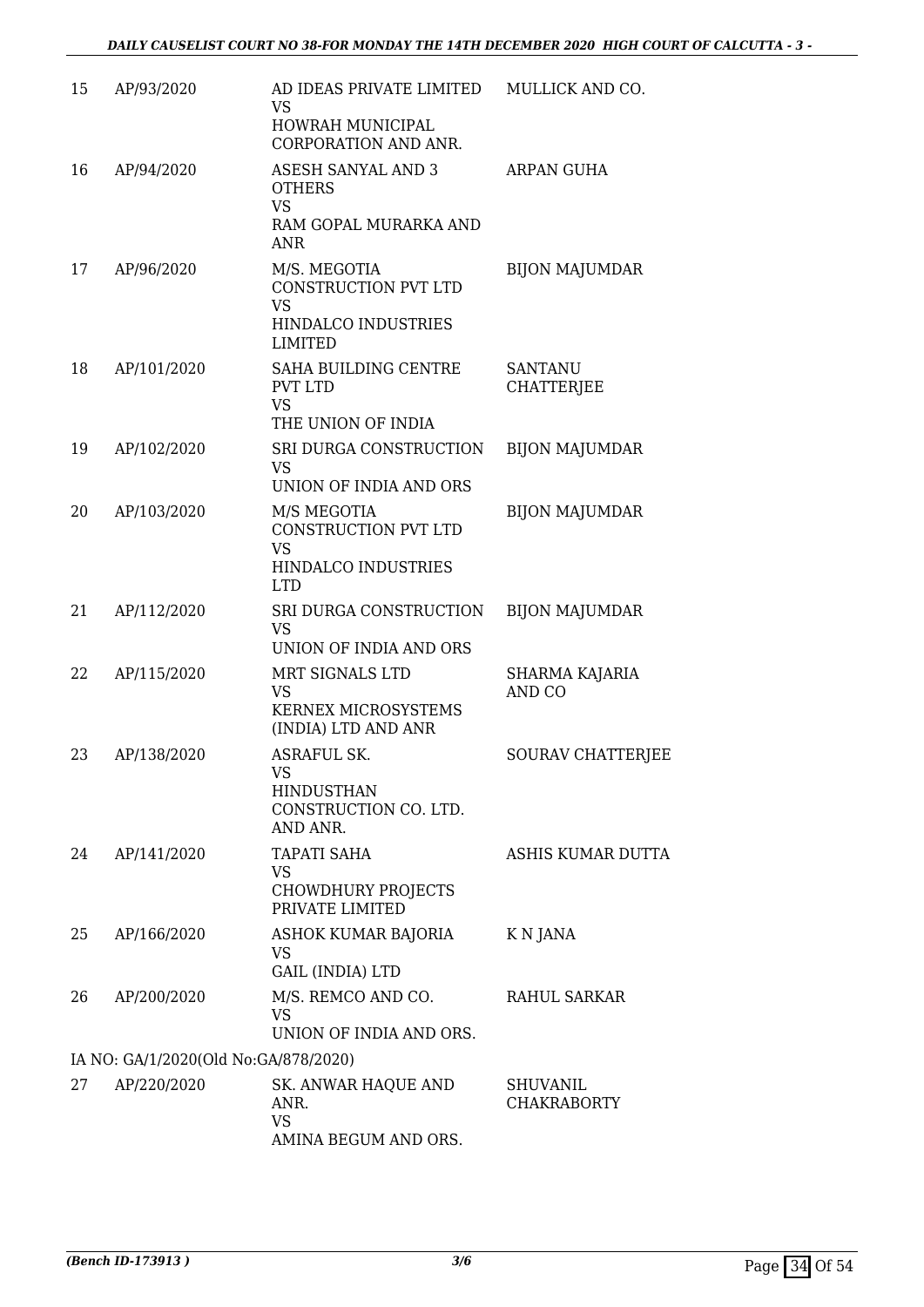| 15 | AP/93/2020                           | AD IDEAS PRIVATE LIMITED<br><b>VS</b><br><b>HOWRAH MUNICIPAL</b><br>CORPORATION AND ANR.          | MULLICK AND CO.                     |
|----|--------------------------------------|---------------------------------------------------------------------------------------------------|-------------------------------------|
| 16 | AP/94/2020                           | <b>ASESH SANYAL AND 3</b><br><b>OTHERS</b><br><b>VS</b><br>RAM GOPAL MURARKA AND<br><b>ANR</b>    | <b>ARPAN GUHA</b>                   |
| 17 | AP/96/2020                           | M/S. MEGOTIA<br>CONSTRUCTION PVT LTD<br><b>VS</b><br><b>HINDALCO INDUSTRIES</b><br><b>LIMITED</b> | <b>BIJON MAJUMDAR</b>               |
| 18 | AP/101/2020                          | SAHA BUILDING CENTRE<br><b>PVT LTD</b><br><b>VS</b><br>THE UNION OF INDIA                         | <b>SANTANU</b><br><b>CHATTERJEE</b> |
| 19 | AP/102/2020                          | SRI DURGA CONSTRUCTION<br><b>VS</b><br>UNION OF INDIA AND ORS                                     | <b>BIJON MAJUMDAR</b>               |
| 20 | AP/103/2020                          | M/S MEGOTIA<br>CONSTRUCTION PVT LTD<br><b>VS</b><br><b>HINDALCO INDUSTRIES</b><br><b>LTD</b>      | <b>BIJON MAJUMDAR</b>               |
| 21 | AP/112/2020                          | SRI DURGA CONSTRUCTION<br><b>VS</b><br>UNION OF INDIA AND ORS                                     | <b>BIJON MAJUMDAR</b>               |
| 22 | AP/115/2020                          | MRT SIGNALS LTD<br><b>VS</b><br>KERNEX MICROSYSTEMS<br>(INDIA) LTD AND ANR                        | SHARMA KAJARIA<br>AND CO            |
| 23 | AP/138/2020                          | <b>ASRAFUL SK.</b><br>VS<br>HINDUSTHAN<br>CONSTRUCTION CO. LTD.<br>AND ANR.                       | <b>SOURAV CHATTERJEE</b>            |
| 24 | AP/141/2020                          | <b>TAPATI SAHA</b><br><b>VS</b><br><b>CHOWDHURY PROJECTS</b><br>PRIVATE LIMITED                   | <b>ASHIS KUMAR DUTTA</b>            |
| 25 | AP/166/2020                          | ASHOK KUMAR BAJORIA<br>VS<br><b>GAIL (INDIA) LTD</b>                                              | K N JANA                            |
| 26 | AP/200/2020                          | M/S. REMCO AND CO.<br><b>VS</b><br>UNION OF INDIA AND ORS.                                        | RAHUL SARKAR                        |
|    | IA NO: GA/1/2020(Old No:GA/878/2020) |                                                                                                   |                                     |
| 27 | AP/220/2020                          | SK. ANWAR HAQUE AND<br>ANR.<br><b>VS</b><br>AMINA BEGUM AND ORS.                                  | SHUVANIL<br><b>CHAKRABORTY</b>      |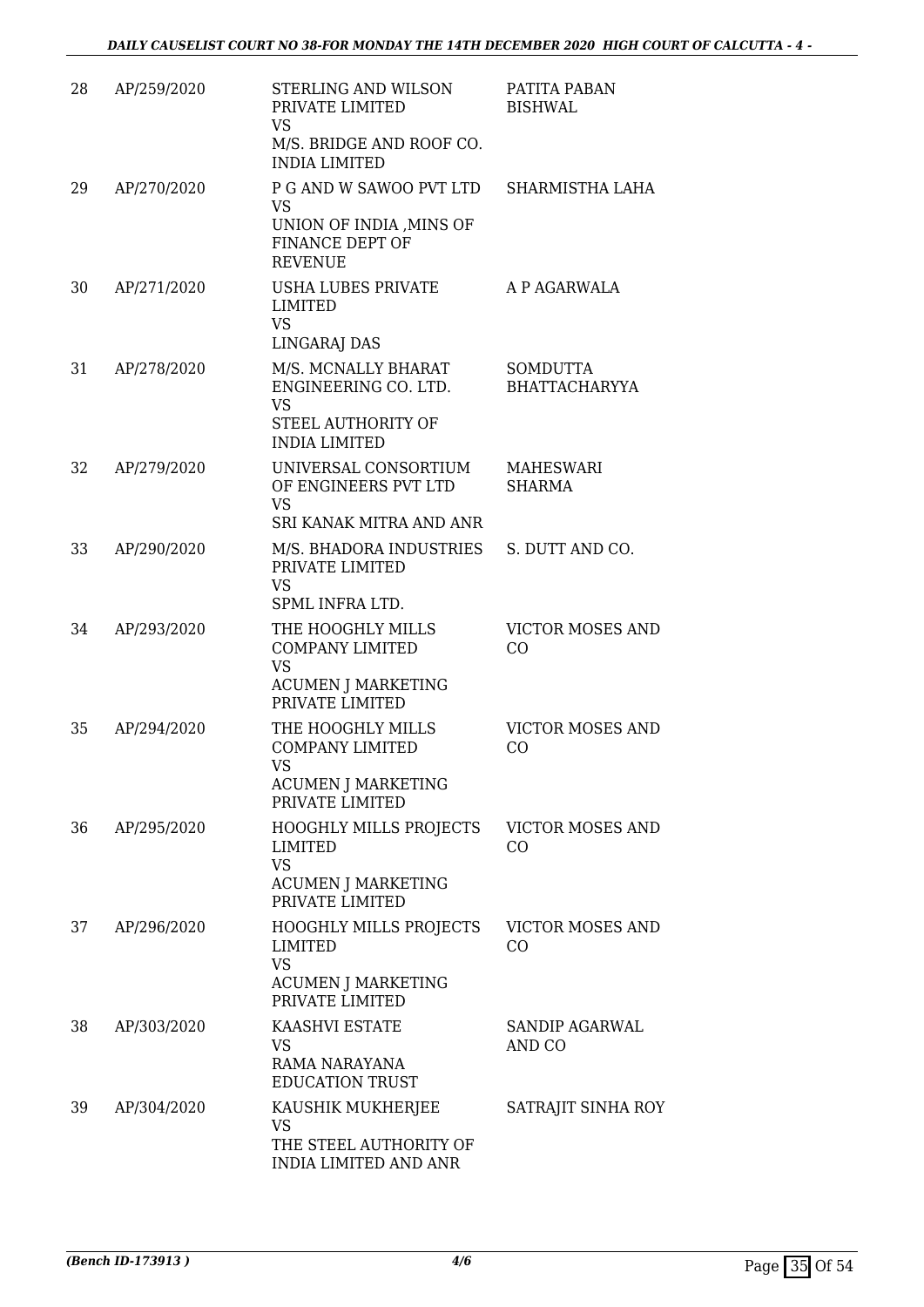| 28 | AP/259/2020 | STERLING AND WILSON<br>PRIVATE LIMITED<br><b>VS</b><br>M/S. BRIDGE AND ROOF CO.<br><b>INDIA LIMITED</b>      | PATITA PABAN<br><b>BISHWAL</b>          |
|----|-------------|--------------------------------------------------------------------------------------------------------------|-----------------------------------------|
| 29 | AP/270/2020 | P G AND W SAWOO PVT LTD<br><b>VS</b><br>UNION OF INDIA , MINS OF<br><b>FINANCE DEPT OF</b><br><b>REVENUE</b> | SHARMISTHA LAHA                         |
| 30 | AP/271/2020 | <b>USHA LUBES PRIVATE</b><br><b>LIMITED</b><br><b>VS</b><br>LINGARAJ DAS                                     | A P AGARWALA                            |
| 31 | AP/278/2020 | M/S. MCNALLY BHARAT<br>ENGINEERING CO. LTD.<br><b>VS</b><br>STEEL AUTHORITY OF<br><b>INDIA LIMITED</b>       | <b>SOMDUTTA</b><br><b>BHATTACHARYYA</b> |
| 32 | AP/279/2020 | UNIVERSAL CONSORTIUM<br>OF ENGINEERS PVT LTD<br><b>VS</b><br>SRI KANAK MITRA AND ANR                         | <b>MAHESWARI</b><br><b>SHARMA</b>       |
| 33 | AP/290/2020 | M/S. BHADORA INDUSTRIES<br>PRIVATE LIMITED<br><b>VS</b><br>SPML INFRA LTD.                                   | S. DUTT AND CO.                         |
| 34 | AP/293/2020 | THE HOOGHLY MILLS<br><b>COMPANY LIMITED</b><br><b>VS</b><br><b>ACUMEN J MARKETING</b><br>PRIVATE LIMITED     | <b>VICTOR MOSES AND</b><br>CO           |
| 35 | AP/294/2020 | THE HOOGHLY MILLS<br><b>COMPANY LIMITED</b><br><b>VS</b><br><b>ACUMEN J MARKETING</b><br>PRIVATE LIMITED     | <b>VICTOR MOSES AND</b><br>CO           |
| 36 | AP/295/2020 | HOOGHLY MILLS PROJECTS<br>LIMITED<br><b>VS</b><br><b>ACUMEN J MARKETING</b><br>PRIVATE LIMITED               | <b>VICTOR MOSES AND</b><br>CO           |
| 37 | AP/296/2020 | <b>HOOGHLY MILLS PROJECTS</b><br><b>LIMITED</b><br><b>VS</b><br><b>ACUMEN J MARKETING</b>                    | <b>VICTOR MOSES AND</b><br>CO.          |
| 38 | AP/303/2020 | PRIVATE LIMITED<br><b>KAASHVI ESTATE</b><br>VS<br>RAMA NARAYANA<br><b>EDUCATION TRUST</b>                    | SANDIP AGARWAL<br>AND CO                |
| 39 | AP/304/2020 | KAUSHIK MUKHERJEE<br><b>VS</b><br>THE STEEL AUTHORITY OF<br><b>INDIA LIMITED AND ANR</b>                     | SATRAJIT SINHA ROY                      |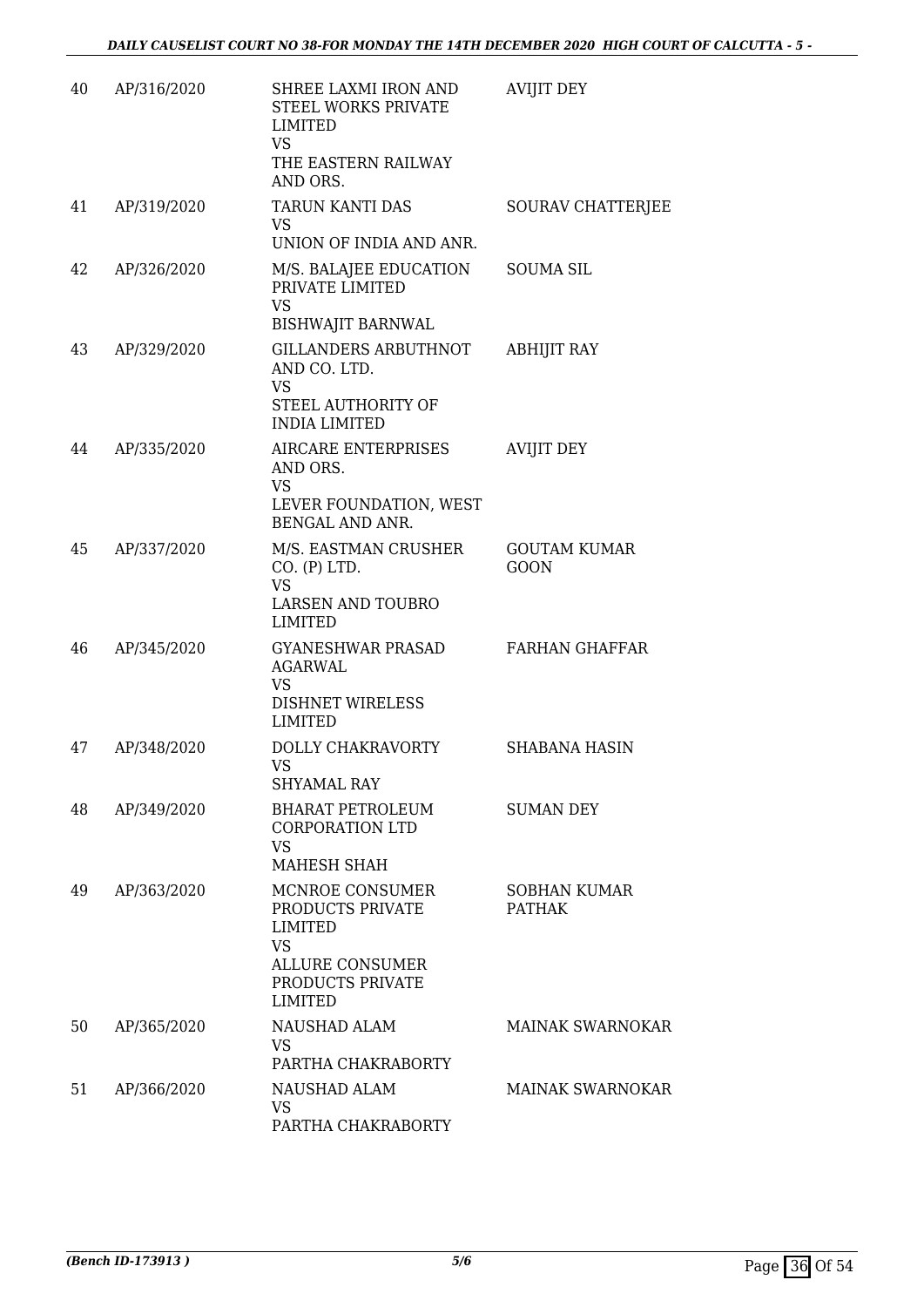| 40 | AP/316/2020 | SHREE LAXMI IRON AND<br><b>STEEL WORKS PRIVATE</b><br>LIMITED<br><b>VS</b><br>THE EASTERN RAILWAY<br>AND ORS.                      | <b>AVIJIT DEY</b>                  |
|----|-------------|------------------------------------------------------------------------------------------------------------------------------------|------------------------------------|
| 41 | AP/319/2020 | TARUN KANTI DAS<br><b>VS</b><br>UNION OF INDIA AND ANR.                                                                            | SOURAV CHATTERJEE                  |
| 42 | AP/326/2020 | M/S. BALAJEE EDUCATION<br>PRIVATE LIMITED<br><b>VS</b><br><b>BISHWAJIT BARNWAL</b>                                                 | <b>SOUMA SIL</b>                   |
| 43 | AP/329/2020 | GILLANDERS ARBUTHNOT<br>AND CO. LTD.<br><b>VS</b><br>STEEL AUTHORITY OF<br><b>INDIA LIMITED</b>                                    | <b>ABHIJIT RAY</b>                 |
| 44 | AP/335/2020 | AIRCARE ENTERPRISES<br>AND ORS.<br><b>VS</b><br>LEVER FOUNDATION, WEST<br><b>BENGAL AND ANR.</b>                                   | <b>AVIJIT DEY</b>                  |
| 45 | AP/337/2020 | M/S. EASTMAN CRUSHER<br>CO. (P) LTD.<br><b>VS</b><br><b>LARSEN AND TOUBRO</b><br><b>LIMITED</b>                                    | <b>GOUTAM KUMAR</b><br><b>GOON</b> |
| 46 | AP/345/2020 | GYANESHWAR PRASAD<br>AGARWAL<br><b>VS</b><br><b>DISHNET WIRELESS</b><br><b>LIMITED</b>                                             | <b>FARHAN GHAFFAR</b>              |
| 47 | AP/348/2020 | DOLLY CHAKRAVORTY<br><b>VS</b><br><b>SHYAMAL RAY</b>                                                                               | SHABANA HASIN                      |
| 48 | AP/349/2020 | <b>BHARAT PETROLEUM</b><br><b>CORPORATION LTD</b><br><b>VS</b><br>MAHESH SHAH                                                      | <b>SUMAN DEY</b>                   |
| 49 | AP/363/2020 | MCNROE CONSUMER<br>PRODUCTS PRIVATE<br><b>LIMITED</b><br><b>VS</b><br><b>ALLURE CONSUMER</b><br>PRODUCTS PRIVATE<br><b>LIMITED</b> | SOBHAN KUMAR<br><b>PATHAK</b>      |
| 50 | AP/365/2020 | NAUSHAD ALAM<br><b>VS</b><br>PARTHA CHAKRABORTY                                                                                    | MAINAK SWARNOKAR                   |
| 51 | AP/366/2020 | NAUSHAD ALAM<br><b>VS</b><br>PARTHA CHAKRABORTY                                                                                    | MAINAK SWARNOKAR                   |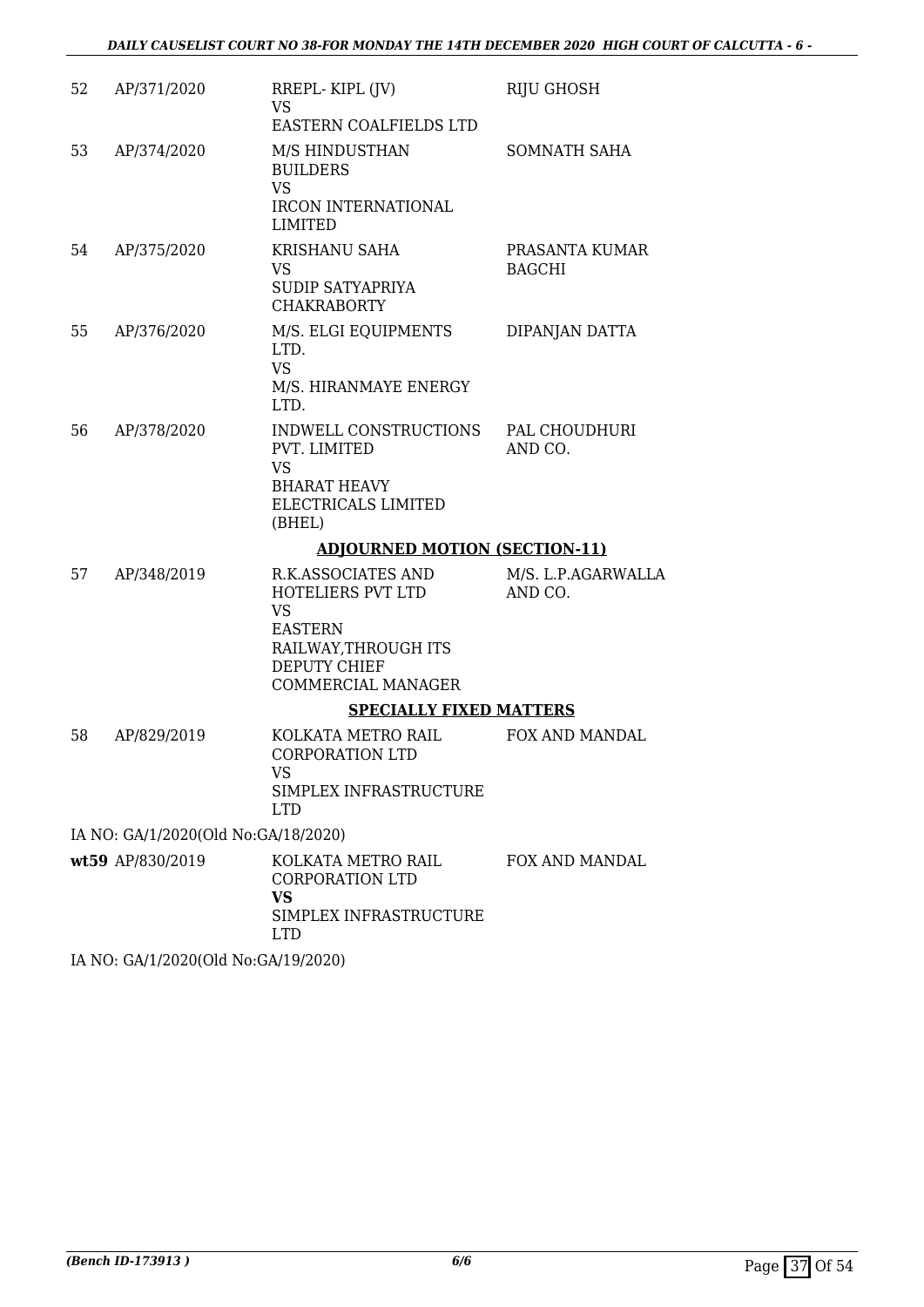| 52 | AP/371/2020                         | RREPL-KIPL (JV)<br><b>VS</b>                                                                                                                | RIJU GHOSH                      |
|----|-------------------------------------|---------------------------------------------------------------------------------------------------------------------------------------------|---------------------------------|
|    |                                     | EASTERN COALFIELDS LTD                                                                                                                      |                                 |
| 53 | AP/374/2020                         | M/S HINDUSTHAN<br><b>BUILDERS</b><br><b>VS</b><br><b>IRCON INTERNATIONAL</b><br><b>LIMITED</b>                                              | SOMNATH SAHA                    |
| 54 | AP/375/2020                         | <b>KRISHANU SAHA</b><br><b>VS</b><br>SUDIP SATYAPRIYA<br><b>CHAKRABORTY</b>                                                                 | PRASANTA KUMAR<br><b>BAGCHI</b> |
| 55 | AP/376/2020                         | M/S. ELGI EQUIPMENTS<br>LTD.<br><b>VS</b><br>M/S. HIRANMAYE ENERGY<br>LTD.                                                                  | DIPANJAN DATTA                  |
| 56 | AP/378/2020                         | INDWELL CONSTRUCTIONS<br>PVT. LIMITED<br><b>VS</b><br><b>BHARAT HEAVY</b><br>ELECTRICALS LIMITED<br>(BHEL)                                  | PAL CHOUDHURI<br>AND CO.        |
|    |                                     | <b>ADJOURNED MOTION (SECTION-11)</b>                                                                                                        |                                 |
| 57 | AP/348/2019                         | R.K.ASSOCIATES AND<br>HOTELIERS PVT LTD<br><b>VS</b><br><b>EASTERN</b><br>RAILWAY, THROUGH ITS<br><b>DEPUTY CHIEF</b><br>COMMERCIAL MANAGER | M/S. L.P.AGARWALLA<br>AND CO.   |
|    |                                     | <b>SPECIALLY FIXED MATTERS</b>                                                                                                              |                                 |
| 58 | AP/829/2019                         | KOLKATA METRO RAIL<br><b>CORPORATION LTD</b><br><b>VS</b><br>SIMPLEX INFRASTRUCTURE<br><b>LTD</b>                                           | FOX AND MANDAL                  |
|    | IA NO: GA/1/2020(Old No:GA/18/2020) |                                                                                                                                             |                                 |
|    | wt59 AP/830/2019                    | KOLKATA METRO RAIL<br><b>CORPORATION LTD</b><br><b>VS</b><br>SIMPLEX INFRASTRUCTURE<br><b>LTD</b>                                           | <b>FOX AND MANDAL</b>           |
|    | IA NO: GA/1/2020(Old No:GA/19/2020) |                                                                                                                                             |                                 |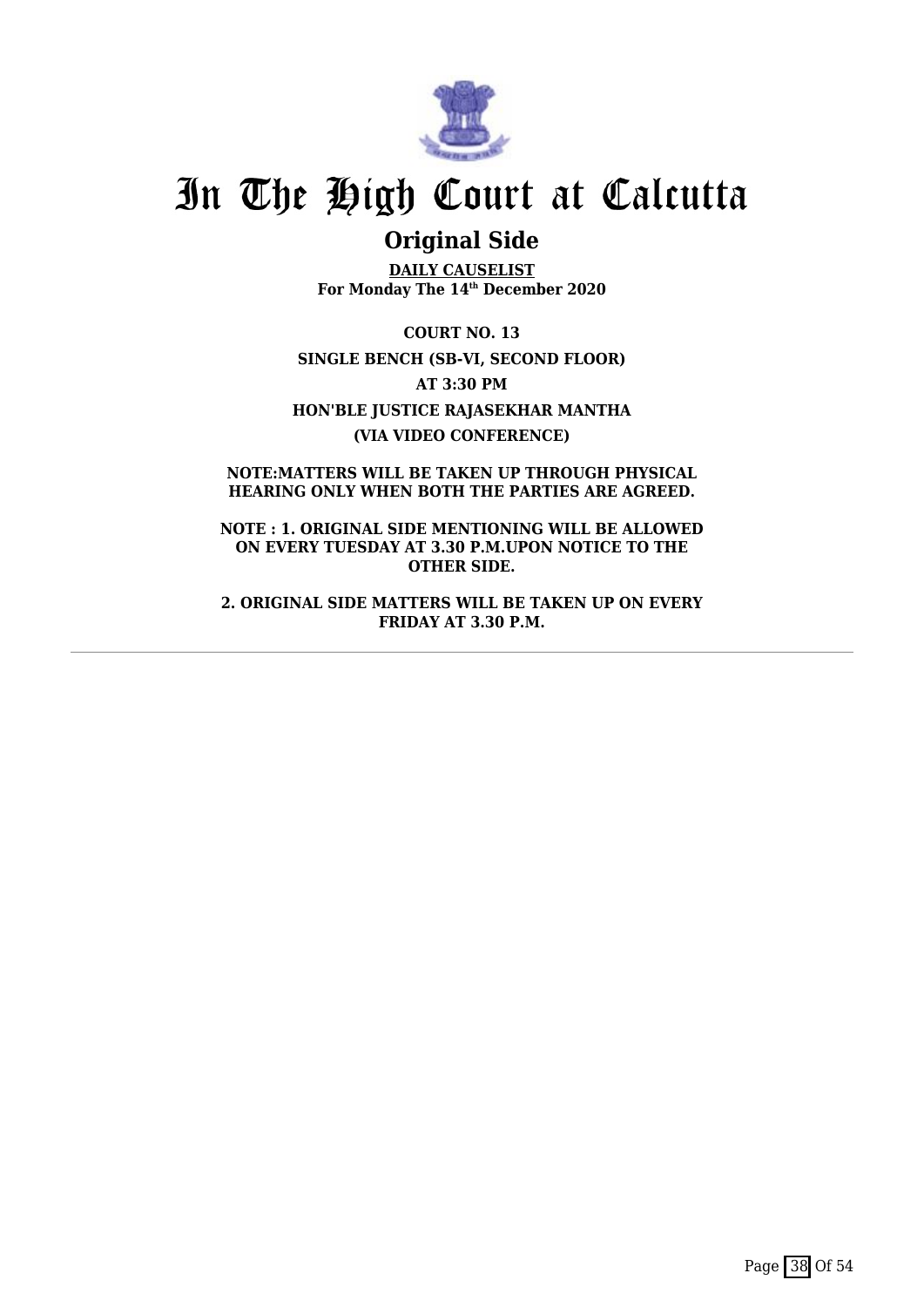

# **Original Side**

**DAILY CAUSELIST For Monday The 14th December 2020**

**COURT NO. 13 SINGLE BENCH (SB-VI, SECOND FLOOR) AT 3:30 PM HON'BLE JUSTICE RAJASEKHAR MANTHA (VIA VIDEO CONFERENCE)**

**NOTE:MATTERS WILL BE TAKEN UP THROUGH PHYSICAL HEARING ONLY WHEN BOTH THE PARTIES ARE AGREED.**

**NOTE : 1. ORIGINAL SIDE MENTIONING WILL BE ALLOWED ON EVERY TUESDAY AT 3.30 P.M.UPON NOTICE TO THE OTHER SIDE.**

**2. ORIGINAL SIDE MATTERS WILL BE TAKEN UP ON EVERY FRIDAY AT 3.30 P.M.**

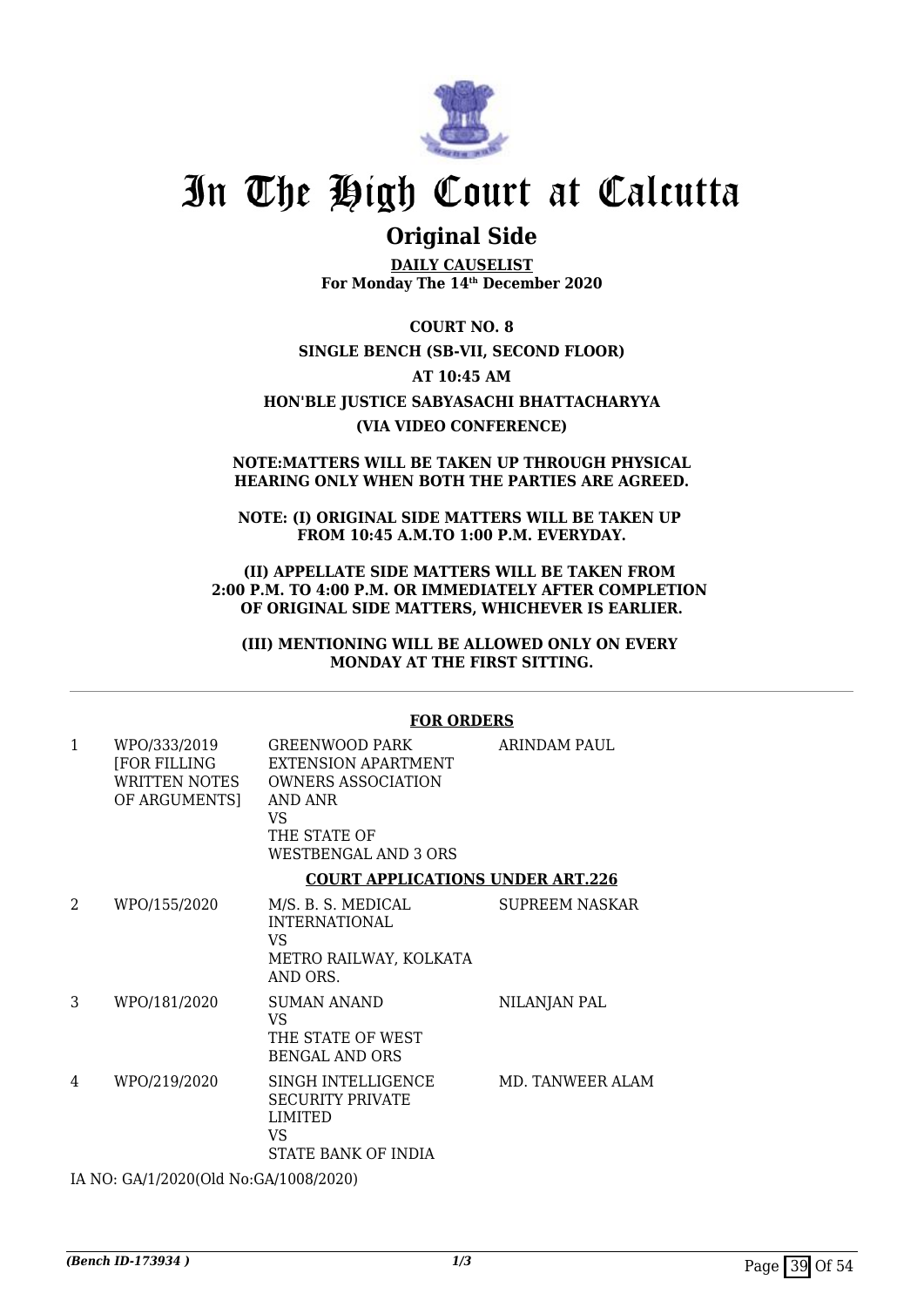

## **Original Side**

**DAILY CAUSELIST For Monday The 14th December 2020**

### **COURT NO. 8**

## **SINGLE BENCH (SB-VII, SECOND FLOOR)**

## **AT 10:45 AM**

## **HON'BLE JUSTICE SABYASACHI BHATTACHARYYA (VIA VIDEO CONFERENCE)**

#### **NOTE:MATTERS WILL BE TAKEN UP THROUGH PHYSICAL HEARING ONLY WHEN BOTH THE PARTIES ARE AGREED.**

**NOTE: (I) ORIGINAL SIDE MATTERS WILL BE TAKEN UP FROM 10:45 A.M.TO 1:00 P.M. EVERYDAY.**

#### **(II) APPELLATE SIDE MATTERS WILL BE TAKEN FROM 2:00 P.M. TO 4:00 P.M. OR IMMEDIATELY AFTER COMPLETION OF ORIGINAL SIDE MATTERS, WHICHEVER IS EARLIER.**

#### **(III) MENTIONING WILL BE ALLOWED ONLY ON EVERY MONDAY AT THE FIRST SITTING.**

#### 1 WPO/333/2019 [FOR FILLING WRITTEN NOTES OF ARGUMENTS] GREENWOOD PARK EXTENSION APARTMENT OWNERS ASSOCIATION AND ANR VS THE STATE OF WESTBENGAL AND 3 ORS ARINDAM PAUL **COURT APPLICATIONS UNDER ART.226** 2 WPO/155/2020 M/S. B. S. MEDICAL INTERNATIONAL VS METRO RAILWAY, KOLKATA AND ORS. SUPREEM NASKAR 3 WPO/181/2020 SUMAN ANAND VS THE STATE OF WEST BENGAL AND ORS NILANJAN PAL 4 WPO/219/2020 SINGH INTELLIGENCE SECURITY PRIVATE LIMITED VS STATE BANK OF INDIA MD. TANWEER ALAM IA NO: GA/1/2020(Old No:GA/1008/2020)

## **FOR ORDERS**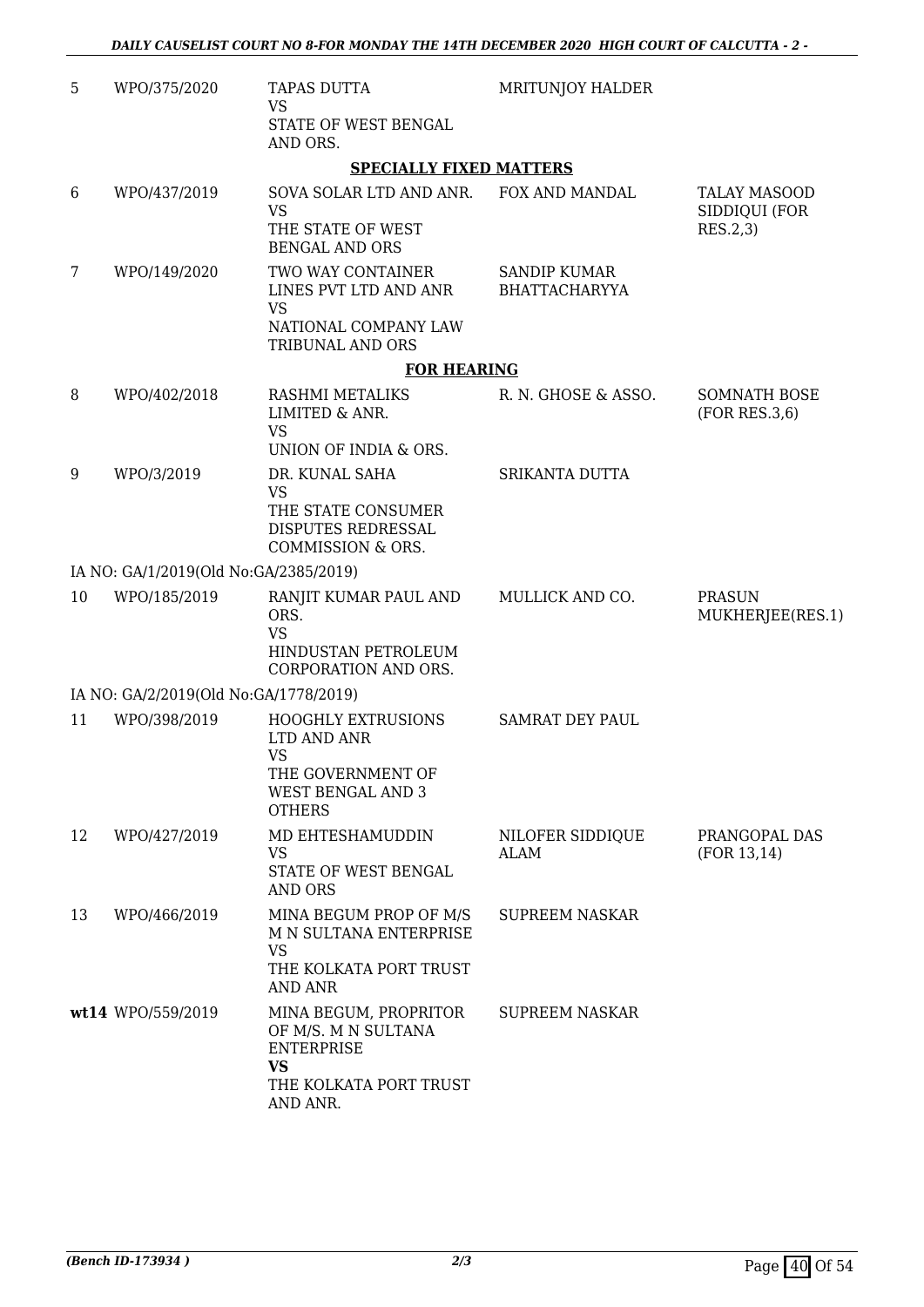| 5  | WPO/375/2020                          | <b>TAPAS DUTTA</b><br><b>VS</b>                                                                                         | <b>MRITUNJOY HALDER</b>                     |                                      |
|----|---------------------------------------|-------------------------------------------------------------------------------------------------------------------------|---------------------------------------------|--------------------------------------|
|    |                                       | STATE OF WEST BENGAL<br>AND ORS.                                                                                        |                                             |                                      |
|    |                                       | <b>SPECIALLY FIXED MATTERS</b>                                                                                          |                                             |                                      |
| 6  | WPO/437/2019                          | SOVA SOLAR LTD AND ANR.                                                                                                 | FOX AND MANDAL                              | <b>TALAY MASOOD</b>                  |
|    |                                       | <b>VS</b><br>THE STATE OF WEST<br><b>BENGAL AND ORS</b>                                                                 |                                             | SIDDIQUI (FOR<br>RES.2,3)            |
| 7  | WPO/149/2020                          | TWO WAY CONTAINER<br>LINES PVT LTD AND ANR<br><b>VS</b>                                                                 | <b>SANDIP KUMAR</b><br><b>BHATTACHARYYA</b> |                                      |
|    |                                       | NATIONAL COMPANY LAW<br>TRIBUNAL AND ORS                                                                                |                                             |                                      |
|    |                                       | <b>FOR HEARING</b>                                                                                                      |                                             |                                      |
| 8  | WPO/402/2018                          | RASHMI METALIKS<br>LIMITED & ANR.<br><b>VS</b><br>UNION OF INDIA & ORS.                                                 | R. N. GHOSE & ASSO.                         | <b>SOMNATH BOSE</b><br>(FOR RES.3,6) |
| 9  | WPO/3/2019                            | DR. KUNAL SAHA                                                                                                          | SRIKANTA DUTTA                              |                                      |
|    |                                       | <b>VS</b>                                                                                                               |                                             |                                      |
|    |                                       | THE STATE CONSUMER<br>DISPUTES REDRESSAL<br>COMMISSION & ORS.                                                           |                                             |                                      |
|    | IA NO: GA/1/2019(Old No:GA/2385/2019) |                                                                                                                         |                                             |                                      |
| 10 | WPO/185/2019                          | RANJIT KUMAR PAUL AND<br>ORS.<br><b>VS</b>                                                                              | MULLICK AND CO.                             | <b>PRASUN</b><br>MUKHERJEE(RES.1)    |
|    |                                       | HINDUSTAN PETROLEUM<br>CORPORATION AND ORS.                                                                             |                                             |                                      |
|    | IA NO: GA/2/2019(Old No:GA/1778/2019) |                                                                                                                         |                                             |                                      |
| 11 | WPO/398/2019                          | <b>HOOGHLY EXTRUSIONS</b><br>LTD AND ANR<br><b>VS</b><br>THE GOVERNMENT OF<br><b>WEST BENGAL AND 3</b><br><b>OTHERS</b> | <b>SAMRAT DEY PAUL</b>                      |                                      |
| 12 | WPO/427/2019                          | MD EHTESHAMUDDIN<br><b>VS</b><br>STATE OF WEST BENGAL<br>AND ORS                                                        | NILOFER SIDDIQUE<br><b>ALAM</b>             | PRANGOPAL DAS<br>(FOR 13, 14)        |
| 13 | WPO/466/2019                          | MINA BEGUM PROP OF M/S<br>M N SULTANA ENTERPRISE<br><b>VS</b><br>THE KOLKATA PORT TRUST<br><b>AND ANR</b>               | <b>SUPREEM NASKAR</b>                       |                                      |
|    | wt14 WPO/559/2019                     | MINA BEGUM, PROPRITOR<br>OF M/S. M N SULTANA<br><b>ENTERPRISE</b><br><b>VS</b><br>THE KOLKATA PORT TRUST<br>AND ANR.    | <b>SUPREEM NASKAR</b>                       |                                      |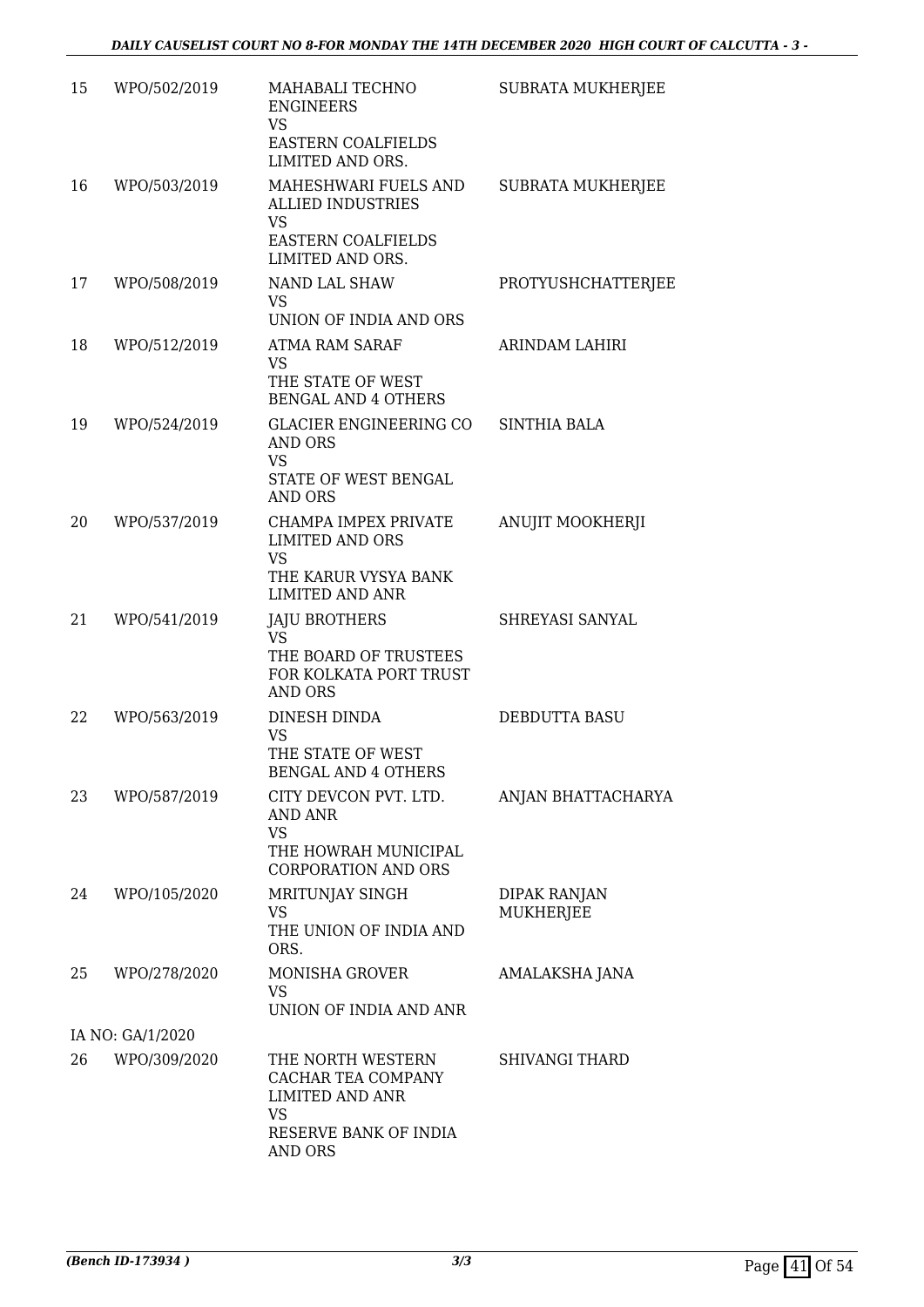| 15 | WPO/502/2019     | MAHABALI TECHNO<br><b>ENGINEERS</b><br>VS<br><b>EASTERN COALFIELDS</b><br>LIMITED AND ORS.                  | SUBRATA MUKHERJEE                |
|----|------------------|-------------------------------------------------------------------------------------------------------------|----------------------------------|
| 16 | WPO/503/2019     | MAHESHWARI FUELS AND<br><b>ALLIED INDUSTRIES</b><br>VS<br><b>EASTERN COALFIELDS</b><br>LIMITED AND ORS.     | <b>SUBRATA MUKHERJEE</b>         |
| 17 | WPO/508/2019     | NAND LAL SHAW<br>VS<br>UNION OF INDIA AND ORS                                                               | PROTYUSHCHATTERJEE               |
| 18 | WPO/512/2019     | <b>ATMA RAM SARAF</b><br>VS<br>THE STATE OF WEST<br><b>BENGAL AND 4 OTHERS</b>                              | ARINDAM LAHIRI                   |
| 19 | WPO/524/2019     | GLACIER ENGINEERING CO<br>AND ORS<br>VS<br>STATE OF WEST BENGAL<br><b>AND ORS</b>                           | SINTHIA BALA                     |
| 20 | WPO/537/2019     | CHAMPA IMPEX PRIVATE<br><b>LIMITED AND ORS</b><br>VS<br>THE KARUR VYSYA BANK<br><b>LIMITED AND ANR</b>      | ANUJIT MOOKHERJI                 |
| 21 | WPO/541/2019     | <b>JAJU BROTHERS</b><br><b>VS</b><br>THE BOARD OF TRUSTEES<br>FOR KOLKATA PORT TRUST<br><b>AND ORS</b>      | SHREYASI SANYAL                  |
| 22 | WPO/563/2019     | DINESH DINDA<br>VS<br>THE STATE OF WEST<br><b>BENGAL AND 4 OTHERS</b>                                       | DEBDUTTA BASU                    |
| 23 | WPO/587/2019     | CITY DEVCON PVT. LTD.<br>AND ANR<br>VS<br>THE HOWRAH MUNICIPAL<br><b>CORPORATION AND ORS</b>                | ANJAN BHATTACHARYA               |
| 24 | WPO/105/2020     | MRITUNJAY SINGH<br>VS<br>THE UNION OF INDIA AND<br>ORS.                                                     | DIPAK RANJAN<br><b>MUKHERJEE</b> |
| 25 | WPO/278/2020     | <b>MONISHA GROVER</b><br>VS<br>UNION OF INDIA AND ANR                                                       | AMALAKSHA JANA                   |
|    | IA NO: GA/1/2020 |                                                                                                             |                                  |
| 26 | WPO/309/2020     | THE NORTH WESTERN<br>CACHAR TEA COMPANY<br><b>LIMITED AND ANR</b><br>VS<br>RESERVE BANK OF INDIA<br>AND ORS | <b>SHIVANGI THARD</b>            |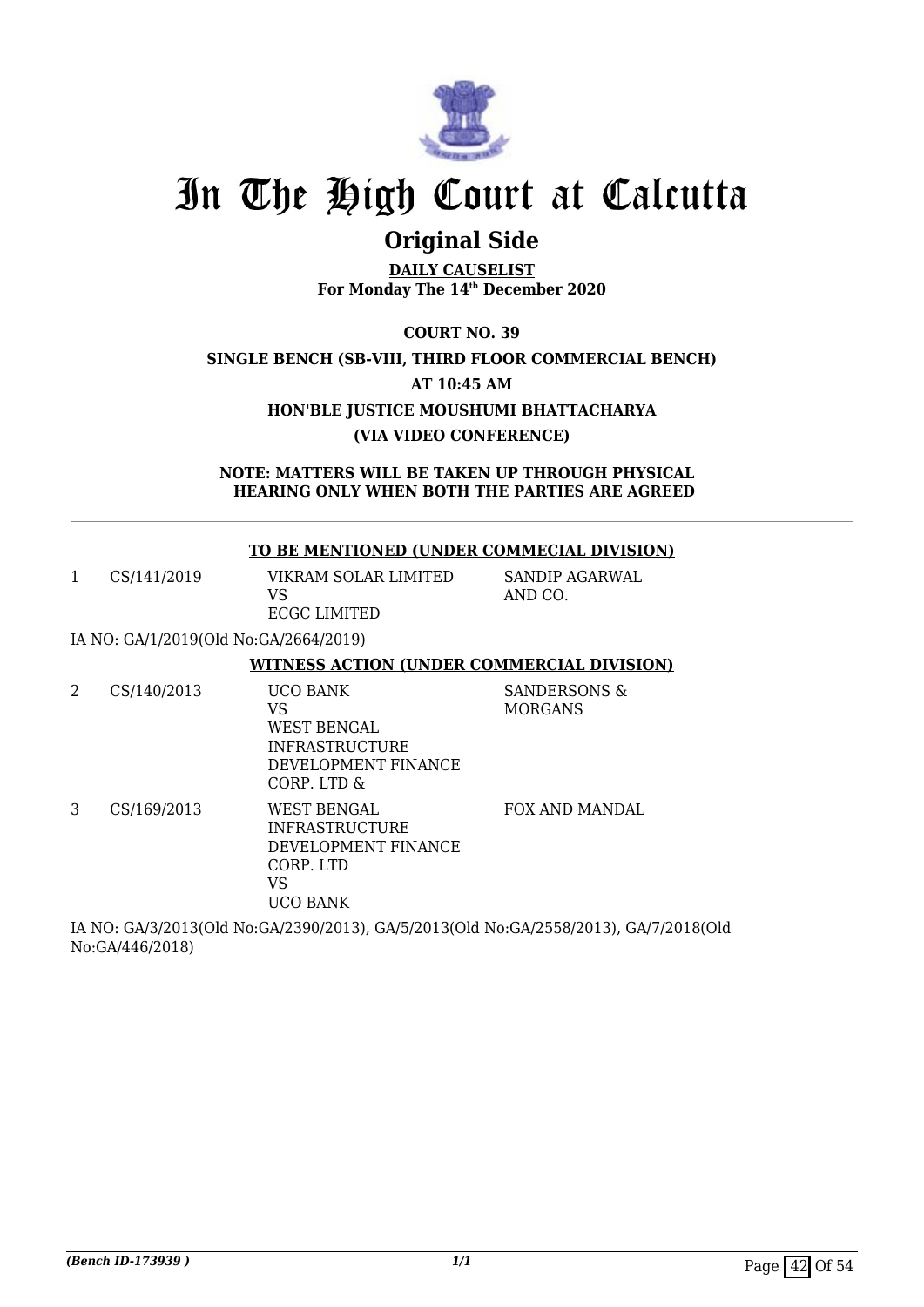

# **Original Side**

**DAILY CAUSELIST For Monday The 14th December 2020**

**COURT NO. 39**

## **SINGLE BENCH (SB-VIII, THIRD FLOOR COMMERCIAL BENCH)**

**AT 10:45 AM**

**HON'BLE JUSTICE MOUSHUMI BHATTACHARYA**

**(VIA VIDEO CONFERENCE)**

**NOTE: MATTERS WILL BE TAKEN UP THROUGH PHYSICAL HEARING ONLY WHEN BOTH THE PARTIES ARE AGREED**

### **TO BE MENTIONED (UNDER COMMECIAL DIVISION)**

1 CS/141/2019 VIKRAM SOLAR LIMITED VS ECGC LIMITED

SANDIP AGARWAL AND CO.

IA NO: GA/1/2019(Old No:GA/2664/2019)

### **WITNESS ACTION (UNDER COMMERCIAL DIVISION)**

2 CS/140/2013 UCO BANK VS WEST BENGAL INFRASTRUCTURE DEVELOPMENT FINANCE CORP. LTD & SANDERSONS & MORGANS 3 CS/169/2013 WEST BENGAL INFRASTRUCTURE DEVELOPMENT FINANCE CORP. LTD FOX AND MANDAL

VS

UCO BANK IA NO: GA/3/2013(Old No:GA/2390/2013), GA/5/2013(Old No:GA/2558/2013), GA/7/2018(Old No:GA/446/2018)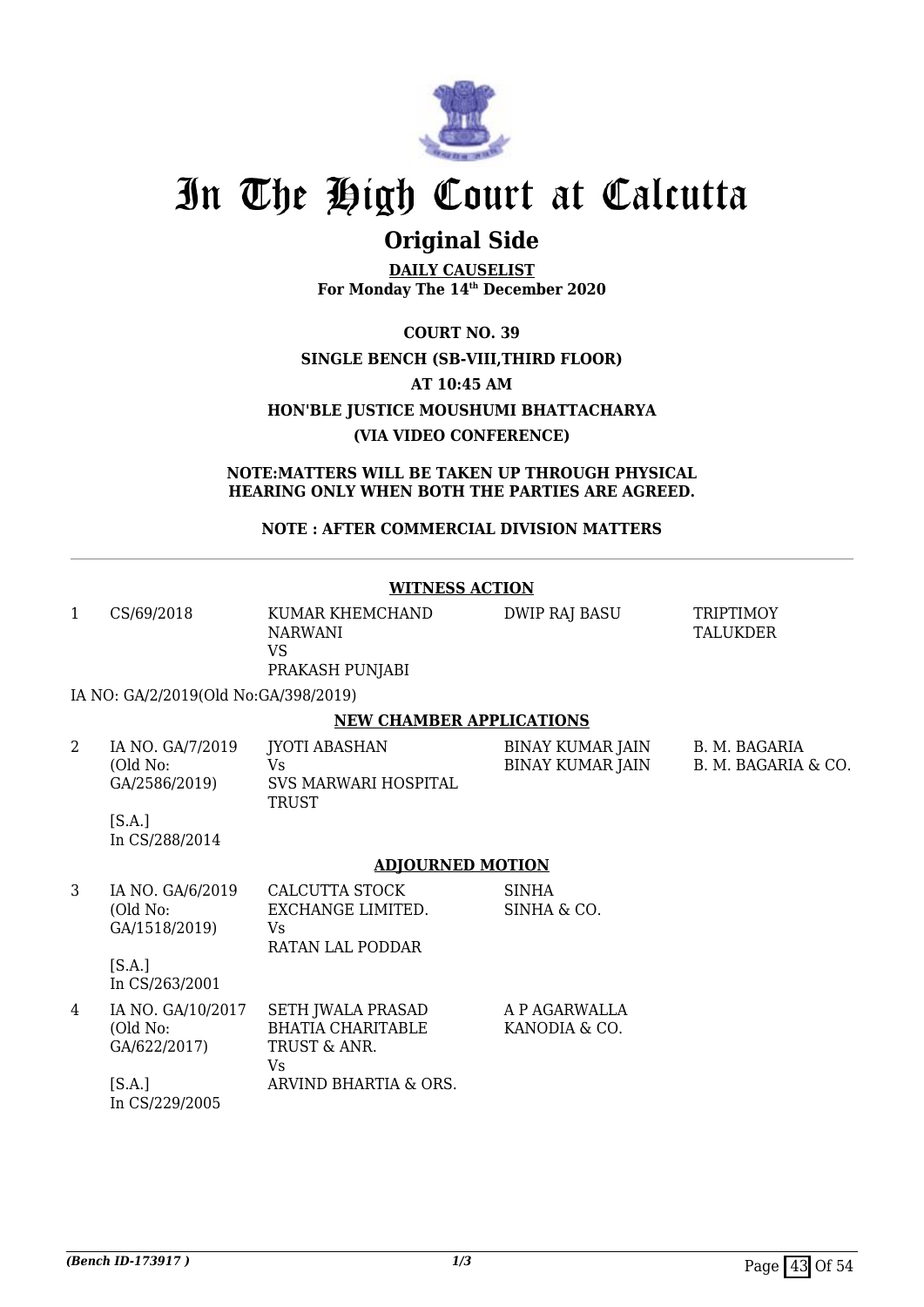

# **Original Side**

**DAILY CAUSELIST For Monday The 14th December 2020**

**COURT NO. 39 SINGLE BENCH (SB-VIII,THIRD FLOOR) AT 10:45 AM HON'BLE JUSTICE MOUSHUMI BHATTACHARYA (VIA VIDEO CONFERENCE)**

**NOTE:MATTERS WILL BE TAKEN UP THROUGH PHYSICAL HEARING ONLY WHEN BOTH THE PARTIES ARE AGREED.**

**NOTE : AFTER COMMERCIAL DIVISION MATTERS**

## **WITNESS ACTION**

| 1 | CS/69/2018                                              | KUMAR KHEMCHAND<br><b>NARWANI</b><br>VS<br>PRAKASH PUNJABI         | <b>DWIP RAJ BASU</b>                               | TRIPTIMOY<br>TALUKDER                |
|---|---------------------------------------------------------|--------------------------------------------------------------------|----------------------------------------------------|--------------------------------------|
|   | IA NO: GA/2/2019(Old No:GA/398/2019)                    |                                                                    |                                                    |                                      |
|   |                                                         | <b>NEW CHAMBER APPLICATIONS</b>                                    |                                                    |                                      |
| 2 | IA NO. GA/7/2019<br>(Old No:<br>GA/2586/2019)<br>[S.A.] | <b>JYOTI ABASHAN</b><br>Vs<br><b>SVS MARWARI HOSPITAL</b><br>TRUST | <b>BINAY KUMAR JAIN</b><br><b>BINAY KUMAR JAIN</b> | B. M. BAGARIA<br>B. M. BAGARIA & CO. |
|   | In CS/288/2014                                          |                                                                    |                                                    |                                      |
|   |                                                         | A DIAHDNED MATIAN                                                  |                                                    |                                      |

### **ADJOURNED MOTION**

| 3 | IA NO. GA/6/2019<br>(Old No:<br>GA/1518/2019) | CALCUTTA STOCK<br>EXCHANGE LIMITED.<br><b>Vs</b><br>RATAN LAL PODDAR       | <b>SINHA</b><br>SINHA & CO.    |
|---|-----------------------------------------------|----------------------------------------------------------------------------|--------------------------------|
|   | [S.A.]<br>In CS/263/2001                      |                                                                            |                                |
| 4 | IA NO. GA/10/2017<br>(Old No:<br>GA/622/2017) | <b>SETH JWALA PRASAD</b><br><b>BHATIA CHARITABLE</b><br>TRUST & ANR.<br>Vs | A P AGARWALLA<br>KANODIA & CO. |
|   | [S.A.]<br>In CS/229/2005                      | ARVIND BHARTIA & ORS.                                                      |                                |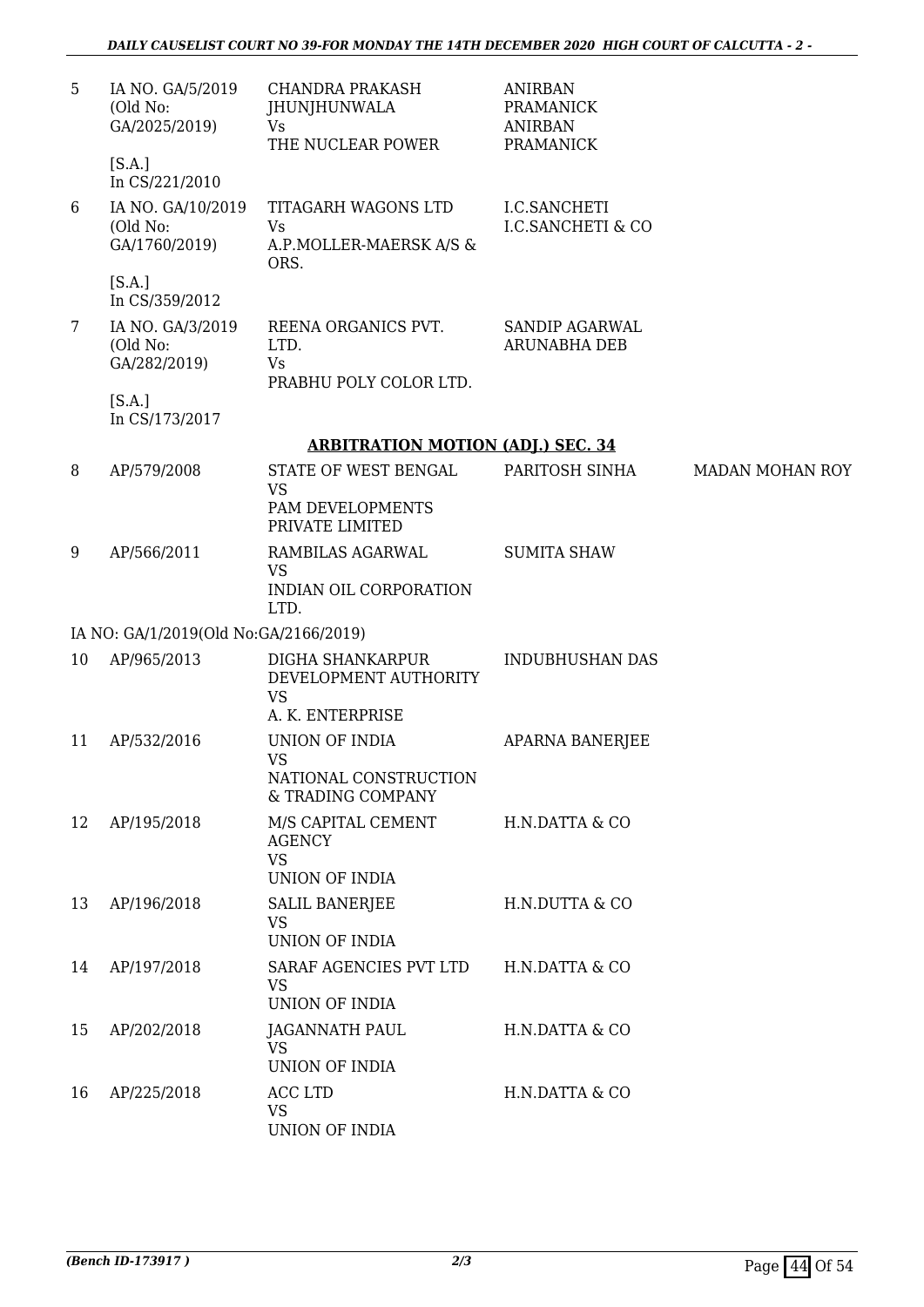| 5  | IA NO. GA/5/2019<br>(Old No:<br>GA/2025/2019)  | <b>CHANDRA PRAKASH</b><br><b>JHUNJHUNWALA</b><br><b>Vs</b><br>THE NUCLEAR POWER | <b>ANIRBAN</b><br><b>PRAMANICK</b><br><b>ANIRBAN</b><br><b>PRAMANICK</b> |                        |
|----|------------------------------------------------|---------------------------------------------------------------------------------|--------------------------------------------------------------------------|------------------------|
|    | [S.A.]<br>In CS/221/2010                       |                                                                                 |                                                                          |                        |
| 6  | IA NO. GA/10/2019<br>(Old No:<br>GA/1760/2019) | TITAGARH WAGONS LTD<br><b>Vs</b><br>A.P.MOLLER-MAERSK A/S &<br>ORS.             | I.C.SANCHETI<br>I.C.SANCHETI & CO                                        |                        |
|    | [S.A.]<br>In CS/359/2012                       |                                                                                 |                                                                          |                        |
| 7  | IA NO. GA/3/2019<br>(Old No:<br>GA/282/2019)   | REENA ORGANICS PVT.<br>LTD.<br><b>Vs</b><br>PRABHU POLY COLOR LTD.              | <b>SANDIP AGARWAL</b><br>ARUNABHA DEB                                    |                        |
|    | [S.A.]<br>In CS/173/2017                       |                                                                                 |                                                                          |                        |
|    |                                                | <b>ARBITRATION MOTION (ADI.) SEC. 34</b>                                        |                                                                          |                        |
| 8  | AP/579/2008                                    | STATE OF WEST BENGAL<br><b>VS</b>                                               | PARITOSH SINHA                                                           | <b>MADAN MOHAN ROY</b> |
|    |                                                | PAM DEVELOPMENTS<br>PRIVATE LIMITED                                             |                                                                          |                        |
| 9  | AP/566/2011                                    | RAMBILAS AGARWAL<br><b>VS</b><br>INDIAN OIL CORPORATION                         | <b>SUMITA SHAW</b>                                                       |                        |
|    |                                                | LTD.                                                                            |                                                                          |                        |
|    | IA NO: GA/1/2019(Old No:GA/2166/2019)          |                                                                                 |                                                                          |                        |
| 10 | AP/965/2013                                    | DIGHA SHANKARPUR<br>DEVELOPMENT AUTHORITY<br><b>VS</b>                          | <b>INDUBHUSHAN DAS</b>                                                   |                        |
|    |                                                | A. K. ENTERPRISE                                                                |                                                                          |                        |
| 11 | AP/532/2016                                    | UNION OF INDIA<br><b>VS</b>                                                     | <b>APARNA BANERJEE</b>                                                   |                        |
|    |                                                | NATIONAL CONSTRUCTION<br>& TRADING COMPANY                                      |                                                                          |                        |
| 12 | AP/195/2018                                    | M/S CAPITAL CEMENT<br><b>AGENCY</b><br><b>VS</b><br>UNION OF INDIA              | H.N.DATTA & CO                                                           |                        |
| 13 | AP/196/2018                                    | <b>SALIL BANERJEE</b><br><b>VS</b><br><b>UNION OF INDIA</b>                     | H.N.DUTTA & CO                                                           |                        |
| 14 | AP/197/2018                                    | SARAF AGENCIES PVT LTD<br><b>VS</b><br>UNION OF INDIA                           | H.N.DATTA & CO                                                           |                        |
| 15 | AP/202/2018                                    | <b>JAGANNATH PAUL</b><br><b>VS</b><br>UNION OF INDIA                            | H.N.DATTA & CO                                                           |                        |
| 16 | AP/225/2018                                    | ACC LTD<br><b>VS</b><br>UNION OF INDIA                                          | H.N.DATTA & CO                                                           |                        |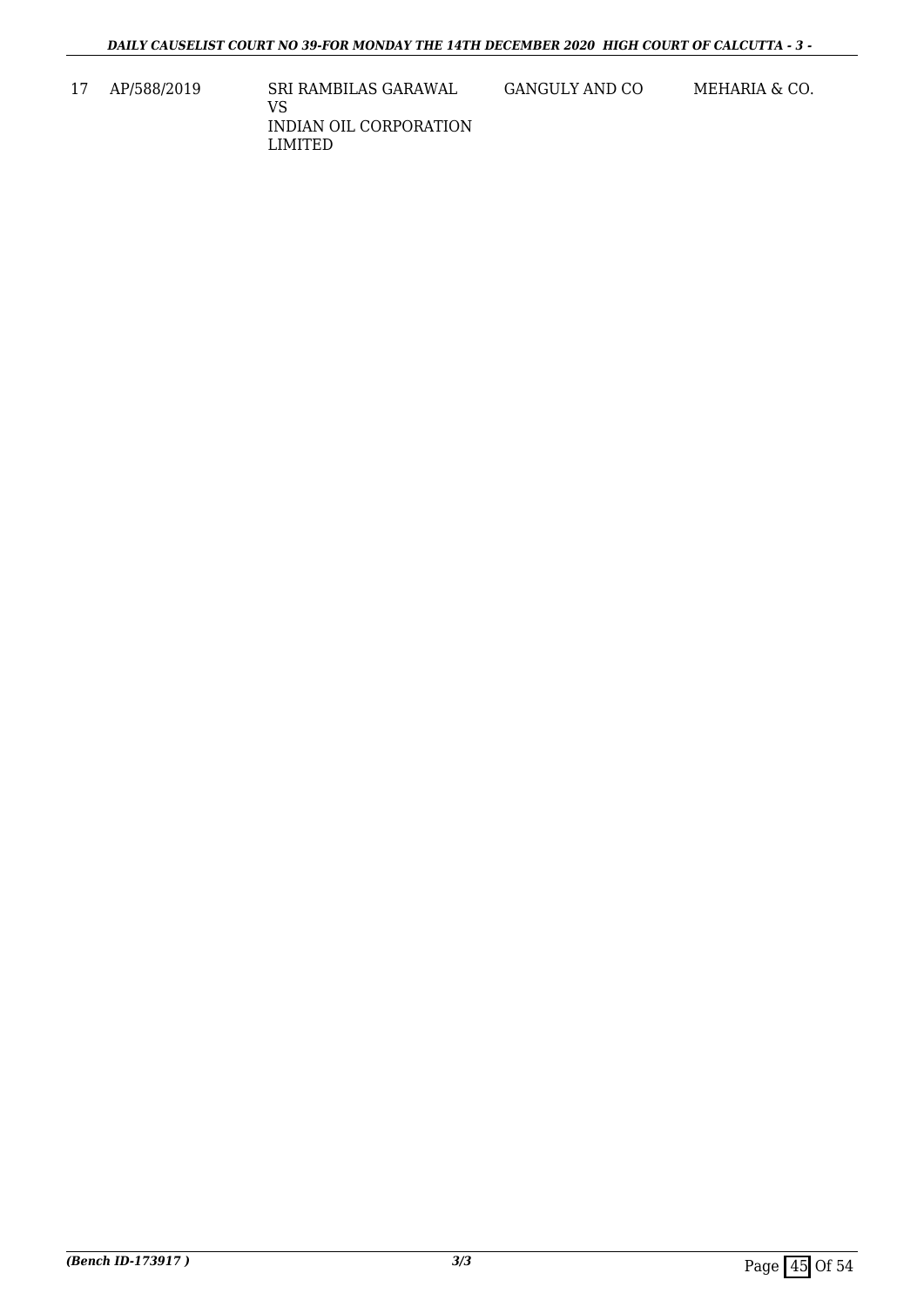17 AP/588/2019 SRI RAMBILAS GARAWAL VS INDIAN OIL CORPORATION LIMITED GANGULY AND CO MEHARIA & CO.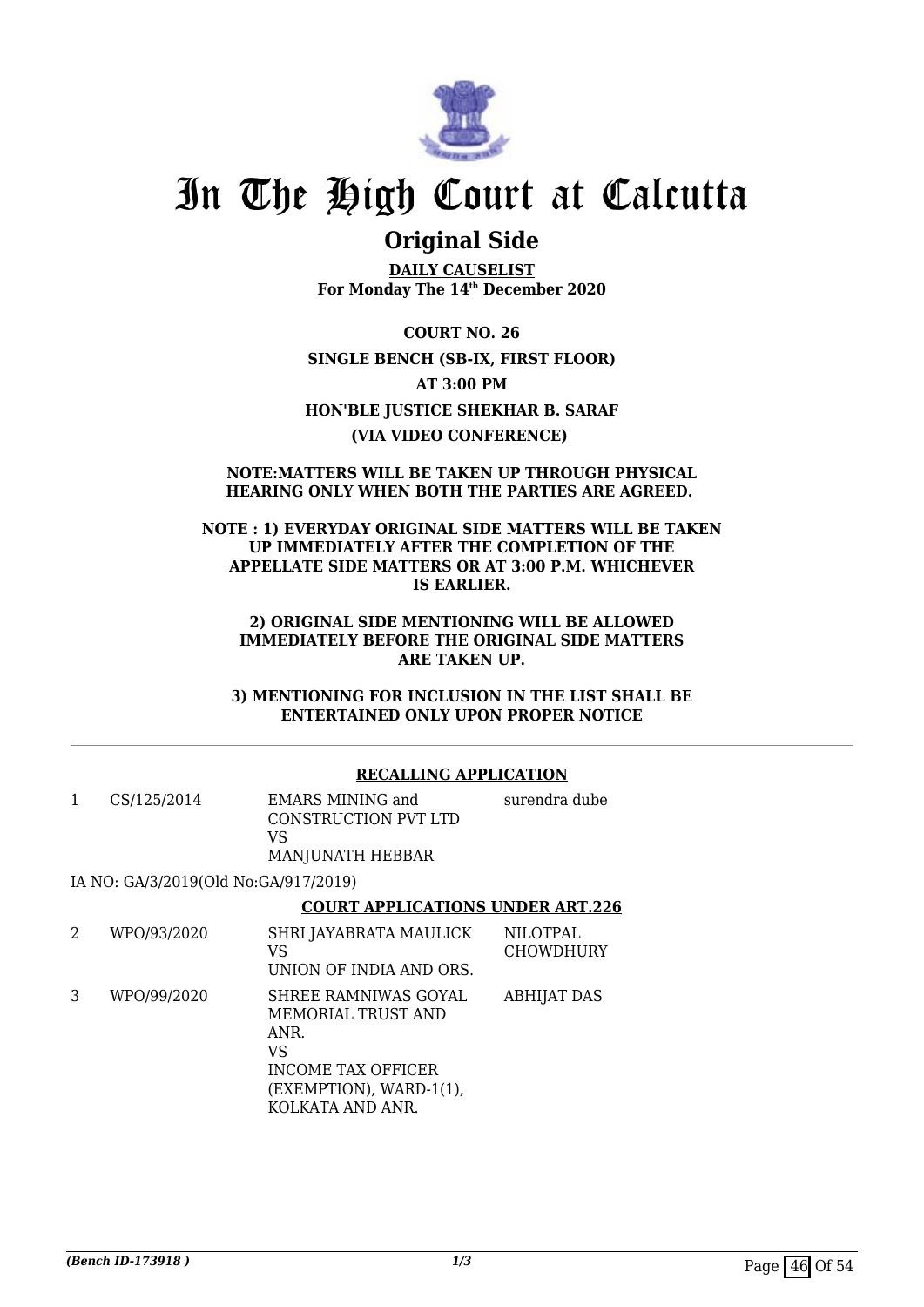

## **Original Side**

**DAILY CAUSELIST For Monday The 14th December 2020**

**COURT NO. 26 SINGLE BENCH (SB-IX, FIRST FLOOR) AT 3:00 PM HON'BLE JUSTICE SHEKHAR B. SARAF (VIA VIDEO CONFERENCE)** 

### **NOTE:MATTERS WILL BE TAKEN UP THROUGH PHYSICAL HEARING ONLY WHEN BOTH THE PARTIES ARE AGREED.**

### **NOTE : 1) EVERYDAY ORIGINAL SIDE MATTERS WILL BE TAKEN UP IMMEDIATELY AFTER THE COMPLETION OF THE APPELLATE SIDE MATTERS OR AT 3:00 P.M. WHICHEVER IS EARLIER.**

### **2) ORIGINAL SIDE MENTIONING WILL BE ALLOWED IMMEDIATELY BEFORE THE ORIGINAL SIDE MATTERS ARE TAKEN UP.**

**3) MENTIONING FOR INCLUSION IN THE LIST SHALL BE ENTERTAINED ONLY UPON PROPER NOTICE**

### **RECALLING APPLICATION**

|  | CS/125/2014 | EMARS MINING and<br>CONSTRUCTION PVT LTD | surendra dube |
|--|-------------|------------------------------------------|---------------|
|  |             | VS                                       |               |
|  |             | MANJUNATH HEBBAR                         |               |

IA NO: GA/3/2019(Old No:GA/917/2019)

## **COURT APPLICATIONS UNDER ART.226**

| 2 | WPO/93/2020 | SHRI JAYABRATA MAULICK<br>VS<br>UNION OF INDIA AND ORS.                                                                              | NILOTPAL<br><b>CHOWDHURY</b> |
|---|-------------|--------------------------------------------------------------------------------------------------------------------------------------|------------------------------|
| 3 | WPO/99/2020 | SHREE RAMNIWAS GOYAL<br>MEMORIAL TRUST AND<br>ANR.<br>VS<br><b>INCOME TAX OFFICER</b><br>(EXEMPTION), WARD-1(1),<br>KOLKATA AND ANR. | <b>ABHIJAT DAS</b>           |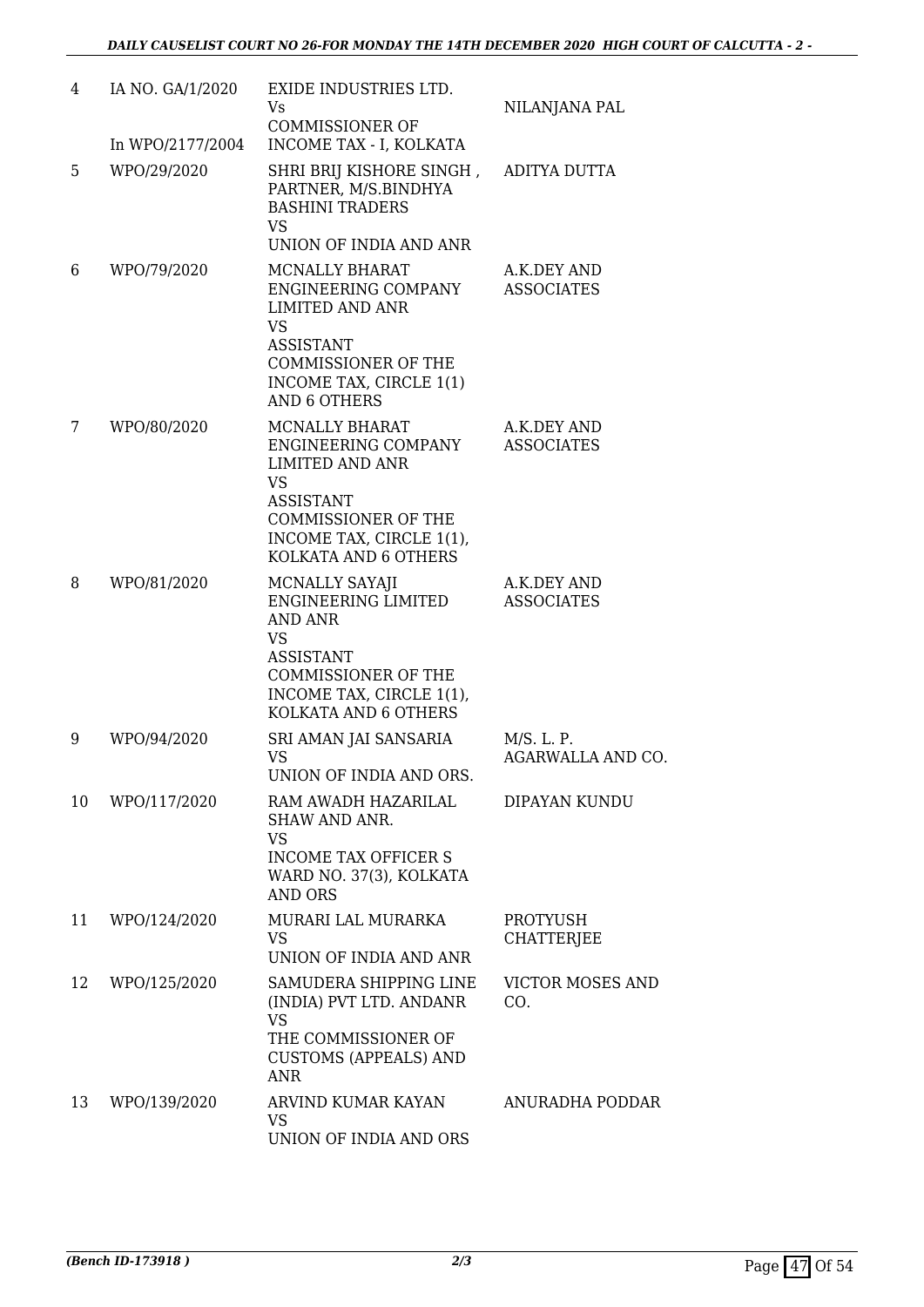| 4  | IA NO. GA/1/2020<br>In WPO/2177/2004 | EXIDE INDUSTRIES LTD.<br>Vs.<br><b>COMMISSIONER OF</b><br>INCOME TAX - I, KOLKATA                                                                                                  | NILANJANA PAL                    |
|----|--------------------------------------|------------------------------------------------------------------------------------------------------------------------------------------------------------------------------------|----------------------------------|
| 5  | WPO/29/2020                          | SHRI BRIJ KISHORE SINGH,<br>PARTNER, M/S.BINDHYA<br><b>BASHINI TRADERS</b><br><b>VS</b>                                                                                            | ADITYA DUTTA                     |
|    |                                      | UNION OF INDIA AND ANR                                                                                                                                                             |                                  |
| 6  | WPO/79/2020                          | MCNALLY BHARAT<br>ENGINEERING COMPANY<br><b>LIMITED AND ANR</b><br><b>VS</b><br><b>ASSISTANT</b><br><b>COMMISSIONER OF THE</b><br>INCOME TAX, CIRCLE 1(1)<br><b>AND 6 OTHERS</b>   | A.K.DEY AND<br><b>ASSOCIATES</b> |
| 7  | WPO/80/2020                          | MCNALLY BHARAT<br>ENGINEERING COMPANY<br><b>LIMITED AND ANR</b><br><b>VS</b><br><b>ASSISTANT</b><br><b>COMMISSIONER OF THE</b><br>INCOME TAX, CIRCLE 1(1),<br>KOLKATA AND 6 OTHERS | A.K.DEY AND<br><b>ASSOCIATES</b> |
| 8  | WPO/81/2020                          | MCNALLY SAYAJI<br><b>ENGINEERING LIMITED</b><br><b>AND ANR</b><br><b>VS</b><br><b>ASSISTANT</b><br><b>COMMISSIONER OF THE</b><br>INCOME TAX, CIRCLE 1(1),<br>KOLKATA AND 6 OTHERS  | A.K.DEY AND<br><b>ASSOCIATES</b> |
| 9  | WPO/94/2020                          | SRI AMAN JAI SANSARIA<br><b>VS</b><br>UNION OF INDIA AND ORS.                                                                                                                      | M/S. L. P.<br>AGARWALLA AND CO.  |
| 10 | WPO/117/2020                         | RAM AWADH HAZARILAL<br>SHAW AND ANR.<br><b>VS</b><br><b>INCOME TAX OFFICER S</b><br>WARD NO. 37(3), KOLKATA<br><b>AND ORS</b>                                                      | DIPAYAN KUNDU                    |
| 11 | WPO/124/2020                         | MURARI LAL MURARKA<br>VS.<br>UNION OF INDIA AND ANR                                                                                                                                | PROTYUSH<br><b>CHATTERJEE</b>    |
| 12 | WPO/125/2020                         | SAMUDERA SHIPPING LINE<br>(INDIA) PVT LTD. ANDANR<br><b>VS</b><br>THE COMMISSIONER OF<br><b>CUSTOMS (APPEALS) AND</b><br><b>ANR</b>                                                | <b>VICTOR MOSES AND</b><br>CO.   |
| 13 | WPO/139/2020                         | ARVIND KUMAR KAYAN<br><b>VS</b><br>UNION OF INDIA AND ORS                                                                                                                          | ANURADHA PODDAR                  |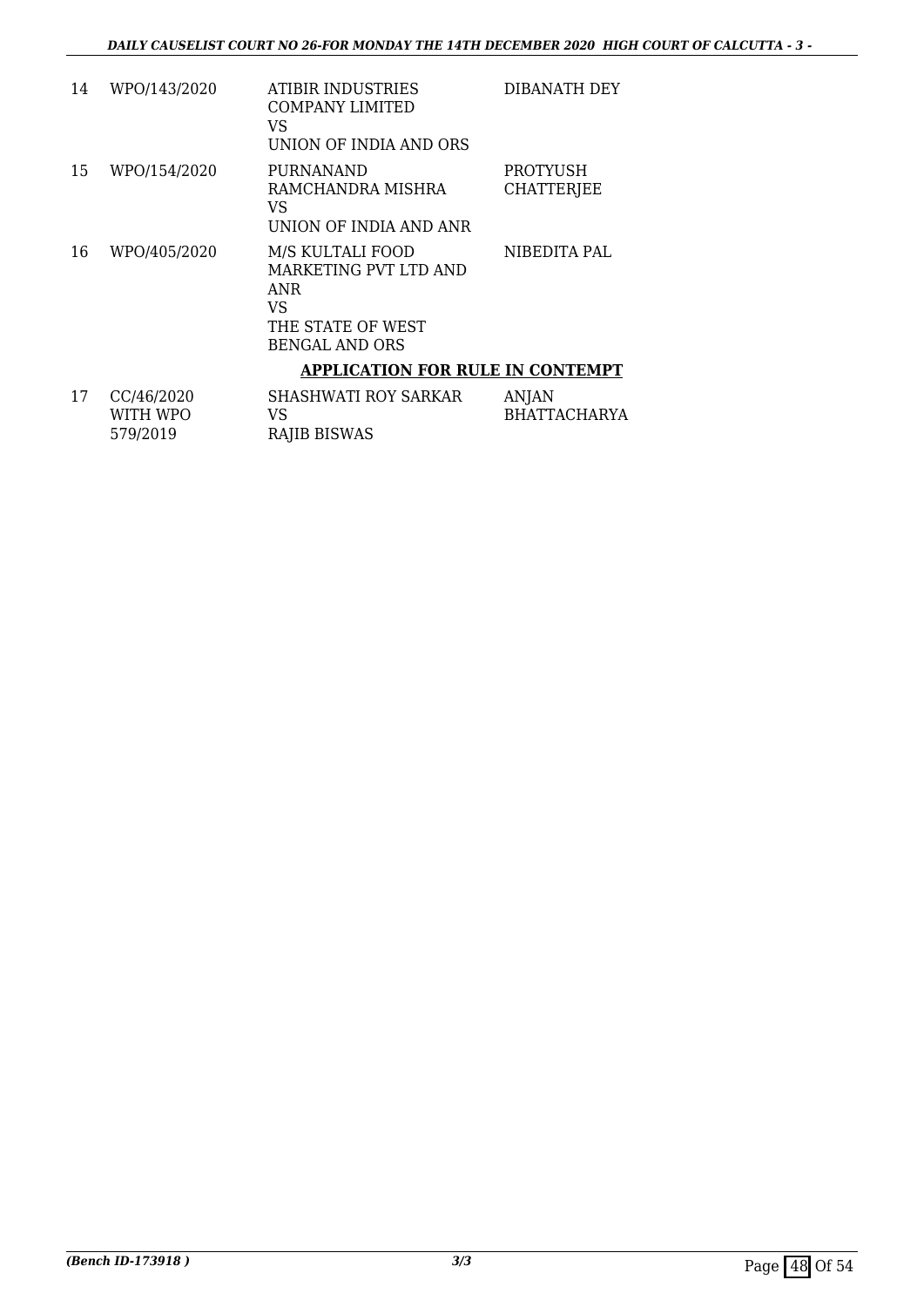| 14 | WPO/143/2020           | ATIBIR INDUSTRIES<br><b>COMPANY LIMITED</b><br>VS<br>UNION OF INDIA AND ORS                          | DIBANATH DEY                        |
|----|------------------------|------------------------------------------------------------------------------------------------------|-------------------------------------|
| 15 | WPO/154/2020           | PURNANAND<br>RAMCHANDRA MISHRA<br>VS<br>UNION OF INDIA AND ANR                                       | PROTYUSH<br><b>CHATTERJEE</b>       |
| 16 | WPO/405/2020           | M/S KULTALI FOOD<br>MARKETING PVT LTD AND<br>ANR<br>VS<br>THE STATE OF WEST<br><b>BENGAL AND ORS</b> | NIBEDITA PAL                        |
|    |                        | <b>APPLICATION FOR RULE IN CONTEMPT</b>                                                              |                                     |
| 17 | CC/46/2020<br>WITH WPO | SHASHWATI ROY SARKAR<br>VS                                                                           | <b>ANJAN</b><br><b>BHATTACHARYA</b> |

RAJIB BISWAS

579/2019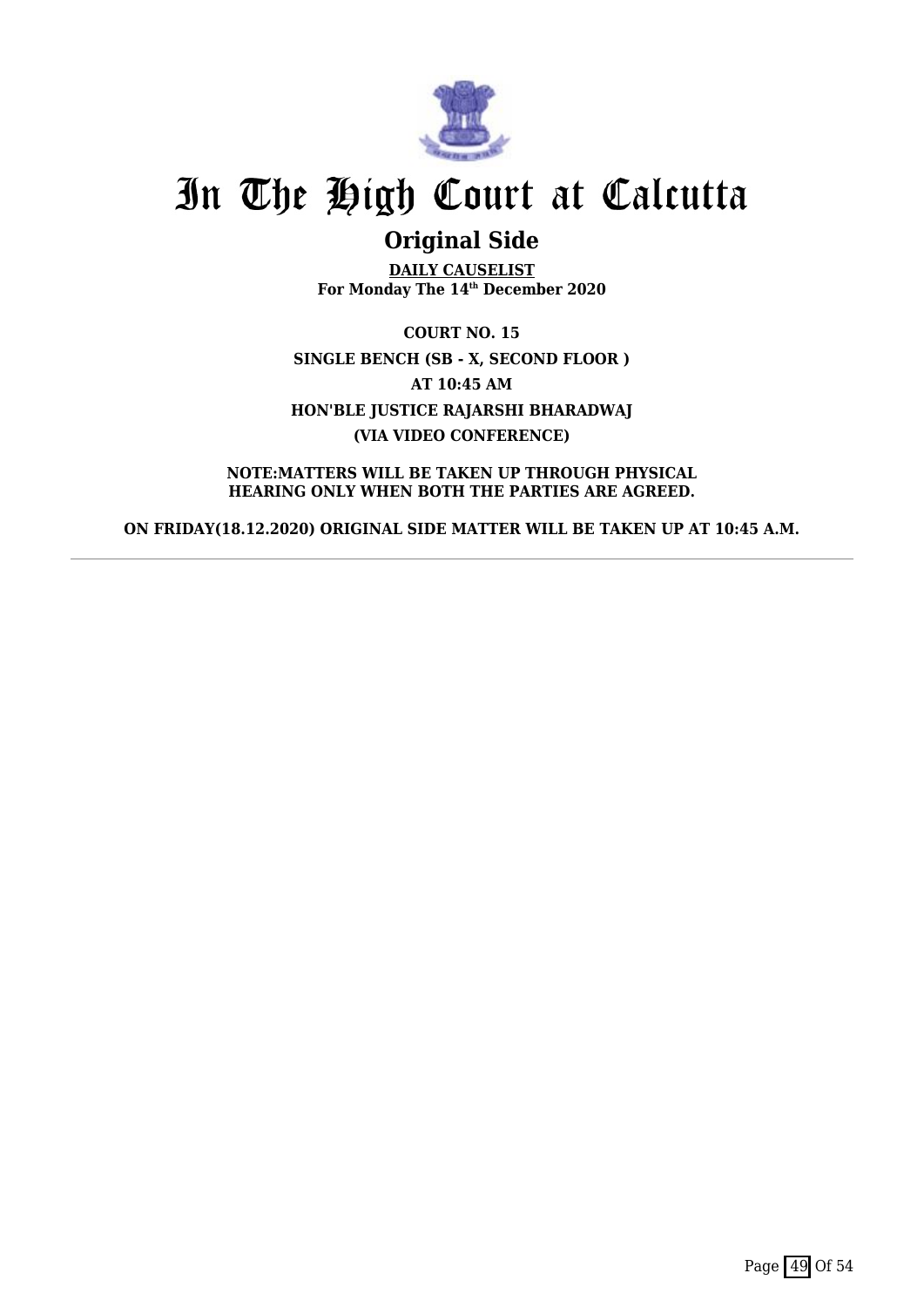

# **Original Side**

**DAILY CAUSELIST For Monday The 14th December 2020**

**COURT NO. 15 SINGLE BENCH (SB - X, SECOND FLOOR ) AT 10:45 AM HON'BLE JUSTICE RAJARSHI BHARADWAJ (VIA VIDEO CONFERENCE)**

**NOTE:MATTERS WILL BE TAKEN UP THROUGH PHYSICAL HEARING ONLY WHEN BOTH THE PARTIES ARE AGREED.**

**ON FRIDAY(18.12.2020) ORIGINAL SIDE MATTER WILL BE TAKEN UP AT 10:45 A.M.**

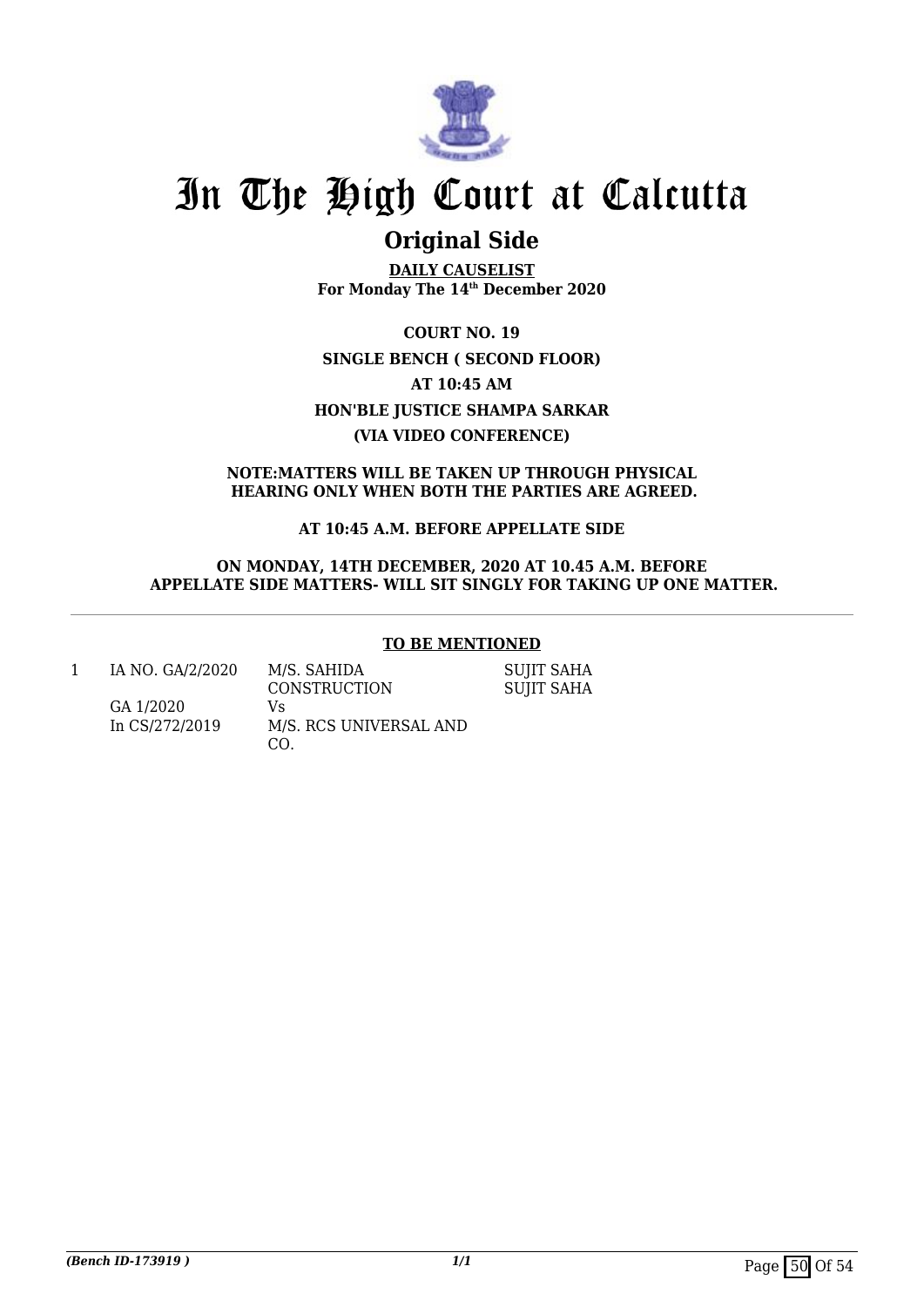

# **Original Side**

**DAILY CAUSELIST For Monday The 14th December 2020**

**COURT NO. 19 SINGLE BENCH ( SECOND FLOOR) AT 10:45 AM HON'BLE JUSTICE SHAMPA SARKAR (VIA VIDEO CONFERENCE)**

**NOTE:MATTERS WILL BE TAKEN UP THROUGH PHYSICAL HEARING ONLY WHEN BOTH THE PARTIES ARE AGREED.**

## **AT 10:45 A.M. BEFORE APPELLATE SIDE**

**ON MONDAY, 14TH DECEMBER, 2020 AT 10.45 A.M. BEFORE APPELLATE SIDE MATTERS- WILL SIT SINGLY FOR TAKING UP ONE MATTER.**

### **TO BE MENTIONED**

1 IA NO. GA/2/2020

M/S. SAHIDA **CONSTRUCTION**  SUJIT SAHA SUJIT SAHA

GA 1/2020 In CS/272/2019 Vs M/S. RCS UNIVERSAL AND CO.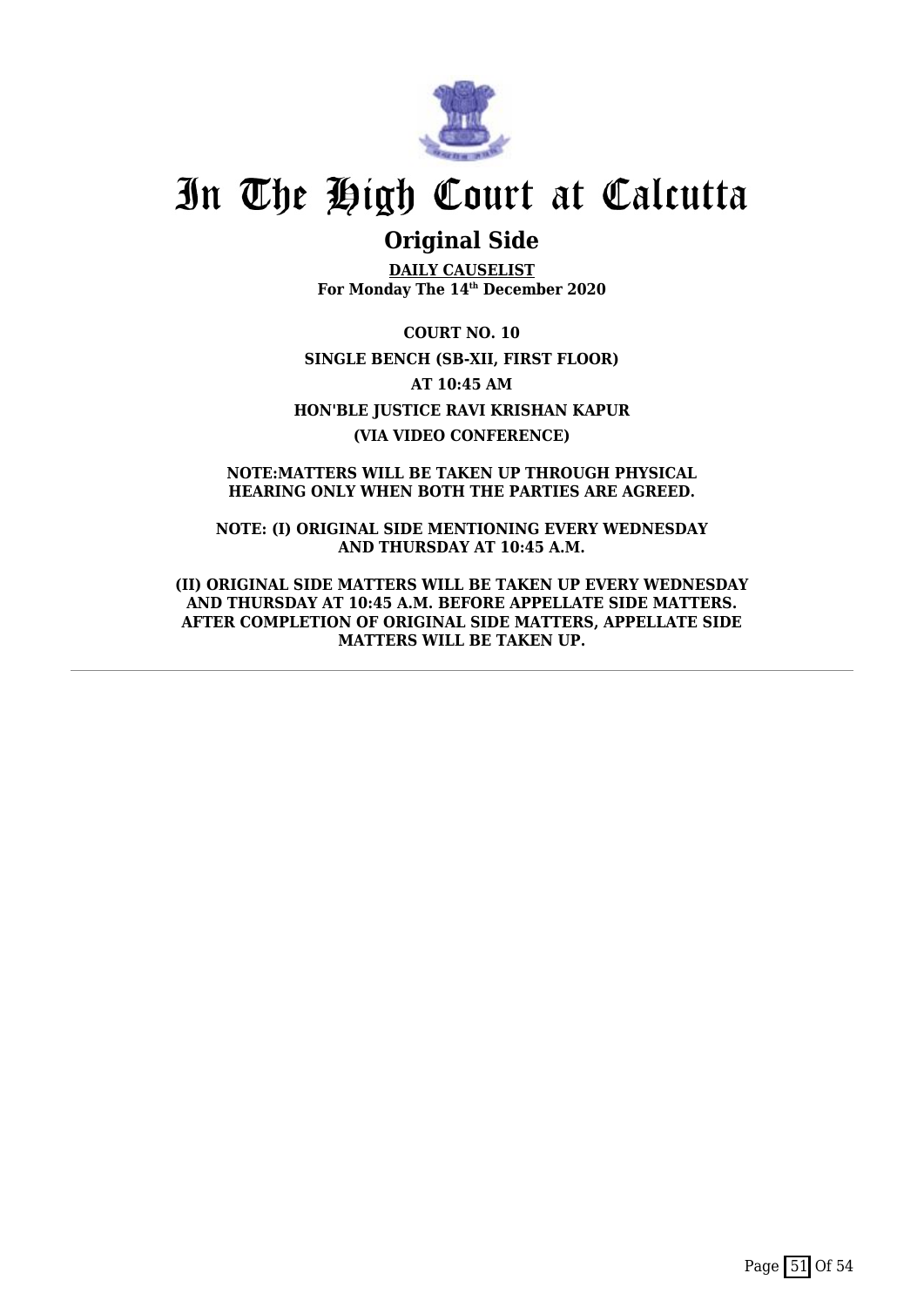

# **Original Side**

**DAILY CAUSELIST For Monday The 14th December 2020**

**COURT NO. 10 SINGLE BENCH (SB-XII, FIRST FLOOR) AT 10:45 AM HON'BLE JUSTICE RAVI KRISHAN KAPUR (VIA VIDEO CONFERENCE)**

**NOTE:MATTERS WILL BE TAKEN UP THROUGH PHYSICAL HEARING ONLY WHEN BOTH THE PARTIES ARE AGREED.**

**NOTE: (I) ORIGINAL SIDE MENTIONING EVERY WEDNESDAY AND THURSDAY AT 10:45 A.M.**

**(II) ORIGINAL SIDE MATTERS WILL BE TAKEN UP EVERY WEDNESDAY AND THURSDAY AT 10:45 A.M. BEFORE APPELLATE SIDE MATTERS. AFTER COMPLETION OF ORIGINAL SIDE MATTERS, APPELLATE SIDE MATTERS WILL BE TAKEN UP.**

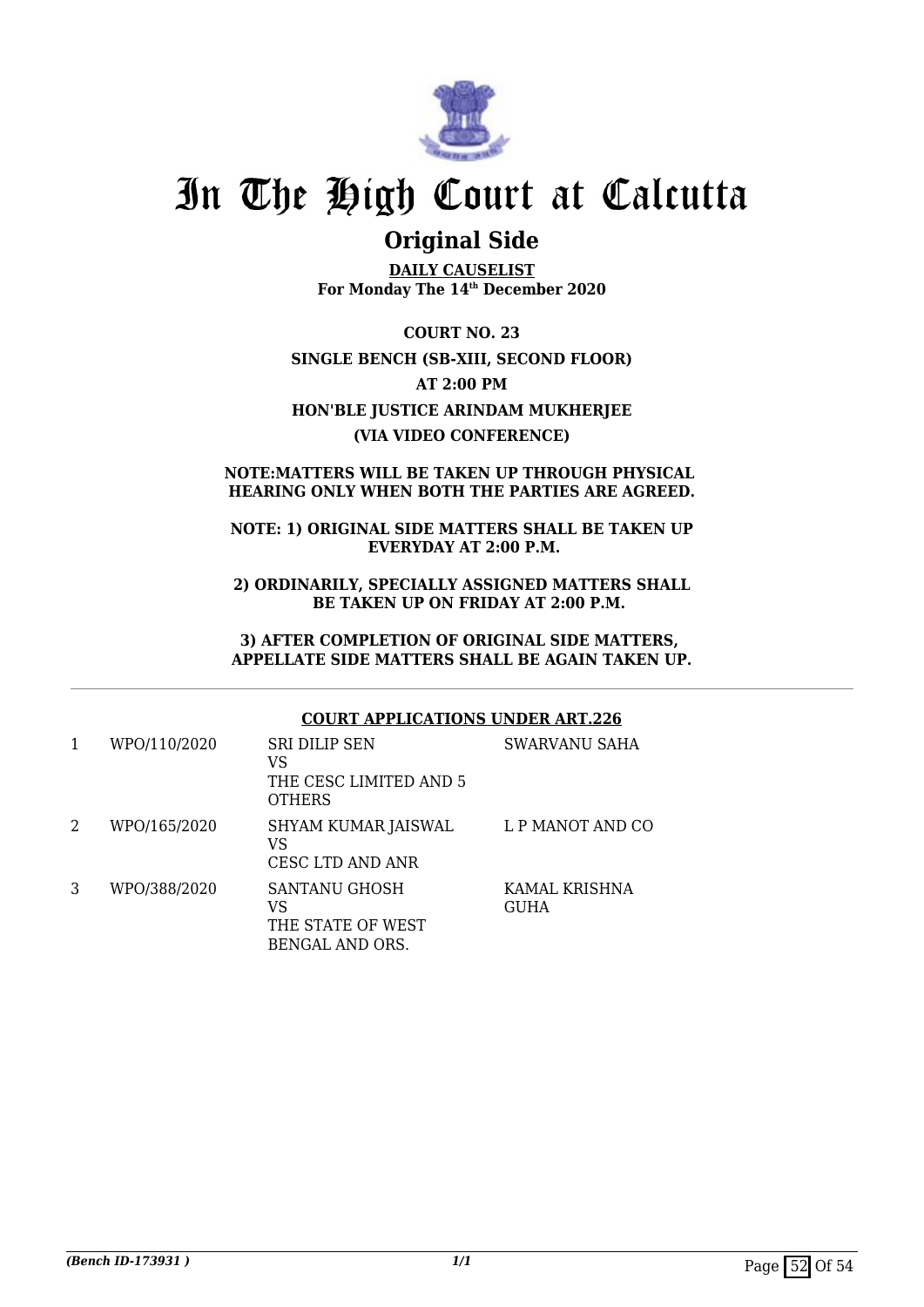

# **Original Side**

**DAILY CAUSELIST For Monday The 14th December 2020**

**COURT NO. 23 SINGLE BENCH (SB-XIII, SECOND FLOOR) AT 2:00 PM HON'BLE JUSTICE ARINDAM MUKHERJEE (VIA VIDEO CONFERENCE)**

### **NOTE:MATTERS WILL BE TAKEN UP THROUGH PHYSICAL HEARING ONLY WHEN BOTH THE PARTIES ARE AGREED.**

### **NOTE: 1) ORIGINAL SIDE MATTERS SHALL BE TAKEN UP EVERYDAY AT 2:00 P.M.**

**2) ORDINARILY, SPECIALLY ASSIGNED MATTERS SHALL BE TAKEN UP ON FRIDAY AT 2:00 P.M.**

**3) AFTER COMPLETION OF ORIGINAL SIDE MATTERS, APPELLATE SIDE MATTERS SHALL BE AGAIN TAKEN UP.**

## **COURT APPLICATIONS UNDER ART.226**

| 1 | WPO/110/2020 | <b>SRI DILIP SEN</b><br>VS<br>THE CESC LIMITED AND 5<br><b>OTHERS</b> | SWARVANU SAHA                |
|---|--------------|-----------------------------------------------------------------------|------------------------------|
| 2 | WPO/165/2020 | SHYAM KUMAR JAISWAL<br>VS<br>CESC LTD AND ANR                         | L P MANOT AND CO             |
| 3 | WPO/388/2020 | SANTANU GHOSH<br>VS<br>THE STATE OF WEST<br>BENGAL AND ORS.           | KAMAL KRISHNA<br><b>GUHA</b> |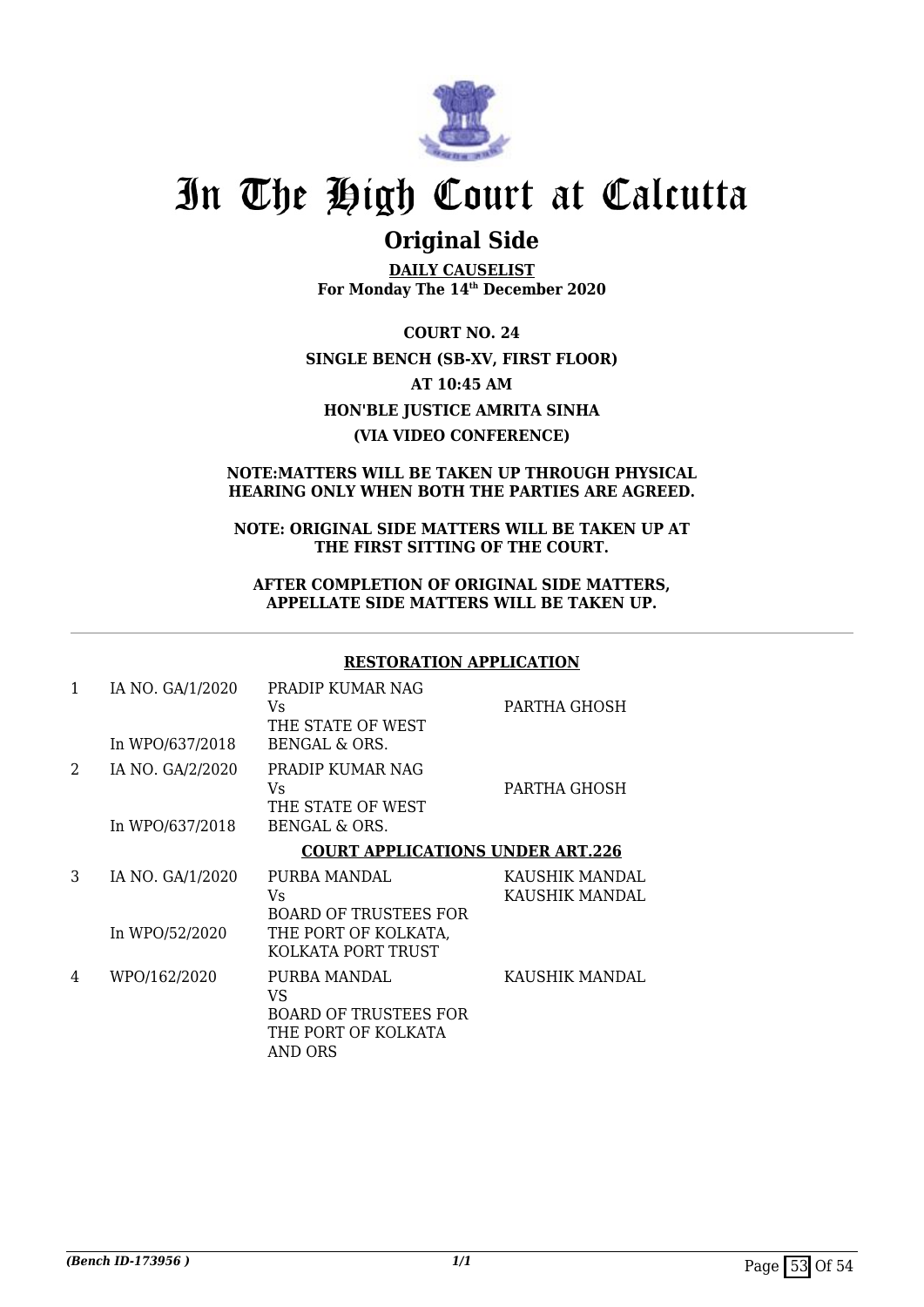

## **Original Side**

**DAILY CAUSELIST For Monday The 14th December 2020**

**COURT NO. 24 SINGLE BENCH (SB-XV, FIRST FLOOR) AT 10:45 AM HON'BLE JUSTICE AMRITA SINHA (VIA VIDEO CONFERENCE)**

### **NOTE:MATTERS WILL BE TAKEN UP THROUGH PHYSICAL HEARING ONLY WHEN BOTH THE PARTIES ARE AGREED.**

### **NOTE: ORIGINAL SIDE MATTERS WILL BE TAKEN UP AT THE FIRST SITTING OF THE COURT.**

### **AFTER COMPLETION OF ORIGINAL SIDE MATTERS, APPELLATE SIDE MATTERS WILL BE TAKEN UP.**

### **RESTORATION APPLICATION**

| 1 | IA NO. GA/1/2020<br>In WPO/637/2018 | PRADIP KUMAR NAG<br>Vs<br>THE STATE OF WEST<br>BENGAL & ORS.                          | PARTHA GHOSH                     |
|---|-------------------------------------|---------------------------------------------------------------------------------------|----------------------------------|
| 2 | IA NO. GA/2/2020<br>In WPO/637/2018 | PRADIP KUMAR NAG<br>Vs<br>THE STATE OF WEST<br>BENGAL & ORS.                          | PARTHA GHOSH                     |
|   |                                     | <b>COURT APPLICATIONS UNDER ART.226</b>                                               |                                  |
| 3 | IA NO. GA/1/2020                    | PURBA MANDAL<br>Vs<br><b>BOARD OF TRUSTEES FOR</b>                                    | KAUSHIK MANDAL<br>KAUSHIK MANDAL |
|   | In WPO/52/2020                      | THE PORT OF KOLKATA,<br>KOLKATA PORT TRUST                                            |                                  |
| 4 | WPO/162/2020                        | PURBA MANDAL<br>VS.<br><b>BOARD OF TRUSTEES FOR</b><br>THE PORT OF KOLKATA<br>AND ORS | KAUSHIK MANDAL                   |